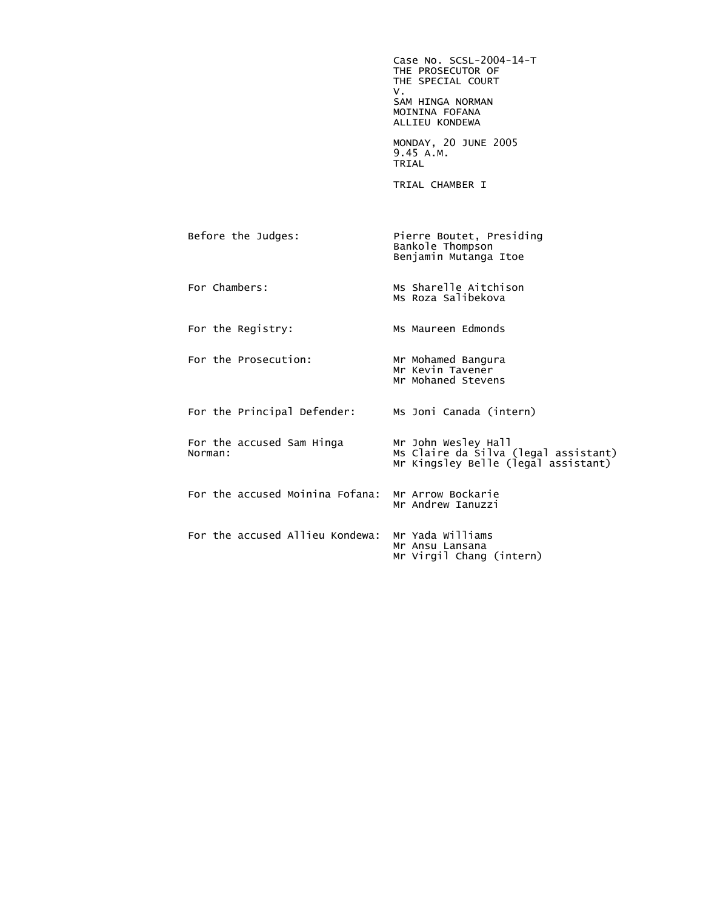Case No. SCSL-2004-14-T THE PROSECUTOR OF THE SPECIAL COURT<br>V. V. SAM HINGA NORMAN MOININA FOFANA ALLIEU KONDEWA MONDAY, 20 JUNE 2005 9.45 A.M. **TRIAL**  TRIAL CHAMBER I Before the Judges: Pierre Boutet, Presiding Bankole Thompson Benjamin Mutanga Itoe For Chambers: Ms Sharelle Aitchison Ms Roza Salibekova For the Registry: MS Maureen Edmonds For the Prosecution: Mr Mohamed Bangura Mr Kevin Tavener Mr Mohaned Stevens For the Principal Defender: Ms Joni Canada (intern) For the accused Sam Hinga<br>Norman: Norman: Ms Claire da Silva (legal assistant) Mr Kingsley Belle (legal assistant) For the accused Moinina Fofana: Mr Arrow Bockarie Mr Andrew Ianuzzi For the accused Allieu Kondewa: Mr Yada Williams Mr Ansu Lansana Mr Virgil Chang (intern)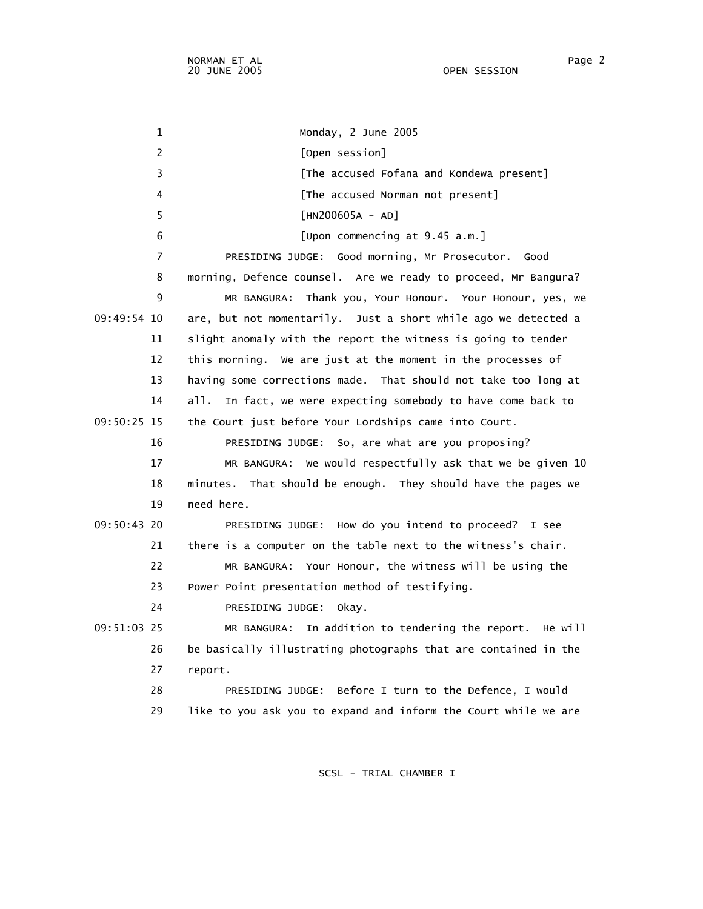1 Monday, 2 June 2005 2 [Open session] 3 **Example 2** [The accused Fofana and Kondewa present] 4 [The accused Norman not present] 5 [HN200605A - AD] 6 [Upon commencing at 9.45 a.m.] 7 PRESIDING JUDGE: Good morning, Mr Prosecutor. Good 8 morning, Defence counsel. Are we ready to proceed, Mr Bangura? 9 MR BANGURA: Thank you, Your Honour. Your Honour, yes, we 09:49:54 10 are, but not momentarily. Just a short while ago we detected a 11 slight anomaly with the report the witness is going to tender 12 this morning. We are just at the moment in the processes of 13 having some corrections made. That should not take too long at 14 all. In fact, we were expecting somebody to have come back to 09:50:25 15 the Court just before Your Lordships came into Court. 16 PRESIDING JUDGE: So, are what are you proposing? 17 MR BANGURA: We would respectfully ask that we be given 10 18 minutes. That should be enough. They should have the pages we 19 need here. 09:50:43 20 PRESIDING JUDGE: How do you intend to proceed? I see 21 there is a computer on the table next to the witness's chair. 22 MR BANGURA: Your Honour, the witness will be using the 23 Power Point presentation method of testifying. 24 PRESIDING JUDGE: Okay. 09:51:03 25 MR BANGURA: In addition to tendering the report. He will 26 be basically illustrating photographs that are contained in the 27 report. 28 PRESIDING JUDGE: Before I turn to the Defence, I would 29 like to you ask you to expand and inform the Court while we are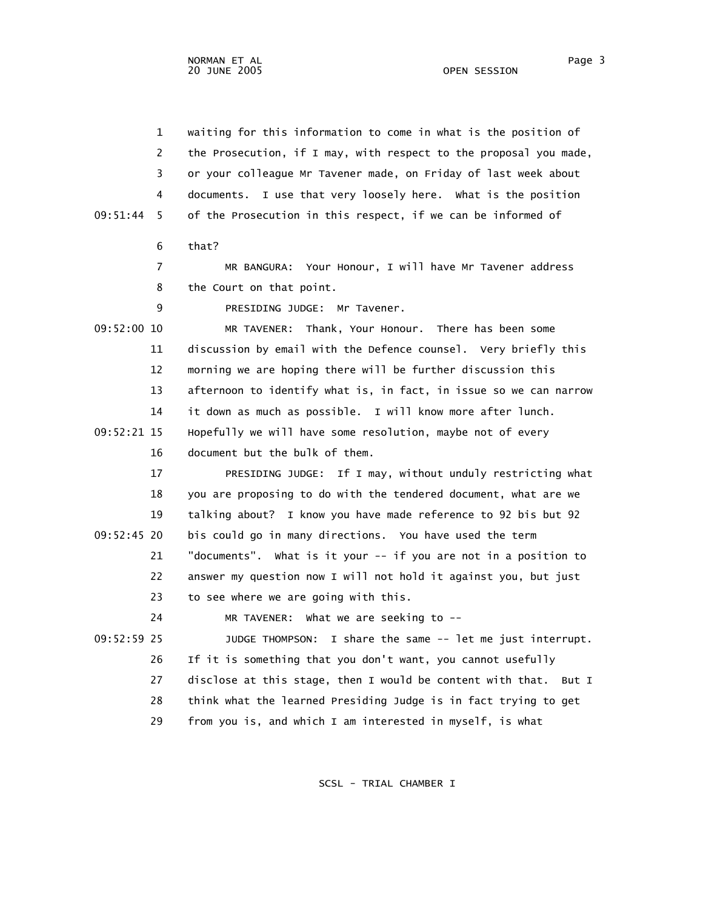1 waiting for this information to come in what is the position of 2 the Prosecution, if I may, with respect to the proposal you made, 3 or your colleague Mr Tavener made, on Friday of last week about 4 documents. I use that very loosely here. What is the position 09:51:44 5 of the Prosecution in this respect, if we can be informed of 6 that? 7 MR BANGURA: Your Honour, I will have Mr Tavener address 8 the Court on that point. 9 PRESIDING JUDGE: Mr Tavener. 09:52:00 10 MR TAVENER: Thank, Your Honour. There has been some 11 discussion by email with the Defence counsel. Very briefly this 12 morning we are hoping there will be further discussion this 13 afternoon to identify what is, in fact, in issue so we can narrow 14 it down as much as possible. I will know more after lunch. 09:52:21 15 Hopefully we will have some resolution, maybe not of every 16 document but the bulk of them. 17 PRESIDING JUDGE: If I may, without unduly restricting what 18 you are proposing to do with the tendered document, what are we 19 talking about? I know you have made reference to 92 bis but 92 09:52:45 20 bis could go in many directions. You have used the term 21 "documents". What is it your -- if you are not in a position to 22 answer my question now I will not hold it against you, but just 23 to see where we are going with this. 24 MR TAVENER: What we are seeking to -- 09:52:59 25 JUDGE THOMPSON: I share the same -- let me just interrupt. 26 If it is something that you don't want, you cannot usefully 27 disclose at this stage, then I would be content with that. But I 28 think what the learned Presiding Judge is in fact trying to get 29 from you is, and which I am interested in myself, is what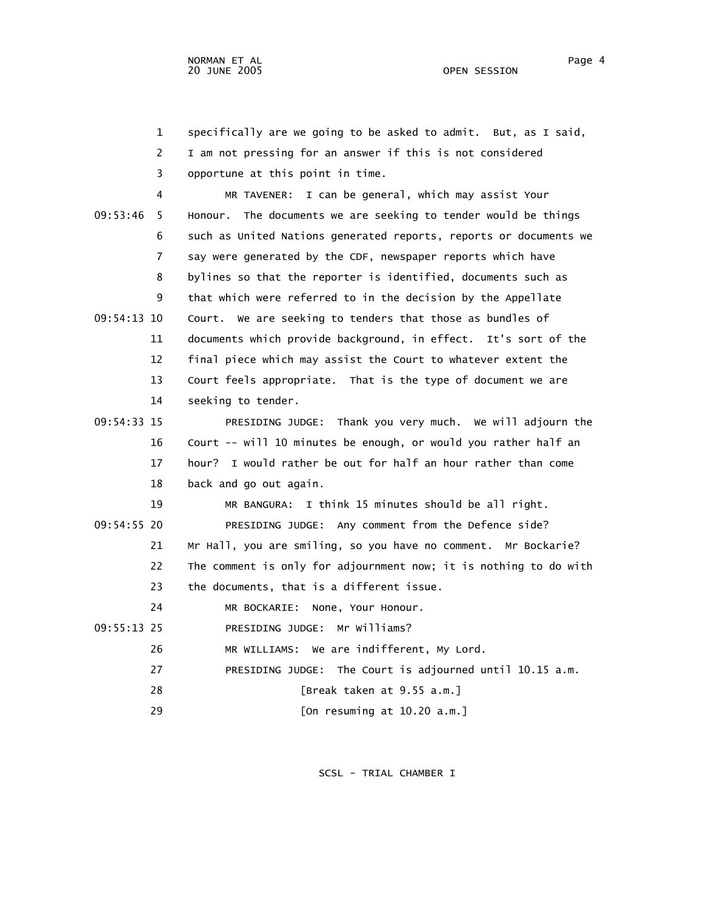1 specifically are we going to be asked to admit. But, as I said, 2 I am not pressing for an answer if this is not considered 3 opportune at this point in time. 4 MR TAVENER: I can be general, which may assist Your 09:53:46 5 Honour. The documents we are seeking to tender would be things 6 such as United Nations generated reports, reports or documents we 7 say were generated by the CDF, newspaper reports which have 8 bylines so that the reporter is identified, documents such as 9 that which were referred to in the decision by the Appellate 09:54:13 10 Court. We are seeking to tenders that those as bundles of 11 documents which provide background, in effect. It's sort of the 12 final piece which may assist the Court to whatever extent the 13 Court feels appropriate. That is the type of document we are 14 seeking to tender. 09:54:33 15 PRESIDING JUDGE: Thank you very much. We will adjourn the 16 Court -- will 10 minutes be enough, or would you rather half an 17 hour? I would rather be out for half an hour rather than come 18 back and go out again. 19 MR BANGURA: I think 15 minutes should be all right. 09:54:55 20 PRESIDING JUDGE: Any comment from the Defence side? 21 Mr Hall, you are smiling, so you have no comment. Mr Bockarie? 22 The comment is only for adjournment now; it is nothing to do with 23 the documents, that is a different issue. 24 MR BOCKARIE: None, Your Honour. 09:55:13 25 PRESIDING JUDGE: Mr Williams? 26 MR WILLIAMS: We are indifferent, My Lord. 27 PRESIDING JUDGE: The Court is adjourned until 10.15 a.m. 28 [Break taken at 9.55 a.m.] 29 [On resuming at 10.20 a.m.]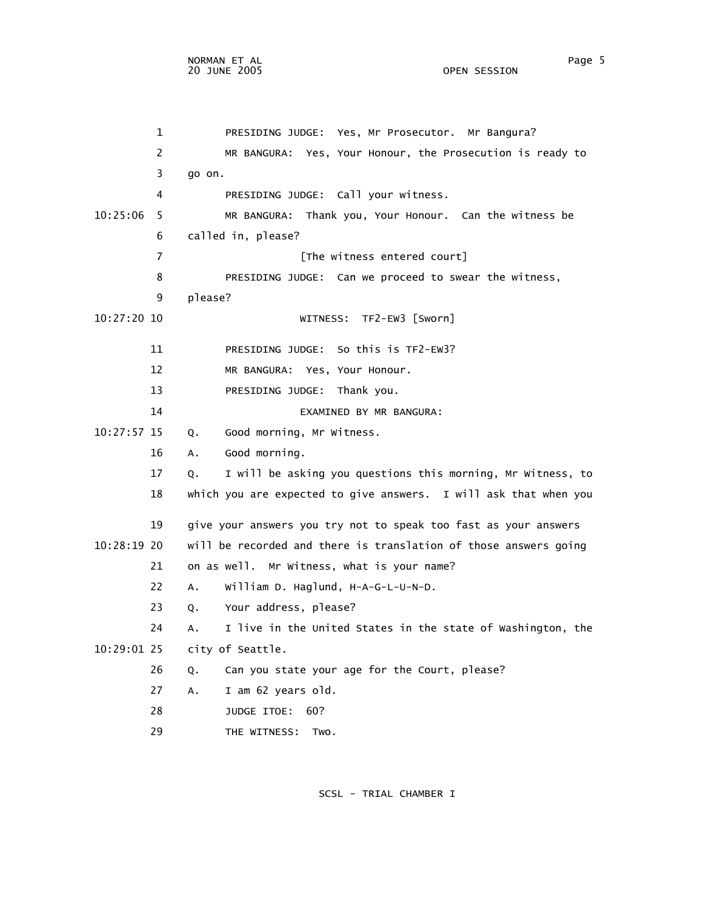1 PRESIDING JUDGE: Yes, Mr Prosecutor. Mr Bangura? 2 MR BANGURA: Yes, Your Honour, the Prosecution is ready to 3 go on. 4 PRESIDING JUDGE: Call your witness. 10:25:06 5 MR BANGURA: Thank you, Your Honour. Can the witness be 6 called in, please? 7 [The witness entered court] 8 PRESIDING JUDGE: Can we proceed to swear the witness, 9 please? 10:27:20 10 WITNESS: TF2-EW3 [Sworn] 11 PRESIDING JUDGE: So this is TF2-EW3? 12 MR BANGURA: Yes, Your Honour. 13 PRESIDING JUDGE: Thank you. 14 EXAMINED BY MR BANGURA: 10:27:57 15 Q. Good morning, Mr Witness. 16 A. Good morning. 17 Q. I will be asking you questions this morning, Mr Witness, to 18 which you are expected to give answers. I will ask that when you 19 give your answers you try not to speak too fast as your answers 10:28:19 20 will be recorded and there is translation of those answers going 21 on as well. Mr Witness, what is your name? 22 A. William D. Haglund, H-A-G-L-U-N-D. 23 Q. Your address, please? 24 A. I live in the United States in the state of Washington, the 10:29:01 25 city of Seattle. 26 Q. Can you state your age for the Court, please? 27 A. I am 62 years old. 28 JUDGE ITOE: 60? 29 THE WITNESS: Two.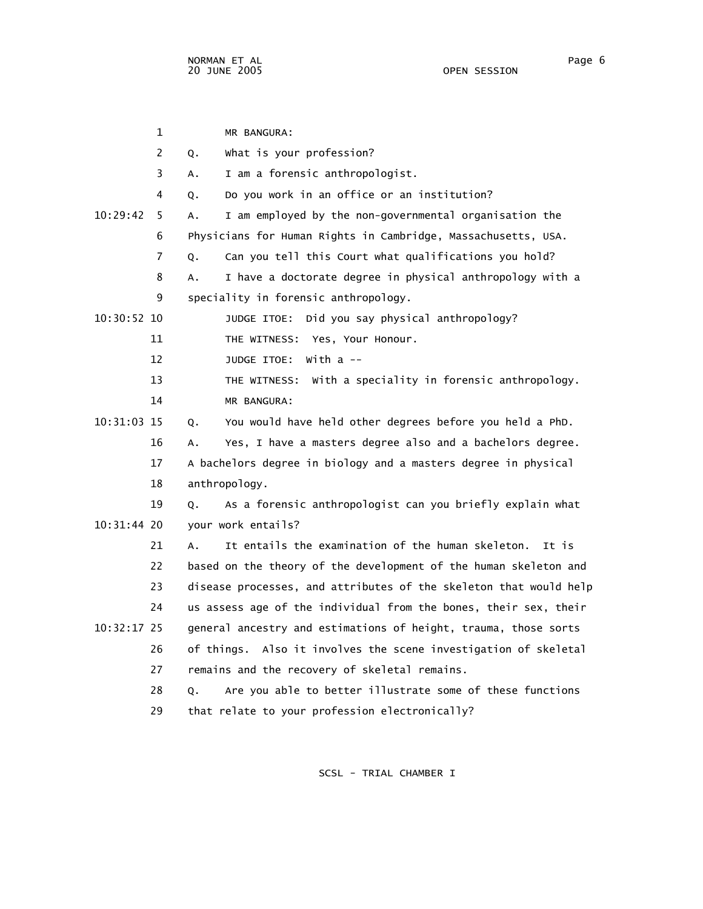|               | 1              | MR BANGURA:                                                       |
|---------------|----------------|-------------------------------------------------------------------|
|               | $\overline{2}$ | What is your profession?<br>Q.                                    |
|               | 3              | I am a forensic anthropologist.<br>А.                             |
|               | 4              | Do you work in an office or an institution?<br>Q.                 |
| 10:29:42      | 5              | I am employed by the non-governmental organisation the<br>А.      |
|               | 6              | Physicians for Human Rights in Cambridge, Massachusetts, USA.     |
|               | 7              | Can you tell this Court what qualifications you hold?<br>Q.       |
|               | 8              | I have a doctorate degree in physical anthropology with a<br>А.   |
|               | 9              | speciality in forensic anthropology.                              |
| $10:30:52$ 10 |                | Did you say physical anthropology?<br>JUDGE ITOE:                 |
|               | 11             | THE WITNESS: Yes, Your Honour.                                    |
|               | 12             | JUDGE ITOE:<br>with a --                                          |
|               | 13             | THE WITNESS: With a speciality in forensic anthropology.          |
|               | 14             | MR BANGURA:                                                       |
| 10:31:03 15   |                | You would have held other degrees before you held a PhD.<br>Q.    |
|               | 16             | Yes, I have a masters degree also and a bachelors degree.<br>А.   |
|               | 17             | A bachelors degree in biology and a masters degree in physical    |
|               | 18             | anthropology.                                                     |
|               | 19             | As a forensic anthropologist can you briefly explain what<br>Q.   |
| 10:31:44 20   |                | your work entails?                                                |
|               | 21             | It entails the examination of the human skeleton.<br>It is<br>A.  |
|               | 22             | based on the theory of the development of the human skeleton and  |
|               | 23             | disease processes, and attributes of the skeleton that would help |
|               | 24             | us assess age of the individual from the bones, their sex, their  |
| $10:32:17$ 25 |                | general ancestry and estimations of height, trauma, those sorts   |
|               | 26             | of things. Also it involves the scene investigation of skeletal   |
|               | 27             | remains and the recovery of skeletal remains.                     |
|               | 28             | Are you able to better illustrate some of these functions<br>Q.   |
|               | 29             | that relate to your profession electronically?                    |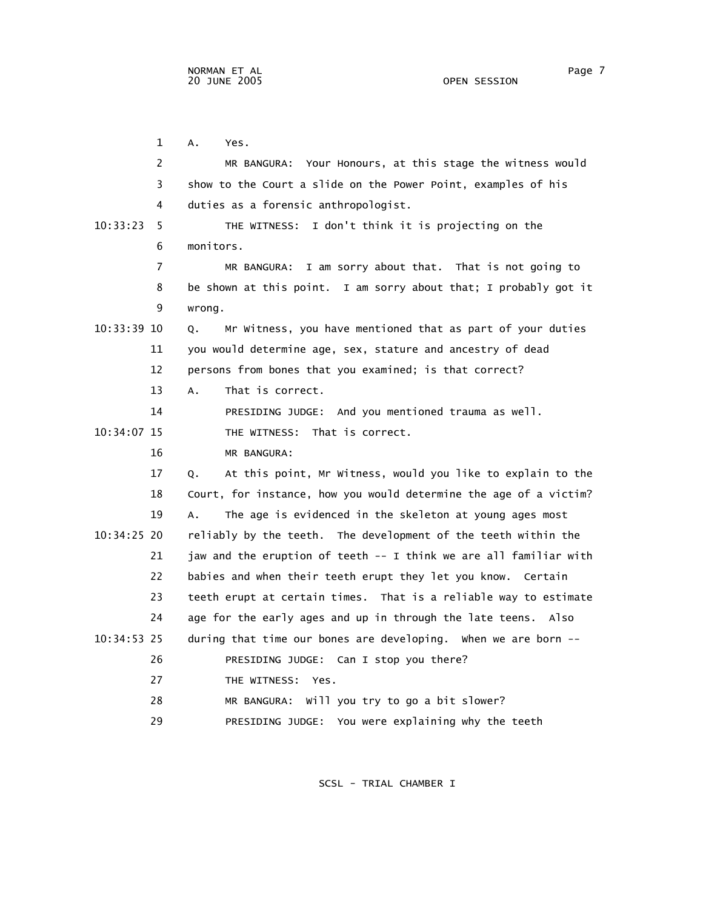1 A. Yes. 2 MR BANGURA: Your Honours, at this stage the witness would 3 show to the Court a slide on the Power Point, examples of his 4 duties as a forensic anthropologist. 10:33:23 5 THE WITNESS: I don't think it is projecting on the 6 monitors. 7 MR BANGURA: I am sorry about that. That is not going to 8 be shown at this point. I am sorry about that; I probably got it 9 wrong. 10:33:39 10 Q. Mr Witness, you have mentioned that as part of your duties 11 you would determine age, sex, stature and ancestry of dead 12 persons from bones that you examined; is that correct? 13 A. That is correct. 14 PRESIDING JUDGE: And you mentioned trauma as well. 10:34:07 15 THE WITNESS: That is correct. 16 MR BANGURA: 17 Q. At this point, Mr Witness, would you like to explain to the 18 Court, for instance, how you would determine the age of a victim? 19 A. The age is evidenced in the skeleton at young ages most 10:34:25 20 reliably by the teeth. The development of the teeth within the 21 jaw and the eruption of teeth -- I think we are all familiar with 22 babies and when their teeth erupt they let you know. Certain 23 teeth erupt at certain times. That is a reliable way to estimate 24 age for the early ages and up in through the late teens. Also 10:34:53 25 during that time our bones are developing. When we are born -- 26 PRESIDING JUDGE: Can I stop you there? 27 THE WITNESS: Yes. 28 MR BANGURA: Will you try to go a bit slower?

SCSL - TRIAL CHAMBER I

29 PRESIDING JUDGE: You were explaining why the teeth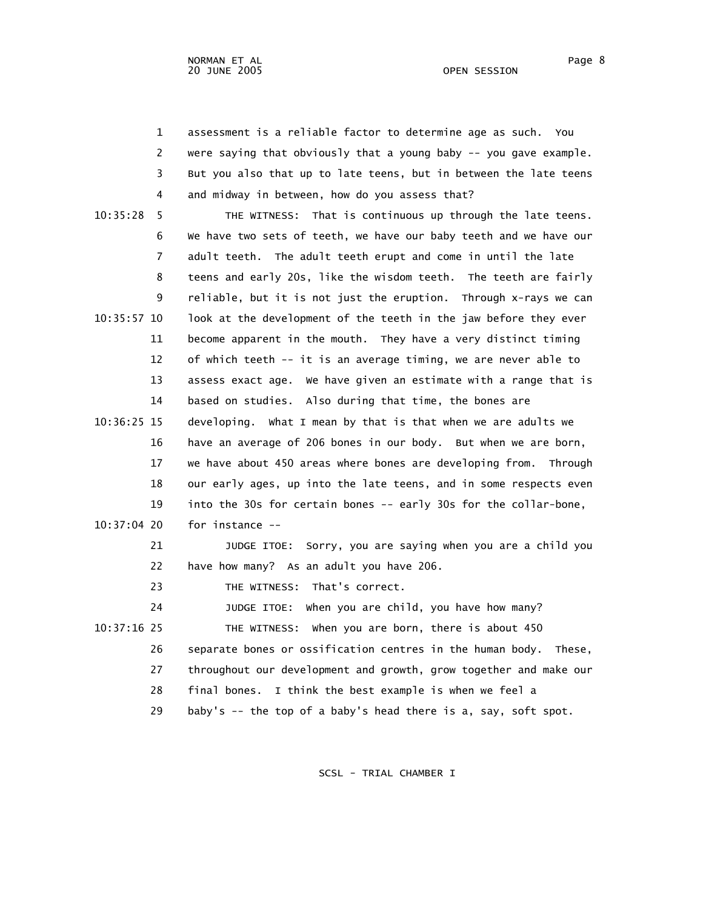1 assessment is a reliable factor to determine age as such. You 2 were saying that obviously that a young baby -- you gave example. 3 But you also that up to late teens, but in between the late teens 4 and midway in between, how do you assess that?

 10:35:28 5 THE WITNESS: That is continuous up through the late teens. 6 We have two sets of teeth, we have our baby teeth and we have our 7 adult teeth. The adult teeth erupt and come in until the late 8 teens and early 20s, like the wisdom teeth. The teeth are fairly 9 reliable, but it is not just the eruption. Through x-rays we can 10:35:57 10 look at the development of the teeth in the jaw before they ever 11 become apparent in the mouth. They have a very distinct timing 12 of which teeth -- it is an average timing, we are never able to 13 assess exact age. We have given an estimate with a range that is 14 based on studies. Also during that time, the bones are 10:36:25 15 developing. What I mean by that is that when we are adults we 16 have an average of 206 bones in our body. But when we are born, 17 we have about 450 areas where bones are developing from. Through 18 our early ages, up into the late teens, and in some respects even 19 into the 30s for certain bones -- early 30s for the collar-bone, 10:37:04 20 for instance -- 21 JUDGE ITOE: Sorry, you are saying when you are a child you 22 have how many? As an adult you have 206. 23 THE WITNESS: That's correct. 24 JUDGE ITOE: When you are child, you have how many? 10:37:16 25 THE WITNESS: When you are born, there is about 450 26 separate bones or ossification centres in the human body. These, 27 throughout our development and growth, grow together and make our 28 final bones. I think the best example is when we feel a 29 baby's -- the top of a baby's head there is a, say, soft spot.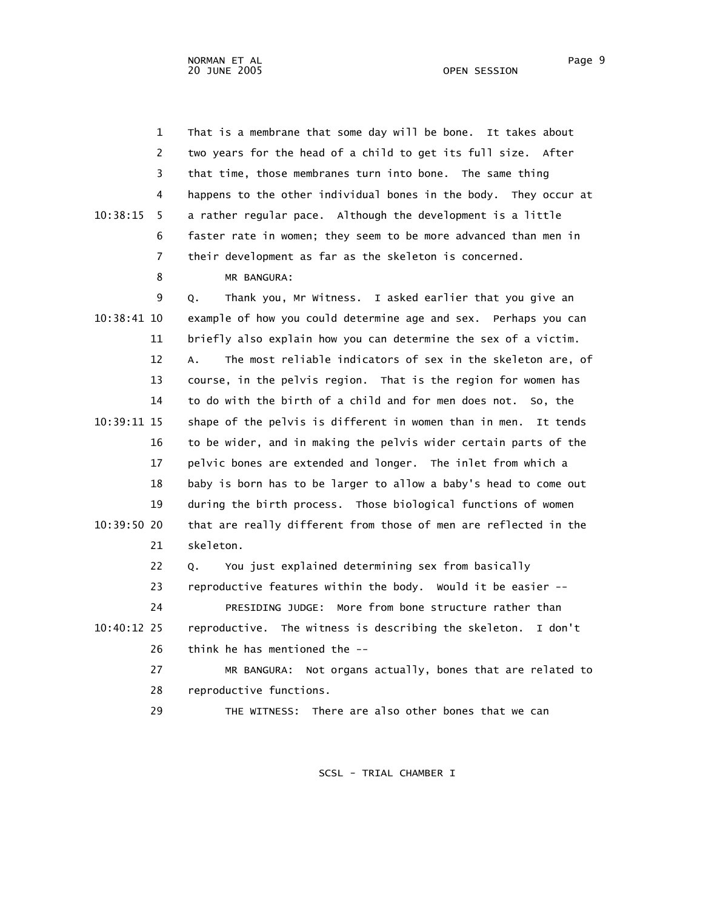1 That is a membrane that some day will be bone. It takes about 2 two years for the head of a child to get its full size. After 3 that time, those membranes turn into bone. The same thing 4 happens to the other individual bones in the body. They occur at 10:38:15 5 a rather regular pace. Although the development is a little 6 faster rate in women; they seem to be more advanced than men in 7 their development as far as the skeleton is concerned. 8 MR BANGURA:

 9 Q. Thank you, Mr Witness. I asked earlier that you give an 10:38:41 10 example of how you could determine age and sex. Perhaps you can 11 briefly also explain how you can determine the sex of a victim. 12 A. The most reliable indicators of sex in the skeleton are, of 13 course, in the pelvis region. That is the region for women has 14 to do with the birth of a child and for men does not. So, the 10:39:11 15 shape of the pelvis is different in women than in men. It tends 16 to be wider, and in making the pelvis wider certain parts of the 17 pelvic bones are extended and longer. The inlet from which a 18 baby is born has to be larger to allow a baby's head to come out 19 during the birth process. Those biological functions of women 10:39:50 20 that are really different from those of men are reflected in the 21 skeleton.

22 Q. You just explained determining sex from basically

 23 reproductive features within the body. Would it be easier -- 24 PRESIDING JUDGE: More from bone structure rather than 10:40:12 25 reproductive. The witness is describing the skeleton. I don't 26 think he has mentioned the --

 27 MR BANGURA: Not organs actually, bones that are related to 28 reproductive functions.

29 THE WITNESS: There are also other bones that we can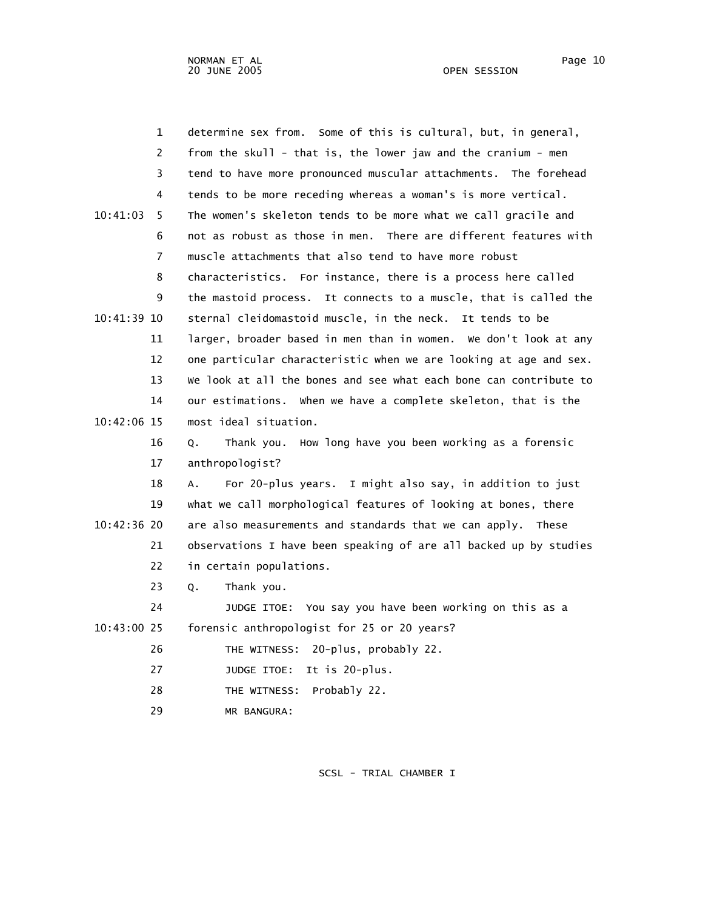|               | $\mathbf 1$ | determine sex from. Some of this is cultural, but, in general,      |
|---------------|-------------|---------------------------------------------------------------------|
|               | 2           | from the skull - that is, the lower jaw and the cranium - men       |
|               | 3           | tend to have more pronounced muscular attachments. The forehead     |
|               | 4           | tends to be more receding whereas a woman's is more vertical.       |
| 10:41:03      | 5           | The women's skeleton tends to be more what we call gracile and      |
|               | 6           | not as robust as those in men. There are different features with    |
|               | 7           | muscle attachments that also tend to have more robust               |
|               | 8           | characteristics. For instance, there is a process here called       |
|               | 9           | It connects to a muscle, that is called the<br>the mastoid process. |
| 10:41:39 10   |             | sternal cleidomastoid muscle, in the neck. It tends to be           |
|               | 11          | larger, broader based in men than in women. We don't look at any    |
|               | 12          | one particular characteristic when we are looking at age and sex.   |
|               | 13          | We look at all the bones and see what each bone can contribute to   |
|               | 14          | our estimations. When we have a complete skeleton, that is the      |
| 10:42:06 15   |             | most ideal situation.                                               |
|               | 16          | Thank you. How long have you been working as a forensic<br>Q.       |
|               | 17          | anthropologist?                                                     |
|               | 18          | For 20-plus years. I might also say, in addition to just<br>А.      |
|               | 19          | what we call morphological features of looking at bones, there      |
| 10:42:36 20   |             | are also measurements and standards that we can apply. These        |
|               | 21          | observations I have been speaking of are all backed up by studies   |
|               | 22          | in certain populations.                                             |
|               | 23          | Thank you.<br>Q.                                                    |
|               | 24          | JUDGE ITOE: You say you have been working on this as a              |
| $10:43:00$ 25 |             | forensic anthropologist for 25 or 20 years?                         |
|               | 26          | 20-plus, probably 22.<br>THE WITNESS:                               |
|               | 27          | JUDGE ITOE: It is 20-plus.                                          |
|               | 28          | THE WITNESS:<br>Probably 22.                                        |
|               | 29          | MR BANGURA:                                                         |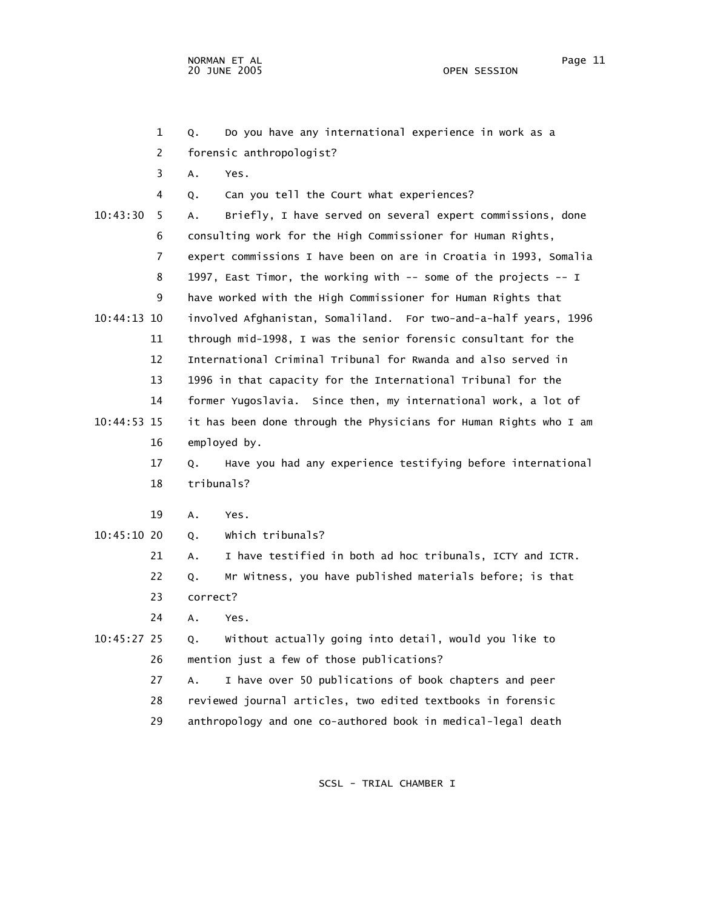1 Q. Do you have any international experience in work as a 2 forensic anthropologist? 3 A. Yes. 4 Q. Can you tell the Court what experiences? 10:43:30 5 A. Briefly, I have served on several expert commissions, done 6 consulting work for the High Commissioner for Human Rights, 7 expert commissions I have been on are in Croatia in 1993, Somalia 8 1997, East Timor, the working with -- some of the projects -- I 9 have worked with the High Commissioner for Human Rights that 10:44:13 10 involved Afghanistan, Somaliland. For two-and-a-half years, 1996 11 through mid-1998, I was the senior forensic consultant for the 12 International Criminal Tribunal for Rwanda and also served in 13 1996 in that capacity for the International Tribunal for the 14 former Yugoslavia. Since then, my international work, a lot of 10:44:53 15 it has been done through the Physicians for Human Rights who I am 16 employed by. 17 Q. Have you had any experience testifying before international 18 tribunals? 19 A. Yes. 10:45:10 20 Q. Which tribunals? 21 A. I have testified in both ad hoc tribunals, ICTY and ICTR. 22 Q. Mr Witness, you have published materials before; is that 23 correct? 24 A. Yes. 10:45:27 25 Q. Without actually going into detail, would you like to 26 mention just a few of those publications? 27 A. I have over 50 publications of book chapters and peer 28 reviewed journal articles, two edited textbooks in forensic

29 anthropology and one co-authored book in medical-legal death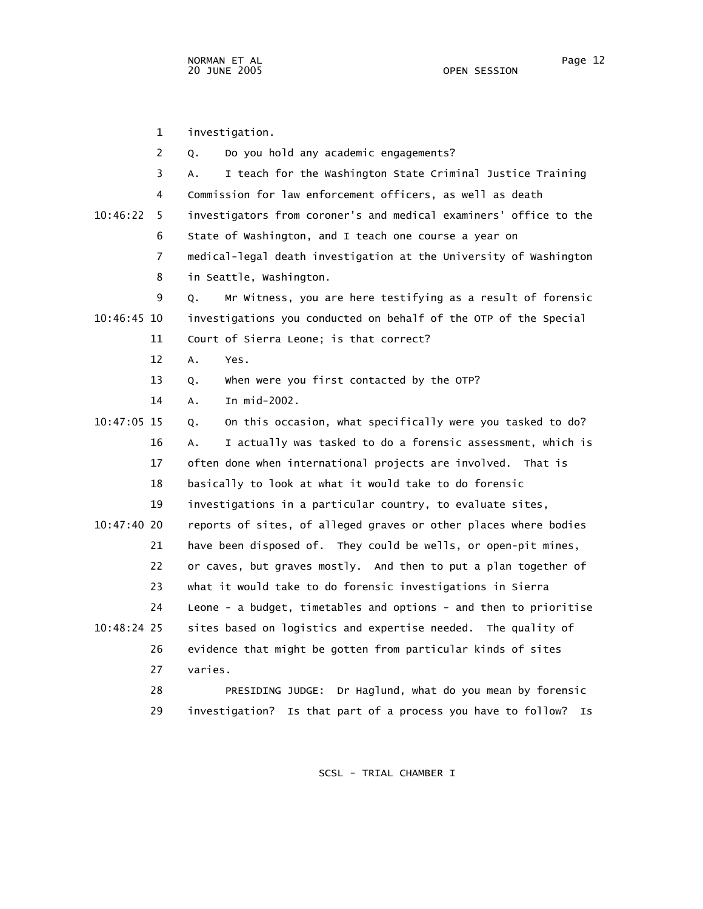1 investigation. 2 Q. Do you hold any academic engagements? 3 A. I teach for the Washington State Criminal Justice Training 4 Commission for law enforcement officers, as well as death 10:46:22 5 investigators from coroner's and medical examiners' office to the 6 State of Washington, and I teach one course a year on 7 medical-legal death investigation at the University of Washington 8 in Seattle, Washington. 9 Q. Mr Witness, you are here testifying as a result of forensic 10:46:45 10 investigations you conducted on behalf of the OTP of the Special 11 Court of Sierra Leone; is that correct? 12 A. Yes. 13 Q. When were you first contacted by the OTP? 14 A. In mid-2002. 10:47:05 15 Q. On this occasion, what specifically were you tasked to do? 16 A. I actually was tasked to do a forensic assessment, which is 17 often done when international projects are involved. That is 18 basically to look at what it would take to do forensic 19 investigations in a particular country, to evaluate sites, 10:47:40 20 reports of sites, of alleged graves or other places where bodies 21 have been disposed of. They could be wells, or open-pit mines, 22 or caves, but graves mostly. And then to put a plan together of 23 what it would take to do forensic investigations in Sierra 24 Leone - a budget, timetables and options - and then to prioritise 10:48:24 25 sites based on logistics and expertise needed. The quality of 26 evidence that might be gotten from particular kinds of sites 27 varies. 28 PRESIDING JUDGE: Dr Haglund, what do you mean by forensic 29 investigation? Is that part of a process you have to follow? Is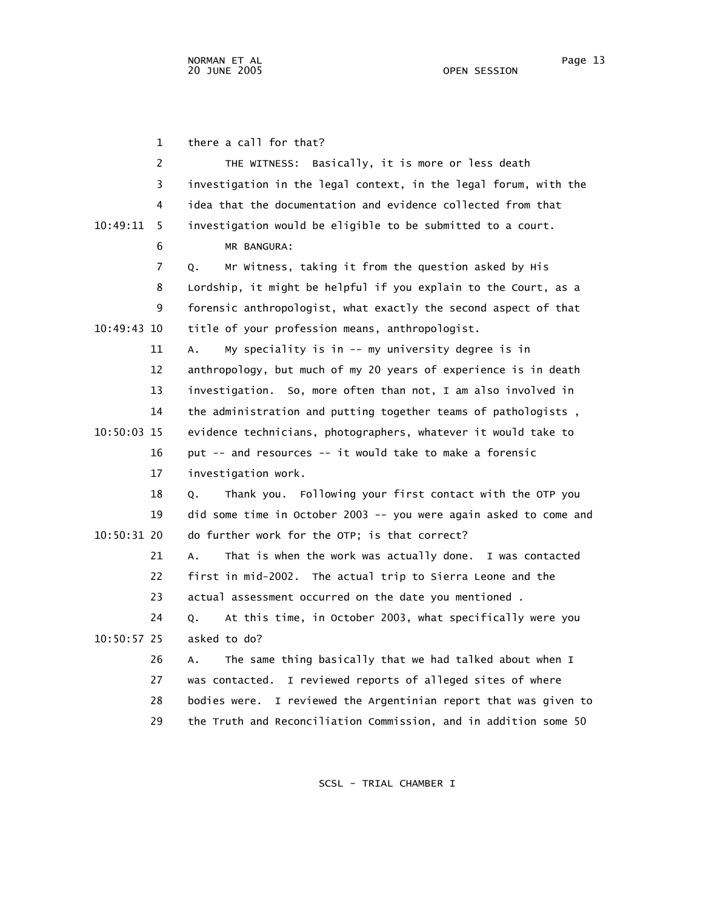1 there a call for that? 2 THE WITNESS: Basically, it is more or less death 3 investigation in the legal context, in the legal forum, with the 4 idea that the documentation and evidence collected from that 10:49:11 5 investigation would be eligible to be submitted to a court. 6 MR BANGURA: 7 Q. Mr Witness, taking it from the question asked by His 8 Lordship, it might be helpful if you explain to the Court, as a 9 forensic anthropologist, what exactly the second aspect of that 10:49:43 10 title of your profession means, anthropologist. 11 A. My speciality is in -- my university degree is in 12 anthropology, but much of my 20 years of experience is in death 13 investigation. So, more often than not, I am also involved in 14 the administration and putting together teams of pathologists , 10:50:03 15 evidence technicians, photographers, whatever it would take to 16 put -- and resources -- it would take to make a forensic 17 investigation work. 18 Q. Thank you. Following your first contact with the OTP you 19 did some time in October 2003 -- you were again asked to come and 10:50:31 20 do further work for the OTP; is that correct? 21 A. That is when the work was actually done. I was contacted 22 first in mid-2002. The actual trip to Sierra Leone and the 23 actual assessment occurred on the date you mentioned . 24 Q. At this time, in October 2003, what specifically were you 10:50:57 25 asked to do? 26 A. The same thing basically that we had talked about when I 27 was contacted. I reviewed reports of alleged sites of where 28 bodies were. I reviewed the Argentinian report that was given to 29 the Truth and Reconciliation Commission, and in addition some 50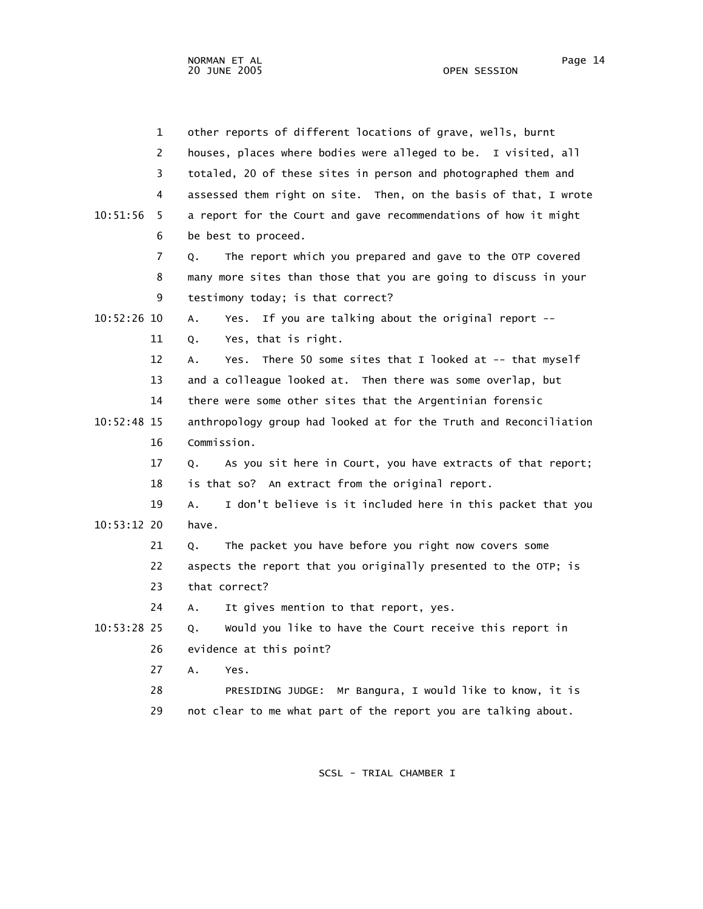| 1              | other reports of different locations of grave, wells, burnt       |
|----------------|-------------------------------------------------------------------|
| 2              | houses, places where bodies were alleged to be. I visited, all    |
| 3              | totaled, 20 of these sites in person and photographed them and    |
| 4              | assessed them right on site. Then, on the basis of that, I wrote  |
| 10:51:56<br>5  | a report for the Court and gave recommendations of how it might   |
| 6              | be best to proceed.                                               |
| $\overline{7}$ | The report which you prepared and gave to the OTP covered<br>Q.   |
| 8              | many more sites than those that you are going to discuss in your  |
| 9              | testimony today; is that correct?                                 |
| 10:52:26 10    | Yes. If you are talking about the original report --<br>Α.        |
| 11             | Yes, that is right.<br>Q.                                         |
| 12             | There 50 some sites that I looked at -- that myself<br>A.<br>Yes. |
| 13             | and a colleague looked at. Then there was some overlap, but       |
| 14             | there were some other sites that the Argentinian forensic         |
| 10:52:48 15    | anthropology group had looked at for the Truth and Reconciliation |
| 16             | Commission.                                                       |
| 17             | As you sit here in Court, you have extracts of that report;<br>Q. |
| 18             | is that so? An extract from the original report.                  |
| 19             | I don't believe is it included here in this packet that you<br>Α. |
| 10:53:12 20    | have.                                                             |
| 21             | The packet you have before you right now covers some<br>Q.        |
| 22             | aspects the report that you originally presented to the OTP; is   |
| 23             | that correct?                                                     |
| 24             | It gives mention to that report, yes.<br>Α.                       |
| 10:53:28 25    | Would you like to have the Court receive this report in<br>Q.     |
| 26             | evidence at this point?                                           |
| 27             | Α.<br>Yes.                                                        |
| 28             | PRESIDING JUDGE: Mr Bangura, I would like to know, it is          |
| 29             | not clear to me what part of the report you are talking about.    |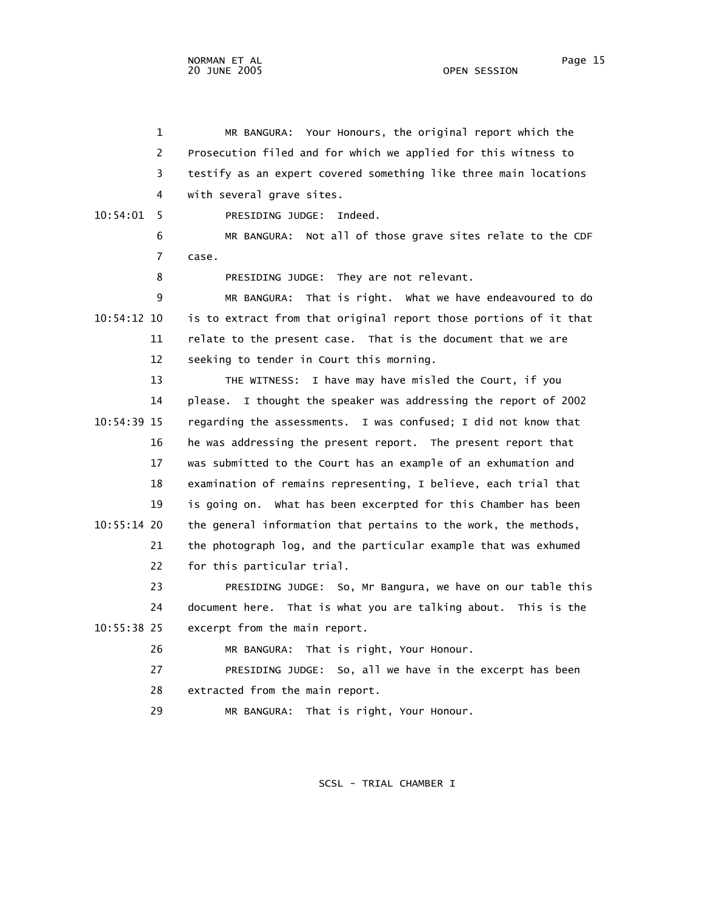1 MR BANGURA: Your Honours, the original report which the 2 Prosecution filed and for which we applied for this witness to 3 testify as an expert covered something like three main locations 4 with several grave sites. 10:54:01 5 PRESIDING JUDGE: Indeed. 6 MR BANGURA: Not all of those grave sites relate to the CDF 7 case. 8 PRESIDING JUDGE: They are not relevant. 9 MR BANGURA: That is right. What we have endeavoured to do 10:54:12 10 is to extract from that original report those portions of it that 11 relate to the present case. That is the document that we are 12 seeking to tender in Court this morning. 13 THE WITNESS: I have may have misled the Court, if you 14 please. I thought the speaker was addressing the report of 2002 10:54:39 15 regarding the assessments. I was confused; I did not know that 16 he was addressing the present report. The present report that 17 was submitted to the Court has an example of an exhumation and 18 examination of remains representing, I believe, each trial that 19 is going on. What has been excerpted for this Chamber has been 10:55:14 20 the general information that pertains to the work, the methods, 21 the photograph log, and the particular example that was exhumed 22 for this particular trial. 23 PRESIDING JUDGE: So, Mr Bangura, we have on our table this 24 document here. That is what you are talking about. This is the 10:55:38 25 excerpt from the main report. 26 MR BANGURA: That is right, Your Honour. 27 PRESIDING JUDGE: So, all we have in the excerpt has been 28 extracted from the main report. 29 MR BANGURA: That is right, Your Honour.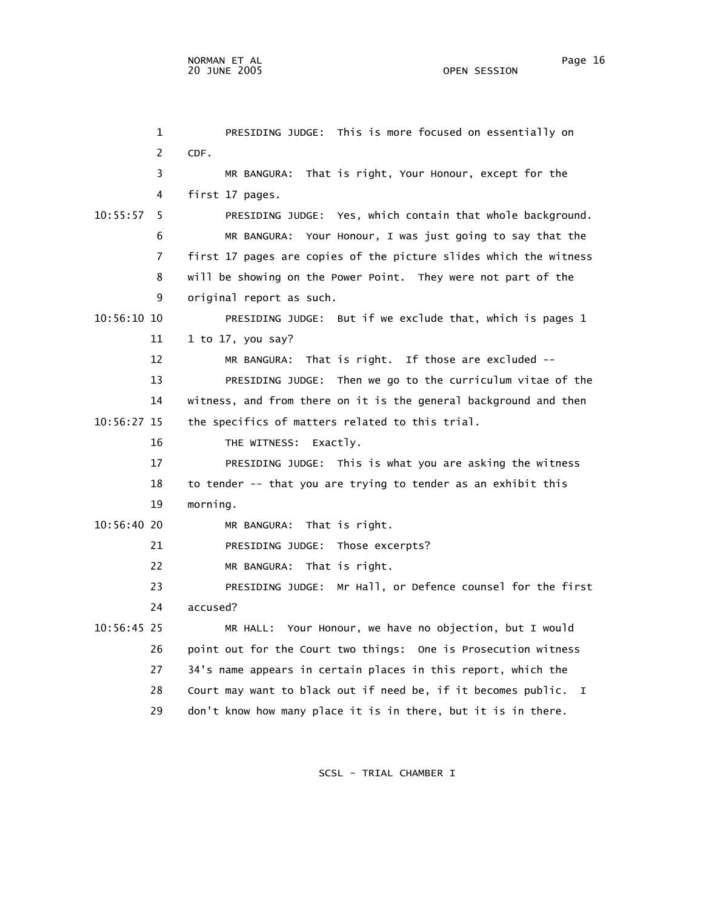1 PRESIDING JUDGE: This is more focused on essentially on 2 CDF. 3 MR BANGURA: That is right, Your Honour, except for the 4 first 17 pages. 10:55:57 5 PRESIDING JUDGE: Yes, which contain that whole background. 6 MR BANGURA: Your Honour, I was just going to say that the 7 first 17 pages are copies of the picture slides which the witness 8 will be showing on the Power Point. They were not part of the 9 original report as such. 10:56:10 10 PRESIDING JUDGE: But if we exclude that, which is pages 1 11 1 to 17, you say? 12 MR BANGURA: That is right. If those are excluded -- 13 PRESIDING JUDGE: Then we go to the curriculum vitae of the 14 witness, and from there on it is the general background and then 10:56:27 15 the specifics of matters related to this trial. 16 THE WITNESS: Exactly. 17 PRESIDING JUDGE: This is what you are asking the witness 18 to tender -- that you are trying to tender as an exhibit this 19 morning. 10:56:40 20 MR BANGURA: That is right. 21 PRESIDING JUDGE: Those excerpts? 22 MR BANGURA: That is right. 23 PRESIDING JUDGE: Mr Hall, or Defence counsel for the first 24 accused? 10:56:45 25 MR HALL: Your Honour, we have no objection, but I would 26 point out for the Court two things: One is Prosecution witness 27 34's name appears in certain places in this report, which the 28 Court may want to black out if need be, if it becomes public. I 29 don't know how many place it is in there, but it is in there.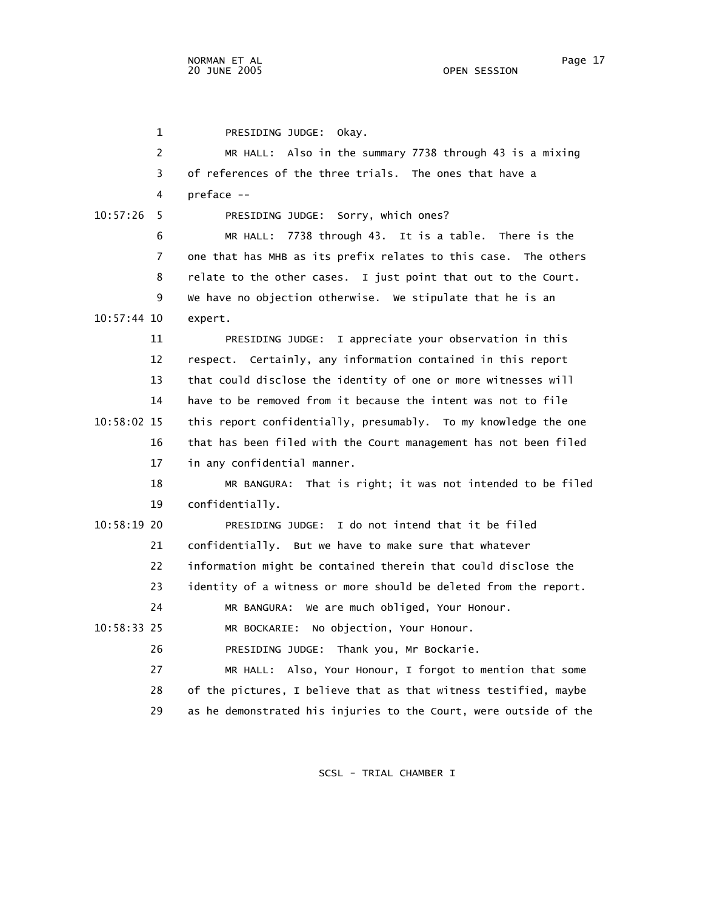1 PRESIDING JUDGE: Okay.

| 2             | MR HALL: Also in the summary 7738 through 43 is a mixing          |
|---------------|-------------------------------------------------------------------|
| 3             | of references of the three trials. The ones that have a           |
| 4             | preface --                                                        |
| 10:57:26<br>5 | PRESIDING JUDGE: Sorry, which ones?                               |
| 6             | MR HALL: 7738 through 43. It is a table. There is the             |
| 7             | one that has MHB as its prefix relates to this case. The others   |
| 8             | relate to the other cases. I just point that out to the Court.    |
| 9             | We have no objection otherwise. We stipulate that he is an        |
| 10:57:44 10   | expert.                                                           |
| 11            | PRESIDING JUDGE: I appreciate your observation in this            |
| 12            | respect. Certainly, any information contained in this report      |
| 13            | that could disclose the identity of one or more witnesses will    |
| 14            | have to be removed from it because the intent was not to file     |
| 10:58:02 15   | this report confidentially, presumably. To my knowledge the one   |
| 16            | that has been filed with the Court management has not been filed  |
| 17            | in any confidential manner.                                       |
| 18            | MR BANGURA: That is right; it was not intended to be filed        |
| 19            | confidentially.                                                   |
| 10:58:19 20   | I do not intend that it be filed<br>PRESIDING JUDGE:              |
| 21            | confidentially. But we have to make sure that whatever            |
| 22            | information might be contained therein that could disclose the    |
| 23            | identity of a witness or more should be deleted from the report.  |
| 24            | MR BANGURA: We are much obliged, Your Honour.                     |
| $10:58:33$ 25 | No objection, Your Honour.<br>MR BOCKARIE:                        |
| 26            | PRESIDING JUDGE: Thank you, Mr Bockarie.                          |
| 27            | MR HALL: Also, Your Honour, I forgot to mention that some         |
| 28            | of the pictures, I believe that as that witness testified, maybe  |
| 29            | as he demonstrated his injuries to the Court, were outside of the |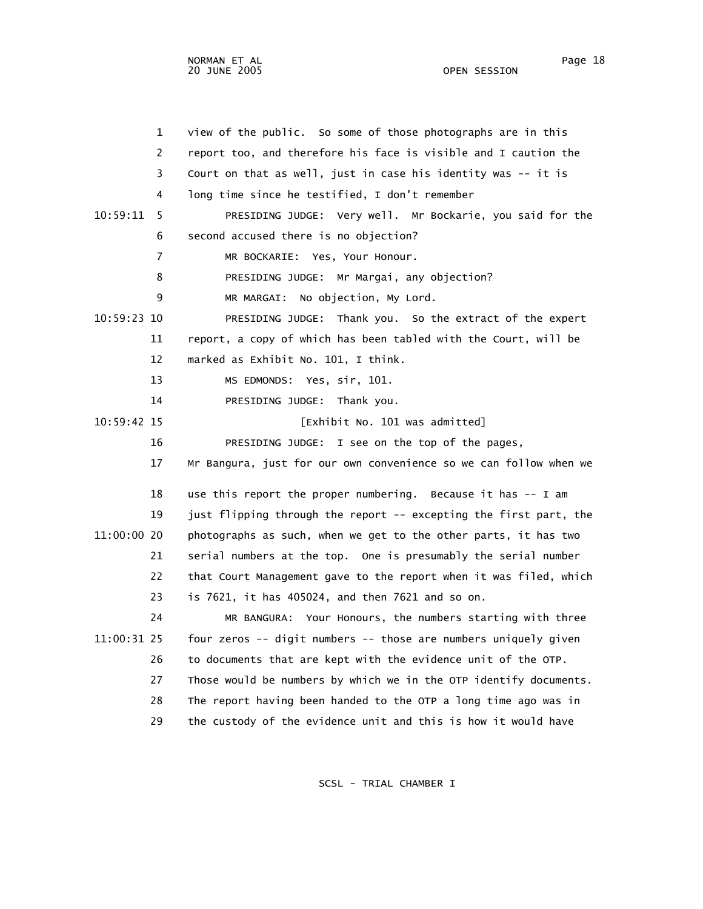1 view of the public. So some of those photographs are in this 2 report too, and therefore his face is visible and I caution the 3 Court on that as well, just in case his identity was -- it is 4 long time since he testified, I don't remember 10:59:11 5 PRESIDING JUDGE: Very well. Mr Bockarie, you said for the 6 second accused there is no objection? 7 MR BOCKARIE: Yes, Your Honour. 8 PRESIDING JUDGE: Mr Margai, any objection? 9 MR MARGAI: No objection, My Lord. 10:59:23 10 PRESIDING JUDGE: Thank you. So the extract of the expert 11 report, a copy of which has been tabled with the Court, will be 12 marked as Exhibit No. 101, I think. 13 MS EDMONDS: Yes, sir, 101. 14 PRESIDING JUDGE: Thank you. 10:59:42 15 [Exhibit No. 101 was admitted] 16 PRESIDING JUDGE: I see on the top of the pages, 17 Mr Bangura, just for our own convenience so we can follow when we 18 use this report the proper numbering. Because it has -- I am 19 just flipping through the report -- excepting the first part, the 11:00:00 20 photographs as such, when we get to the other parts, it has two 21 serial numbers at the top. One is presumably the serial number 22 that Court Management gave to the report when it was filed, which 23 is 7621, it has 405024, and then 7621 and so on. 24 MR BANGURA: Your Honours, the numbers starting with three 11:00:31 25 four zeros -- digit numbers -- those are numbers uniquely given 26 to documents that are kept with the evidence unit of the OTP. 27 Those would be numbers by which we in the OTP identify documents. 28 The report having been handed to the OTP a long time ago was in

SCSL - TRIAL CHAMBER I

29 the custody of the evidence unit and this is how it would have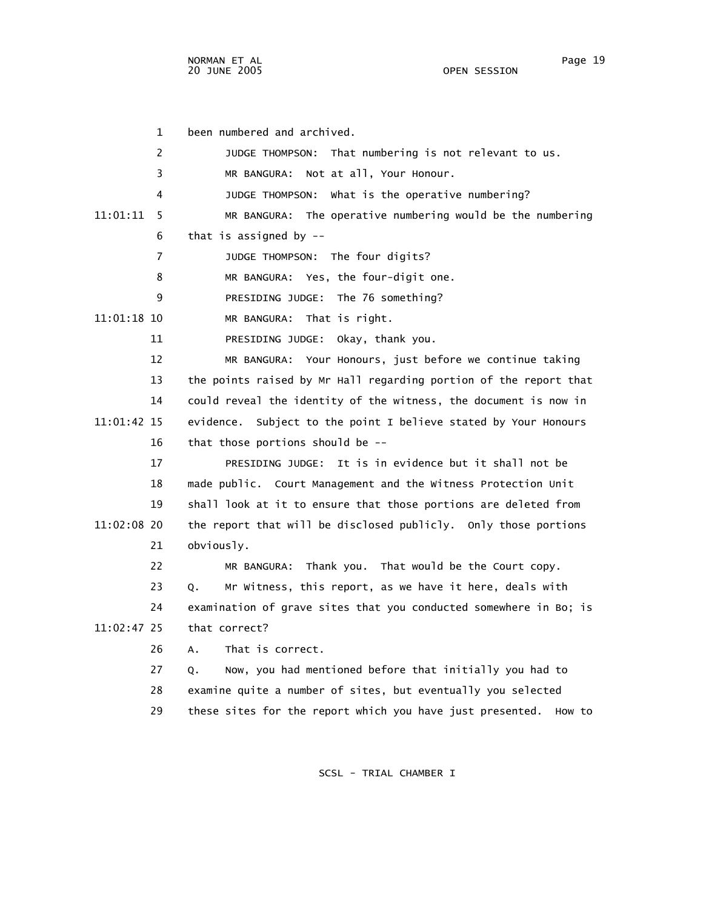|             | 1  | been numbered and archived.                                         |
|-------------|----|---------------------------------------------------------------------|
|             | 2  | JUDGE THOMPSON: That numbering is not relevant to us.               |
|             | 3  | MR BANGURA: Not at all, Your Honour.                                |
|             | 4  | What is the operative numbering?<br>JUDGE THOMPSON:                 |
| 11:01:11    | 5  | The operative numbering would be the numbering<br>MR BANGURA:       |
|             | 6  | that is assigned by $-$                                             |
|             | 7  | JUDGE THOMPSON: The four digits?                                    |
|             | 8  | MR BANGURA: Yes, the four-digit one.                                |
|             | 9  | PRESIDING JUDGE: The 76 something?                                  |
| 11:01:18 10 |    | MR BANGURA: That is right.                                          |
|             | 11 | PRESIDING JUDGE: Okay, thank you.                                   |
|             | 12 | MR BANGURA: Your Honours, just before we continue taking            |
|             | 13 | the points raised by Mr Hall regarding portion of the report that   |
|             | 14 | could reveal the identity of the witness, the document is now in    |
| 11:01:42 15 |    | evidence.<br>Subject to the point I believe stated by Your Honours  |
|             | 16 | that those portions should be --                                    |
|             | 17 | PRESIDING JUDGE: It is in evidence but it shall not be              |
|             | 18 | made public. Court Management and the Witness Protection Unit       |
|             | 19 | shall look at it to ensure that those portions are deleted from     |
| 11:02:08 20 |    | the report that will be disclosed publicly. Only those portions     |
|             | 21 | obviously.                                                          |
|             | 22 | MR BANGURA: Thank you. That would be the Court copy.                |
|             | 23 | Mr Witness, this report, as we have it here, deals with<br>Q.       |
|             | 24 | examination of grave sites that you conducted somewhere in Bo; is   |
| 11:02:47 25 |    | that correct?                                                       |
|             | 26 | That is correct.<br>А.                                              |
|             | 27 | Now, you had mentioned before that initially you had to<br>Q.       |
|             | 28 | examine quite a number of sites, but eventually you selected        |
|             | 29 | these sites for the report which you have just presented.<br>How to |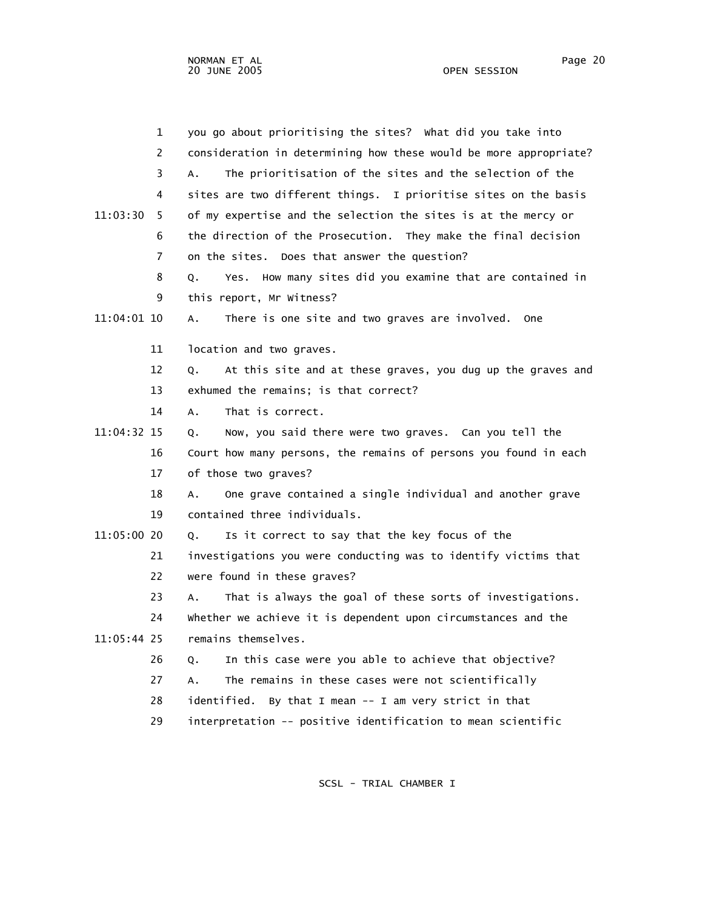|               | $\mathbf 1$ | you go about prioritising the sites? What did you take into       |
|---------------|-------------|-------------------------------------------------------------------|
|               | 2           | consideration in determining how these would be more appropriate? |
|               | 3           | The prioritisation of the sites and the selection of the<br>A.    |
|               | 4           | sites are two different things. I prioritise sites on the basis   |
| 11:03:30      | 5           | of my expertise and the selection the sites is at the mercy or    |
|               | 6           | the direction of the Prosecution. They make the final decision    |
|               | 7           | on the sites. Does that answer the question?                      |
|               | 8           | Yes. How many sites did you examine that are contained in<br>Q.   |
|               | 9           | this report, Mr Witness?                                          |
| 11:04:01 10   |             | There is one site and two graves are involved. One<br>Α.          |
|               | 11          | location and two graves.                                          |
|               | 12          | At this site and at these graves, you dug up the graves and<br>Q. |
|               | 13          | exhumed the remains; is that correct?                             |
|               | 14          | That is correct.<br>A.                                            |
| 11:04:32 15   |             | Now, you said there were two graves. Can you tell the<br>Q.       |
|               | 16          | Court how many persons, the remains of persons you found in each  |
|               | 17          | of those two graves?                                              |
|               | 18          | One grave contained a single individual and another grave<br>A.   |
|               | 19          | contained three individuals.                                      |
| 11:05:00 20   |             | Is it correct to say that the key focus of the<br>Q.              |
|               | 21          | investigations you were conducting was to identify victims that   |
|               | 22          | were found in these graves?                                       |
|               | 23          | That is always the goal of these sorts of investigations.<br>А.   |
|               | 24          | whether we achieve it is dependent upon circumstances and the     |
| $11:05:44$ 25 |             | remains themselves.                                               |
|               | 26          | In this case were you able to achieve that objective?<br>Q.       |
|               | 27          | The remains in these cases were not scientifically<br>A.          |
|               | 28          | By that I mean -- I am very strict in that<br>identified.         |
|               | 29          | interpretation -- positive identification to mean scientific      |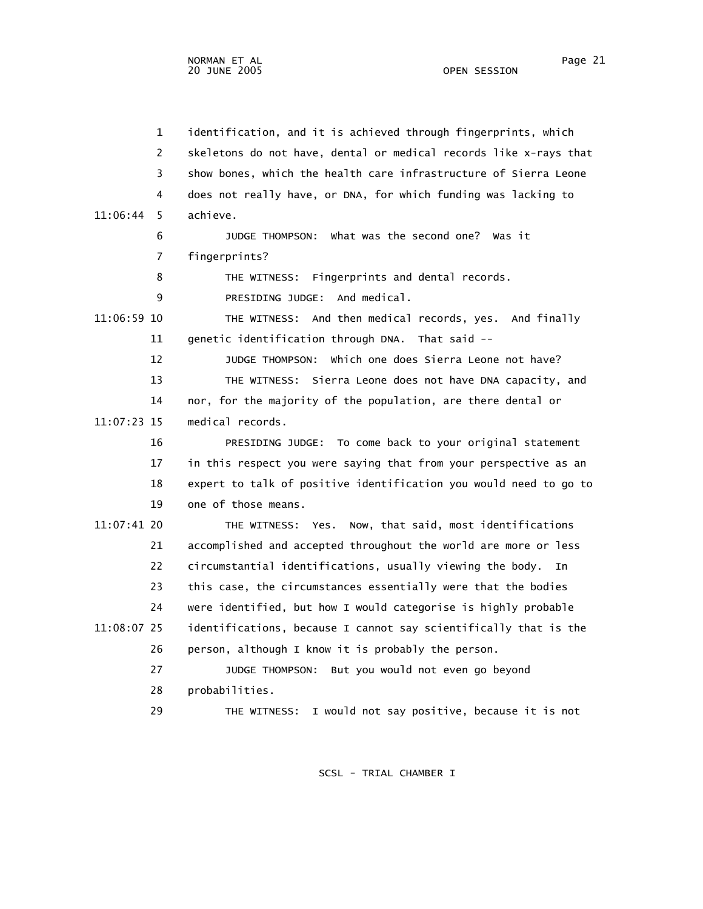1 identification, and it is achieved through fingerprints, which 2 skeletons do not have, dental or medical records like x-rays that 3 show bones, which the health care infrastructure of Sierra Leone 4 does not really have, or DNA, for which funding was lacking to 11:06:44 5 achieve. 6 JUDGE THOMPSON: What was the second one? Was it 7 fingerprints? 8 THE WITNESS: Fingerprints and dental records. 9 PRESIDING JUDGE: And medical. 11:06:59 10 THE WITNESS: And then medical records, yes. And finally 11 genetic identification through DNA. That said -- 12 JUDGE THOMPSON: Which one does Sierra Leone not have? 13 THE WITNESS: Sierra Leone does not have DNA capacity, and 14 nor, for the majority of the population, are there dental or 11:07:23 15 medical records. 16 PRESIDING JUDGE: To come back to your original statement 17 in this respect you were saying that from your perspective as an 18 expert to talk of positive identification you would need to go to 19 one of those means. 11:07:41 20 THE WITNESS: Yes. Now, that said, most identifications 21 accomplished and accepted throughout the world are more or less 22 circumstantial identifications, usually viewing the body. In 23 this case, the circumstances essentially were that the bodies 24 were identified, but how I would categorise is highly probable 11:08:07 25 identifications, because I cannot say scientifically that is the 26 person, although I know it is probably the person. 27 JUDGE THOMPSON: But you would not even go beyond 28 probabilities. 29 THE WITNESS: I would not say positive, because it is not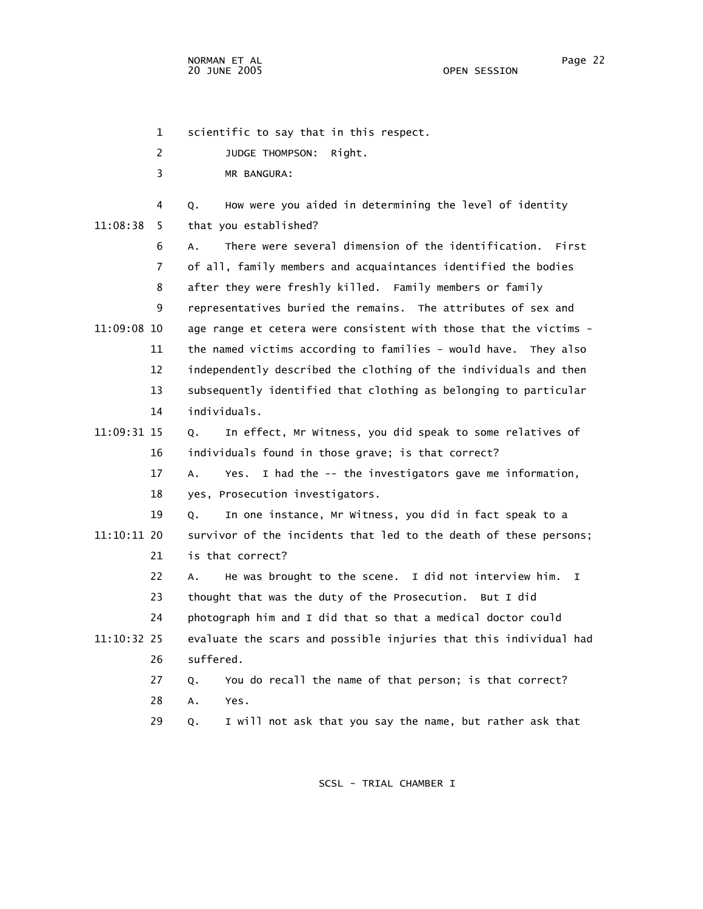1 scientific to say that in this respect.

2 JUDGE THOMPSON: Right.

3 MR BANGURA:

 4 Q. How were you aided in determining the level of identity 11:08:38 5 that you established?

 6 A. There were several dimension of the identification. First 7 of all, family members and acquaintances identified the bodies 8 after they were freshly killed. Family members or family 9 representatives buried the remains. The attributes of sex and 11:09:08 10 age range et cetera were consistent with those that the victims - 11 the named victims according to families - would have. They also 12 independently described the clothing of the individuals and then 13 subsequently identified that clothing as belonging to particular 14 individuals.

 11:09:31 15 Q. In effect, Mr Witness, you did speak to some relatives of 16 individuals found in those grave; is that correct?

> 17 A. Yes. I had the -- the investigators gave me information, 18 yes, Prosecution investigators.

 19 Q. In one instance, Mr Witness, you did in fact speak to a 11:10:11 20 survivor of the incidents that led to the death of these persons; 21 is that correct?

 22 A. He was brought to the scene. I did not interview him. I 23 thought that was the duty of the Prosecution. But I did 24 photograph him and I did that so that a medical doctor could 11:10:32 25 evaluate the scars and possible injuries that this individual had 26 suffered.

> 27 Q. You do recall the name of that person; is that correct? 28 A. Yes.

29 Q. I will not ask that you say the name, but rather ask that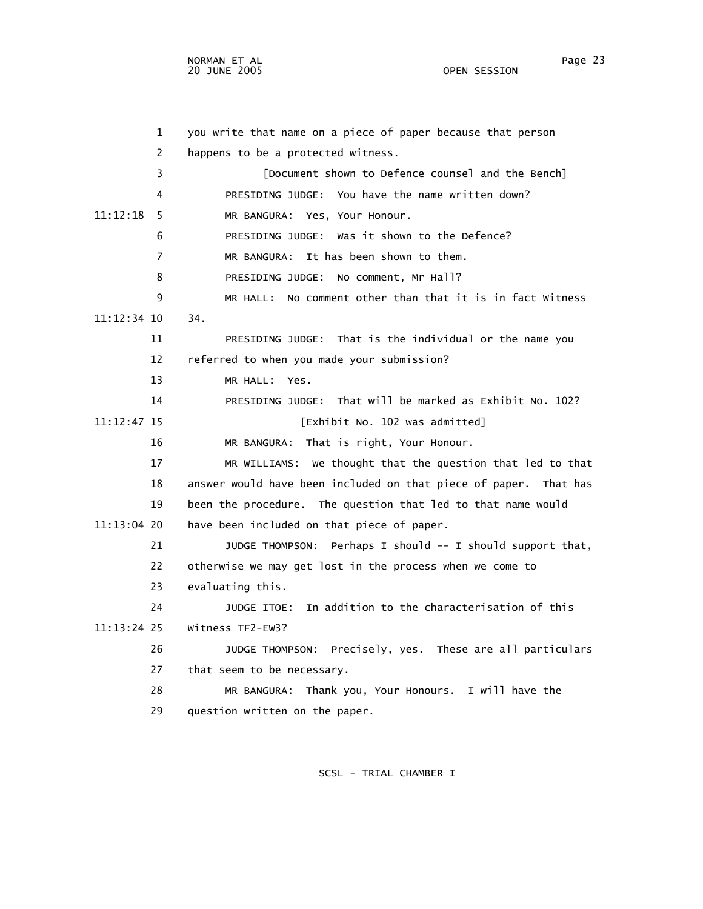1 you write that name on a piece of paper because that person 2 happens to be a protected witness. 3 [Document shown to Defence counsel and the Bench] 4 PRESIDING JUDGE: You have the name written down? 11:12:18 5 MR BANGURA: Yes, Your Honour. 6 PRESIDING JUDGE: Was it shown to the Defence? 7 MR BANGURA: It has been shown to them. 8 PRESIDING JUDGE: No comment, Mr Hall? 9 MR HALL: No comment other than that it is in fact Witness 11:12:34 10 34. 11 PRESIDING JUDGE: That is the individual or the name you 12 referred to when you made your submission? 13 MR HALL: Yes. 14 PRESIDING JUDGE: That will be marked as Exhibit No. 102? 11:12:47 15 [Exhibit No. 102 was admitted] 16 MR BANGURA: That is right, Your Honour. 17 MR WILLIAMS: We thought that the question that led to that 18 answer would have been included on that piece of paper. That has 19 been the procedure. The question that led to that name would 11:13:04 20 have been included on that piece of paper. 21 JUDGE THOMPSON: Perhaps I should -- I should support that, 22 otherwise we may get lost in the process when we come to 23 evaluating this. 24 JUDGE ITOE: In addition to the characterisation of this 11:13:24 25 Witness TF2-EW3? 26 JUDGE THOMPSON: Precisely, yes. These are all particulars 27 that seem to be necessary. 28 MR BANGURA: Thank you, Your Honours. I will have the 29 question written on the paper.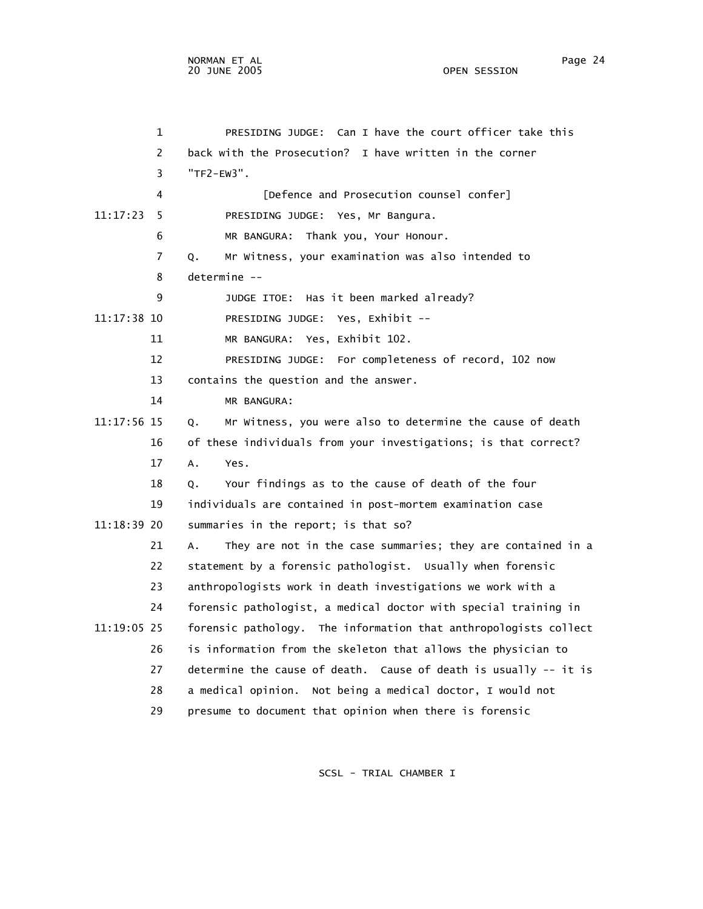1 PRESIDING JUDGE: Can I have the court officer take this 2 back with the Prosecution? I have written in the corner 3 "TF2-EW3". 4 [Defence and Prosecution counsel confer] 11:17:23 5 PRESIDING JUDGE: Yes, Mr Bangura. 6 MR BANGURA: Thank you, Your Honour. 7 Q. Mr Witness, your examination was also intended to 8 determine -- 9 JUDGE ITOE: Has it been marked already? 11:17:38 10 PRESIDING JUDGE: Yes, Exhibit -- 11 MR BANGURA: Yes, Exhibit 102. 12 PRESIDING JUDGE: For completeness of record, 102 now 13 contains the question and the answer. 14 MR BANGURA: 11:17:56 15 Q. Mr Witness, you were also to determine the cause of death 16 of these individuals from your investigations; is that correct? 17 A. Yes. 18 Q. Your findings as to the cause of death of the four 19 individuals are contained in post-mortem examination case 11:18:39 20 summaries in the report; is that so? 21 A. They are not in the case summaries; they are contained in a 22 statement by a forensic pathologist. Usually when forensic 23 anthropologists work in death investigations we work with a 24 forensic pathologist, a medical doctor with special training in 11:19:05 25 forensic pathology. The information that anthropologists collect 26 is information from the skeleton that allows the physician to 27 determine the cause of death. Cause of death is usually -- it is 28 a medical opinion. Not being a medical doctor, I would not 29 presume to document that opinion when there is forensic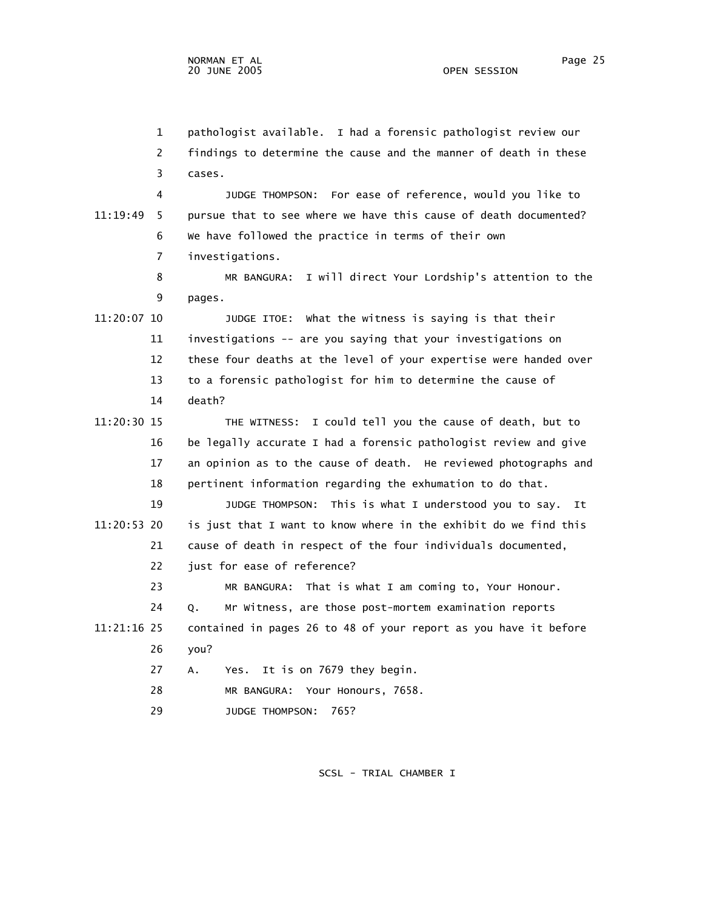1 pathologist available. I had a forensic pathologist review our 2 findings to determine the cause and the manner of death in these 3 cases. 4 JUDGE THOMPSON: For ease of reference, would you like to 11:19:49 5 pursue that to see where we have this cause of death documented? 6 We have followed the practice in terms of their own 7 investigations. 8 MR BANGURA: I will direct Your Lordship's attention to the 9 pages. 11:20:07 10 JUDGE ITOE: What the witness is saying is that their 11 investigations -- are you saying that your investigations on 12 these four deaths at the level of your expertise were handed over 13 to a forensic pathologist for him to determine the cause of 14 death? 11:20:30 15 THE WITNESS: I could tell you the cause of death, but to 16 be legally accurate I had a forensic pathologist review and give 17 an opinion as to the cause of death. He reviewed photographs and 18 pertinent information regarding the exhumation to do that. 19 JUDGE THOMPSON: This is what I understood you to say. It 11:20:53 20 is just that I want to know where in the exhibit do we find this 21 cause of death in respect of the four individuals documented, 22 just for ease of reference? 23 MR BANGURA: That is what I am coming to, Your Honour. 24 Q. Mr Witness, are those post-mortem examination reports 11:21:16 25 contained in pages 26 to 48 of your report as you have it before 26 you? 27 A. Yes. It is on 7679 they begin. 28 MR BANGURA: Your Honours, 7658. 29 JUDGE THOMPSON: 765?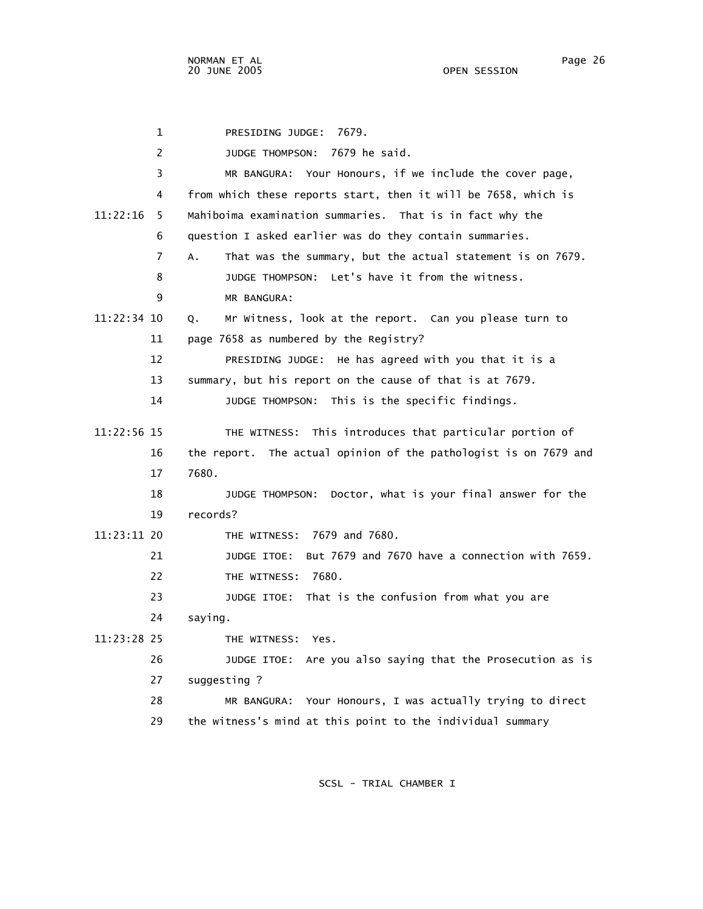1 PRESIDING JUDGE: 7679. 2 JUDGE THOMPSON: 7679 he said. 3 MR BANGURA: Your Honours, if we include the cover page, 4 from which these reports start, then it will be 7658, which is 11:22:16 5 Mahiboima examination summaries. That is in fact why the 6 question I asked earlier was do they contain summaries. 7 A. That was the summary, but the actual statement is on 7679. 8 JUDGE THOMPSON: Let's have it from the witness. 9 MR BANGURA: 11:22:34 10 Q. Mr Witness, look at the report. Can you please turn to 11 page 7658 as numbered by the Registry? 12 PRESIDING JUDGE: He has agreed with you that it is a 13 summary, but his report on the cause of that is at 7679. 14 JUDGE THOMPSON: This is the specific findings. 11:22:56 15 THE WITNESS: This introduces that particular portion of 16 the report. The actual opinion of the pathologist is on 7679 and 17 7680. 18 JUDGE THOMPSON: Doctor, what is your final answer for the 19 records? 11:23:11 20 THE WITNESS: 7679 and 7680. 21 JUDGE ITOE: But 7679 and 7670 have a connection with 7659. 22 THE WITNESS: 7680. 23 JUDGE ITOE: That is the confusion from what you are 24 saying. 11:23:28 25 THE WITNESS: Yes. 26 JUDGE ITOE: Are you also saying that the Prosecution as is 27 suggesting ? 28 MR BANGURA: Your Honours, I was actually trying to direct 29 the witness's mind at this point to the individual summary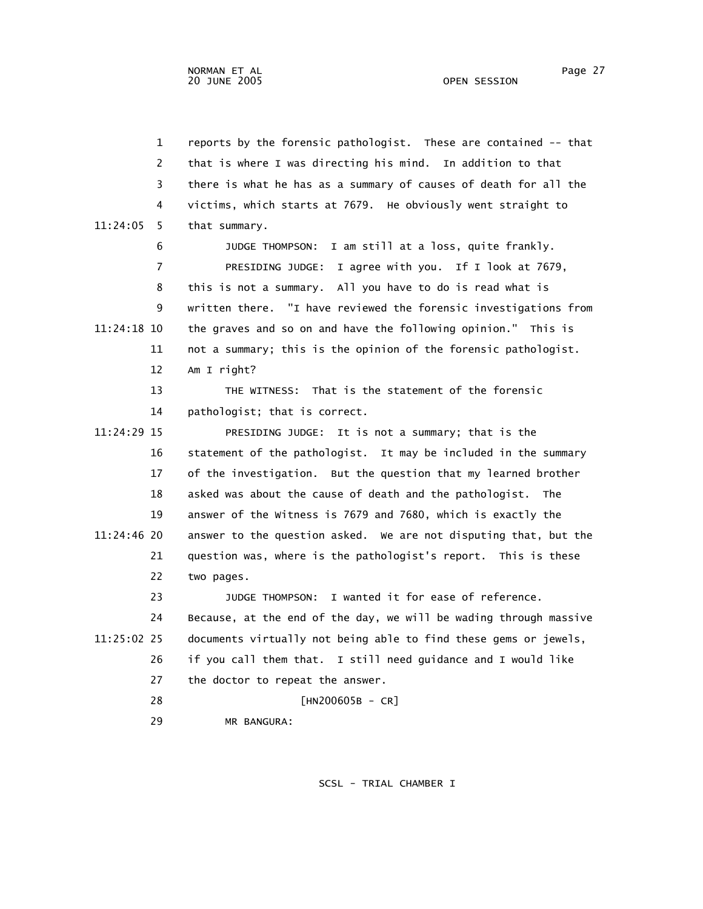| $\mathbf{1}$  | reports by the forensic pathologist. These are contained -- that  |
|---------------|-------------------------------------------------------------------|
| 2             | that is where I was directing his mind. In addition to that       |
| 3             | there is what he has as a summary of causes of death for all the  |
| 4             | victims, which starts at 7679. He obviously went straight to      |
| 11:24:05<br>5 | that summary.                                                     |
| 6             | JUDGE THOMPSON: I am still at a loss, quite frankly.              |
| 7             | PRESIDING JUDGE: I agree with you. If I look at 7679,             |
| 8             | this is not a summary. All you have to do is read what is         |
| 9             | written there. "I have reviewed the forensic investigations from  |
| 11:24:18 10   | the graves and so on and have the following opinion." This is     |
| 11            | not a summary; this is the opinion of the forensic pathologist.   |
| 12            | Am I right?                                                       |
| 13            | THE WITNESS: That is the statement of the forensic                |
| 14            | pathologist; that is correct.                                     |
| 11:24:29 15   | PRESIDING JUDGE: It is not a summary; that is the                 |
| 16            | statement of the pathologist. It may be included in the summary   |
| 17            | of the investigation. But the question that my learned brother    |
| 18            | asked was about the cause of death and the pathologist. The       |
| 19            | answer of the Witness is 7679 and 7680, which is exactly the      |
| 11:24:46 20   | answer to the question asked. We are not disputing that, but the  |
| 21            | question was, where is the pathologist's report. This is these    |
| 22            | two pages.                                                        |
| 23            | JUDGE THOMPSON: I wanted it for ease of reference.                |
| 24            | Because, at the end of the day, we will be wading through massive |
| 11:25:02 25   | documents virtually not being able to find these gems or jewels,  |
| 26            | if you call them that. I still need guidance and I would like     |
| 27            | the doctor to repeat the answer.                                  |
| 28            | $[HN200605B - CR]$                                                |
| 29            | MR BANGURA:                                                       |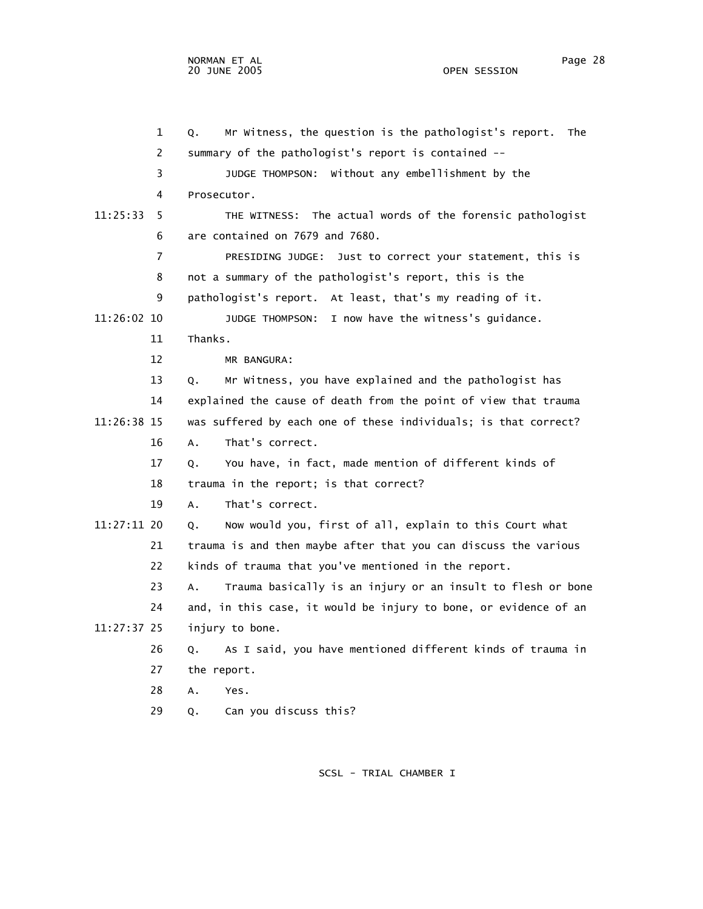1 Q. Mr Witness, the question is the pathologist's report. The 2 summary of the pathologist's report is contained -- 3 JUDGE THOMPSON: Without any embellishment by the 4 Prosecutor. 11:25:33 5 THE WITNESS: The actual words of the forensic pathologist 6 are contained on 7679 and 7680. 7 PRESIDING JUDGE: Just to correct your statement, this is 8 not a summary of the pathologist's report, this is the 9 pathologist's report. At least, that's my reading of it. 11:26:02 10 JUDGE THOMPSON: I now have the witness's guidance. 11 Thanks. 12 MR BANGURA: 13 Q. Mr Witness, you have explained and the pathologist has 14 explained the cause of death from the point of view that trauma 11:26:38 15 was suffered by each one of these individuals; is that correct? 16 A. That's correct. 17 Q. You have, in fact, made mention of different kinds of 18 trauma in the report; is that correct? 19 A. That's correct. 11:27:11 20 Q. Now would you, first of all, explain to this Court what 21 trauma is and then maybe after that you can discuss the various 22 kinds of trauma that you've mentioned in the report. 23 A. Trauma basically is an injury or an insult to flesh or bone 24 and, in this case, it would be injury to bone, or evidence of an 11:27:37 25 injury to bone. 26 Q. As I said, you have mentioned different kinds of trauma in 27 the report. 28 A. Yes. 29 Q. Can you discuss this?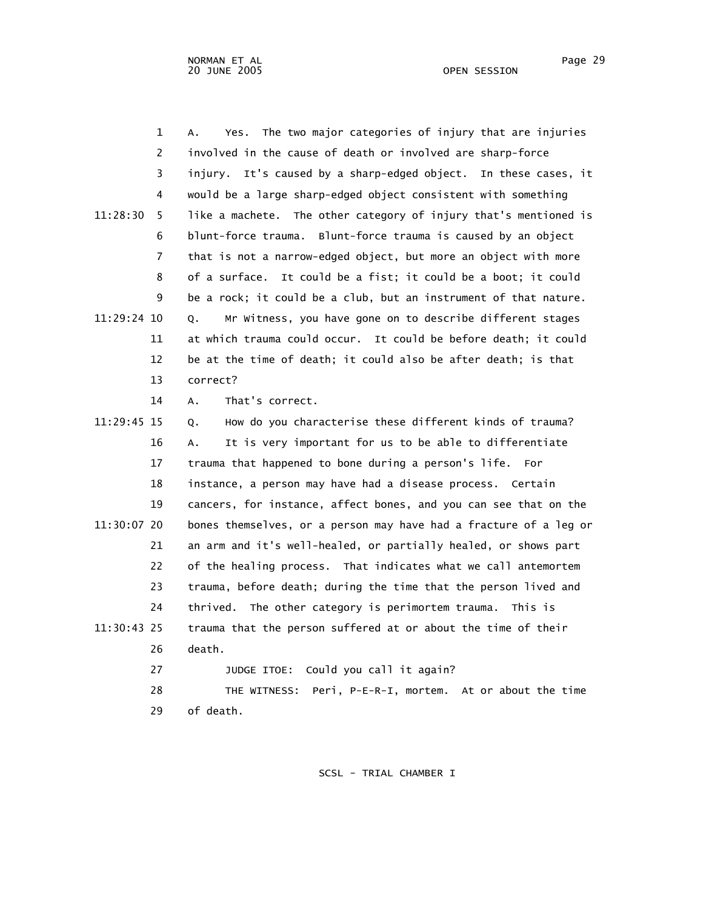| $\mathbf 1$   | The two major categories of injury that are injuries<br>А.<br>Yes. |
|---------------|--------------------------------------------------------------------|
| 2             | involved in the cause of death or involved are sharp-force         |
| 3             | It's caused by a sharp-edged object. In these cases, it<br>injury. |
| 4             | would be a large sharp-edged object consistent with something      |
| 11:28:30<br>5 | like a machete. The other category of injury that's mentioned is   |
| 6             | blunt-force trauma. Blunt-force trauma is caused by an object      |
| 7             | that is not a narrow-edged object, but more an object with more    |
| 8             | of a surface. It could be a fist; it could be a boot; it could     |
| 9             | be a rock; it could be a club, but an instrument of that nature.   |
| 11:29:24 10   | Mr Witness, you have gone on to describe different stages<br>Q.    |
| 11            | at which trauma could occur. It could be before death; it could    |
| 12            | be at the time of death; it could also be after death; is that     |
| 13            | correct?                                                           |
| 14            | That's correct.<br>Α.                                              |
| 11:29:45 15   | How do you characterise these different kinds of trauma?<br>О.     |
| 16            | It is very important for us to be able to differentiate<br>А.      |
| 17            | trauma that happened to bone during a person's life. For           |
| 18            | instance, a person may have had a disease process. Certain         |
| 19            | cancers, for instance, affect bones, and you can see that on the   |
| 11:30:07 20   | bones themselves, or a person may have had a fracture of a leg or  |
| 21            | an arm and it's well-healed, or partially healed, or shows part    |
| 22            | of the healing process. That indicates what we call antemortem     |
| 23            | trauma, before death; during the time that the person lived and    |
| 24            | thrived. The other category is perimortem trauma. This is          |
| 11:30:43 25   | trauma that the person suffered at or about the time of their      |
| 26            | death.                                                             |
| 27            | Could you call it again?<br>JUDGE ITOE:                            |
| 28            | Peri, P-E-R-I, mortem. At or about the time<br>THE WITNESS:        |
| 29            | of death.                                                          |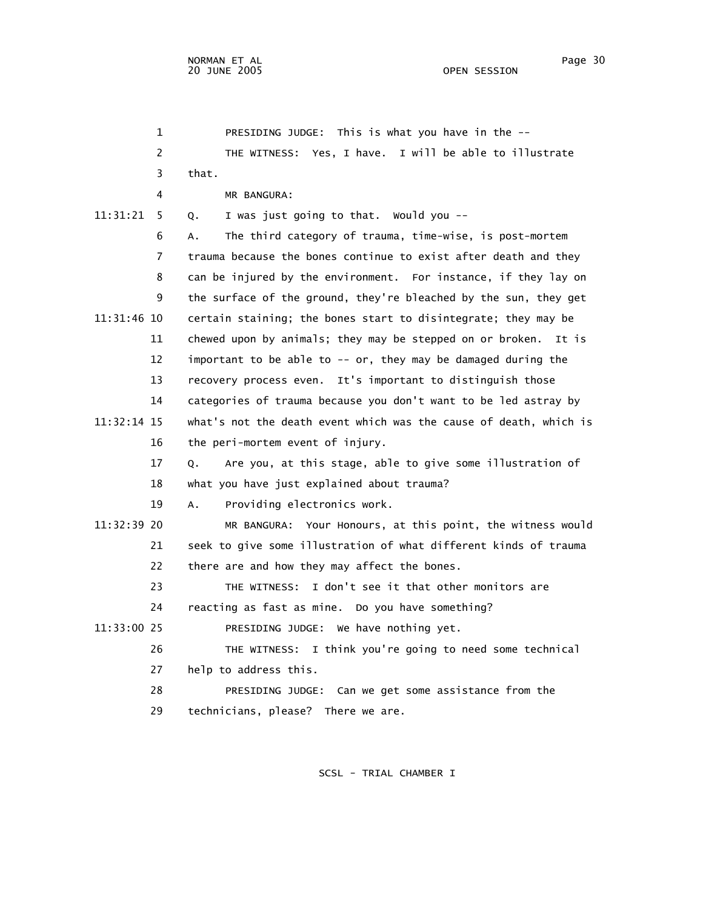| $\mathbf{1}$   | PRESIDING JUDGE: This is what you have in the --                  |
|----------------|-------------------------------------------------------------------|
| $\overline{c}$ | THE WITNESS: Yes, I have. I will be able to illustrate            |
| 3              | that.                                                             |
| 4              | MR BANGURA:                                                       |
| 11:31:21<br>5. | I was just going to that. Would you --<br>Q.                      |
| 6              | The third category of trauma, time-wise, is post-mortem<br>А.     |
| 7              | trauma because the bones continue to exist after death and they   |
| 8              | can be injured by the environment. For instance, if they lay on   |
| 9              | the surface of the ground, they're bleached by the sun, they get  |
| 11:31:46 10    | certain staining; the bones start to disintegrate; they may be    |
| 11             | chewed upon by animals; they may be stepped on or broken. It is   |
| 12             | important to be able to -- or, they may be damaged during the     |
| 13             | recovery process even. It's important to distinguish those        |
| 14             | categories of trauma because you don't want to be led astray by   |
| $11:32:14$ 15  | what's not the death event which was the cause of death, which is |
| 16             | the peri-mortem event of injury.                                  |
| 17             | Are you, at this stage, able to give some illustration of<br>Q.   |
| 18             | what you have just explained about trauma?                        |
| 19             | Providing electronics work.<br>Α.                                 |
| $11:32:39$ 20  | MR BANGURA: Your Honours, at this point, the witness would        |
| 21             | seek to give some illustration of what different kinds of trauma  |
| 22             | there are and how they may affect the bones.                      |
| 23             | I don't see it that other monitors are<br>THE WITNESS:            |
| 24             | reacting as fast as mine. Do you have something?                  |
| 11:33:00 25    | PRESIDING JUDGE: We have nothing yet.                             |
| 26             | THE WITNESS: I think you're going to need some technical          |
| 27             | help to address this.                                             |
| 28             | PRESIDING JUDGE: Can we get some assistance from the              |
| 29             | technicians, please? There we are.                                |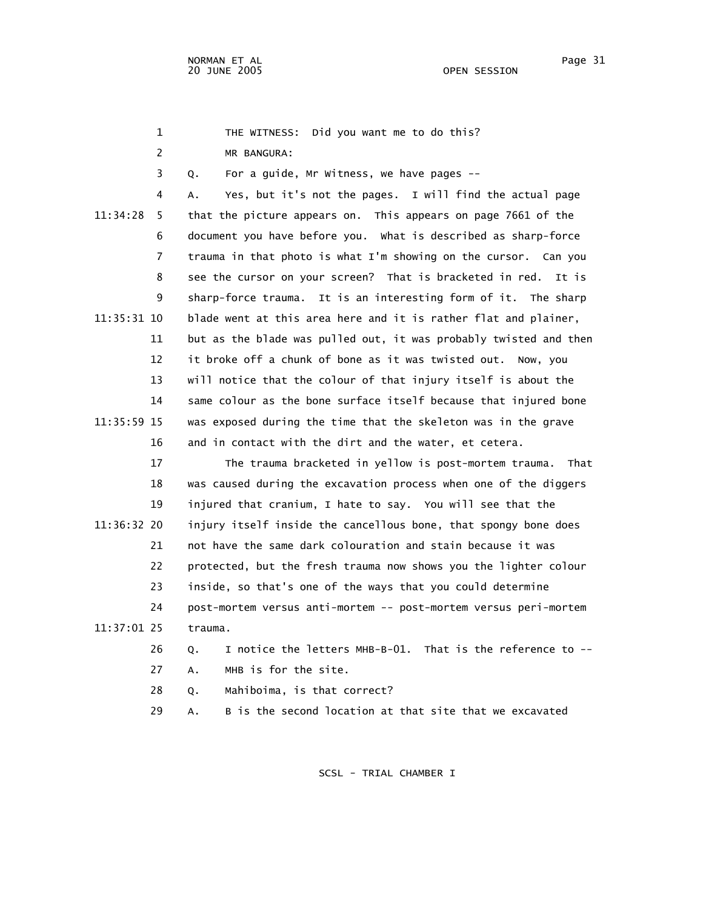1 THE WITNESS: Did you want me to do this?

2 MR BANGURA:

3 Q. For a guide, Mr Witness, we have pages --

 4 A. Yes, but it's not the pages. I will find the actual page 11:34:28 5 that the picture appears on. This appears on page 7661 of the 6 document you have before you. What is described as sharp-force 7 trauma in that photo is what I'm showing on the cursor. Can you 8 see the cursor on your screen? That is bracketed in red. It is 9 sharp-force trauma. It is an interesting form of it. The sharp 11:35:31 10 blade went at this area here and it is rather flat and plainer, 11 but as the blade was pulled out, it was probably twisted and then 12 it broke off a chunk of bone as it was twisted out. Now, you 13 will notice that the colour of that injury itself is about the 14 same colour as the bone surface itself because that injured bone 11:35:59 15 was exposed during the time that the skeleton was in the grave 16 and in contact with the dirt and the water, et cetera.

 17 The trauma bracketed in yellow is post-mortem trauma. That 18 was caused during the excavation process when one of the diggers 19 injured that cranium, I hate to say. You will see that the 11:36:32 20 injury itself inside the cancellous bone, that spongy bone does 21 not have the same dark colouration and stain because it was 22 protected, but the fresh trauma now shows you the lighter colour 23 inside, so that's one of the ways that you could determine 24 post-mortem versus anti-mortem -- post-mortem versus peri-mortem 11:37:01 25 trauma.

> 26 Q. I notice the letters MHB-B-01. That is the reference to -- 27 A. MHB is for the site.

28 O. Mahiboima, is that correct?

29 A. B is the second location at that site that we excavated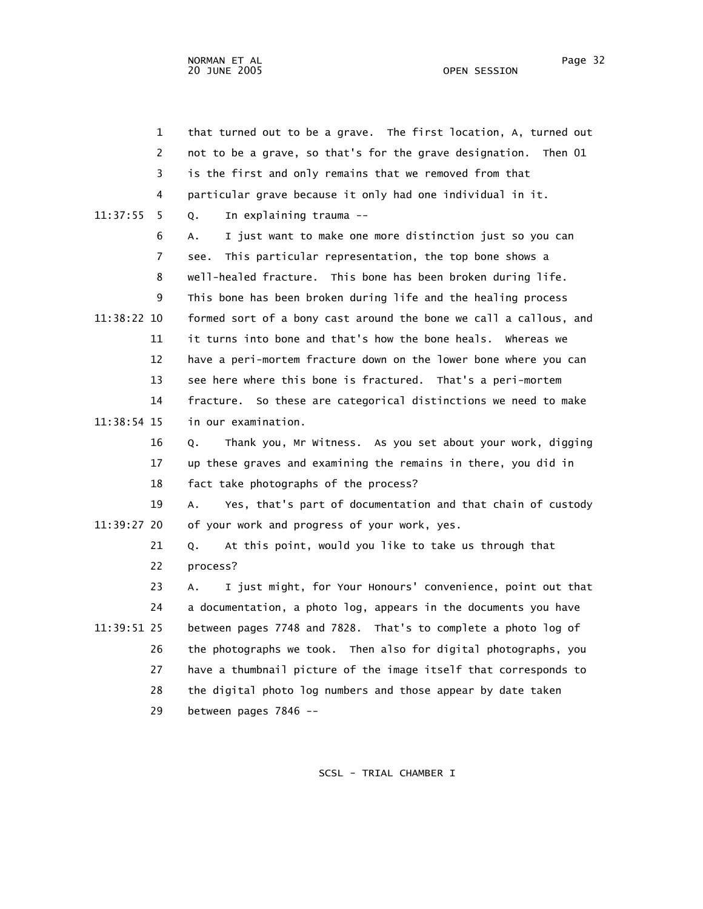|             | $\mathbf 1$ | that turned out to be a grave. The first location, A, turned out  |
|-------------|-------------|-------------------------------------------------------------------|
|             | 2           | not to be a grave, so that's for the grave designation. Then 01   |
|             | 3           | is the first and only remains that we removed from that           |
|             | 4           | particular grave because it only had one individual in it.        |
| 11:37:55    | 5.          | In explaining trauma --<br>Q.                                     |
|             | 6           | I just want to make one more distinction just so you can<br>А.    |
|             | 7           | This particular representation, the top bone shows a<br>see.      |
|             | 8           | well-healed fracture. This bone has been broken during life.      |
|             | 9           | This bone has been broken during life and the healing process     |
| 11:38:22 10 |             | formed sort of a bony cast around the bone we call a callous, and |
|             | 11          | it turns into bone and that's how the bone heals. Whereas we      |
|             | 12          | have a peri-mortem fracture down on the lower bone where you can  |
|             | 13          | see here where this bone is fractured. That's a peri-mortem       |
|             | 14          | fracture. So these are categorical distinctions we need to make   |
| 11:38:54 15 |             | in our examination.                                               |
|             | 16          | Thank you, Mr Witness. As you set about your work, digging<br>Q.  |
|             | 17          | up these graves and examining the remains in there, you did in    |
|             | 18          | fact take photographs of the process?                             |
|             | 19          | Yes, that's part of documentation and that chain of custody<br>Α. |
| 11:39:27 20 |             | of your work and progress of your work, yes.                      |
|             | 21          | At this point, would you like to take us through that<br>Q.       |
|             | 22          | process?                                                          |
|             | 23          | I just might, for Your Honours' convenience, point out that<br>А. |
|             | 24          | a documentation, a photo log, appears in the documents you have   |
| 11:39:51 25 |             | between pages 7748 and 7828. That's to complete a photo log of    |
|             | 26          | the photographs we took. Then also for digital photographs, you   |
|             | 27          | have a thumbnail picture of the image itself that corresponds to  |
|             | 28          | the digital photo log numbers and those appear by date taken      |
|             | 29          | between pages 7846 --                                             |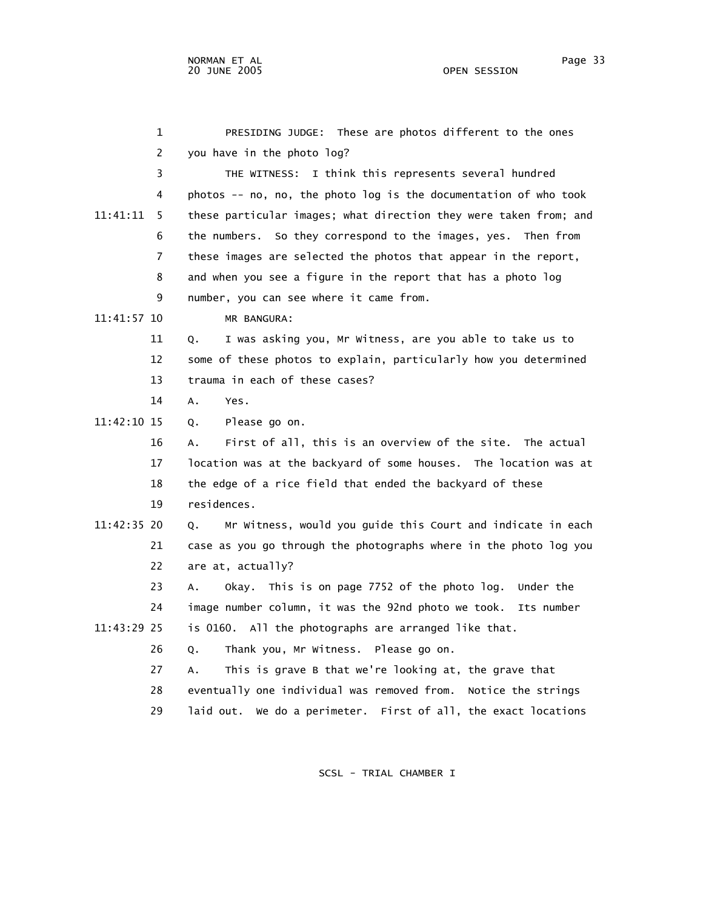|             | 1              | PRESIDING JUDGE: These are photos different to the ones           |
|-------------|----------------|-------------------------------------------------------------------|
|             | $\overline{c}$ | you have in the photo log?                                        |
|             | 3              | THE WITNESS: I think this represents several hundred              |
|             | 4              | photos -- no, no, the photo log is the documentation of who took  |
| 11:41:11    | 5              | these particular images; what direction they were taken from; and |
|             | 6              | the numbers. So they correspond to the images, yes. Then from     |
|             | 7              | these images are selected the photos that appear in the report,   |
|             | 8              | and when you see a figure in the report that has a photo log      |
|             | 9              | number, you can see where it came from.                           |
| 11:41:57 10 |                | MR BANGURA:                                                       |
|             | 11             | I was asking you, Mr Witness, are you able to take us to<br>Q.    |
|             | 12             | some of these photos to explain, particularly how you determined  |
|             | 13             | trauma in each of these cases?                                    |
|             | 14             | Α.<br>Yes.                                                        |
| 11:42:10 15 |                | Please go on.<br>Q.                                               |
|             | 16             | First of all, this is an overview of the site. The actual<br>А.   |
|             | 17             | location was at the backyard of some houses. The location was at  |
|             | 18             | the edge of a rice field that ended the backyard of these         |
|             | 19             | residences.                                                       |
| 11:42:35 20 |                | Mr Witness, would you guide this Court and indicate in each<br>Q. |
|             | 21             | case as you go through the photographs where in the photo log you |
|             | 22             | are at, actually?                                                 |
|             | 23             | Okay. This is on page 7752 of the photo log. Under the<br>А.      |
|             | 24             | image number column, it was the 92nd photo we took.<br>Its number |
| 11:43:29 25 |                | is 0160. All the photographs are arranged like that.              |
|             | 26             | Thank you, Mr Witness. Please go on.<br>Q.                        |
|             | 27             | This is grave B that we're looking at, the grave that<br>A.       |
|             | 28             | eventually one individual was removed from. Notice the strings    |
|             | 29             | laid out. We do a perimeter. First of all, the exact locations    |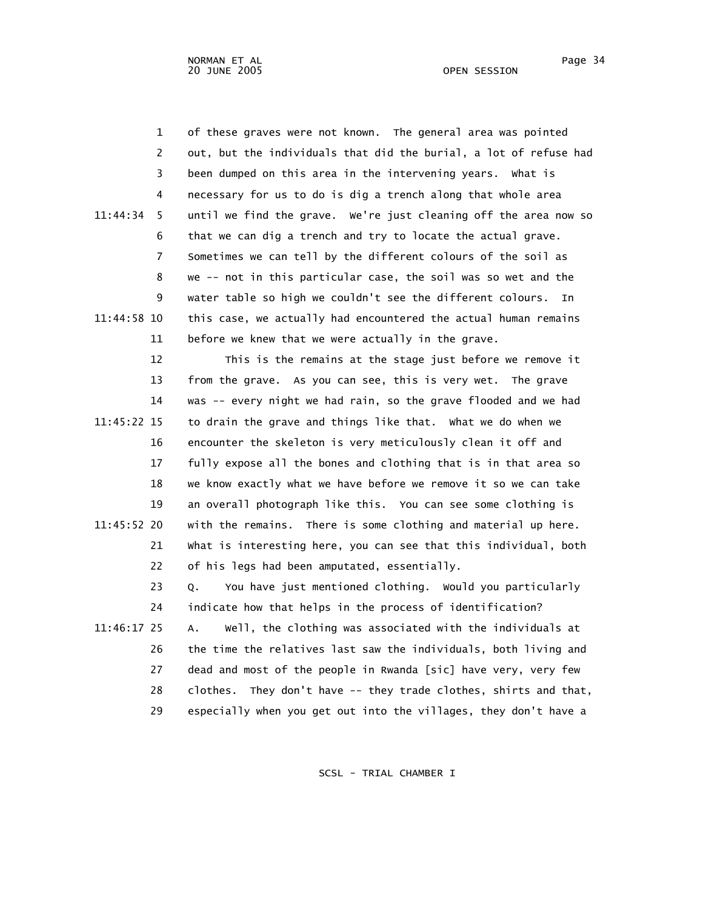1 of these graves were not known. The general area was pointed 2 out, but the individuals that did the burial, a lot of refuse had 3 been dumped on this area in the intervening years. What is 4 necessary for us to do is dig a trench along that whole area 11:44:34 5 until we find the grave. We're just cleaning off the area now so 6 that we can dig a trench and try to locate the actual grave. 7 Sometimes we can tell by the different colours of the soil as 8 we -- not in this particular case, the soil was so wet and the 9 water table so high we couldn't see the different colours. In 11:44:58 10 this case, we actually had encountered the actual human remains 11 before we knew that we were actually in the grave.

 12 This is the remains at the stage just before we remove it 13 from the grave. As you can see, this is very wet. The grave 14 was -- every night we had rain, so the grave flooded and we had 11:45:22 15 to drain the grave and things like that. What we do when we 16 encounter the skeleton is very meticulously clean it off and 17 fully expose all the bones and clothing that is in that area so 18 we know exactly what we have before we remove it so we can take 19 an overall photograph like this. You can see some clothing is 11:45:52 20 with the remains. There is some clothing and material up here. 21 What is interesting here, you can see that this individual, both 22 of his legs had been amputated, essentially.

 23 Q. You have just mentioned clothing. Would you particularly 24 indicate how that helps in the process of identification? 11:46:17 25 A. Well, the clothing was associated with the individuals at 26 the time the relatives last saw the individuals, both living and 27 dead and most of the people in Rwanda [sic] have very, very few 28 clothes. They don't have -- they trade clothes, shirts and that, 29 especially when you get out into the villages, they don't have a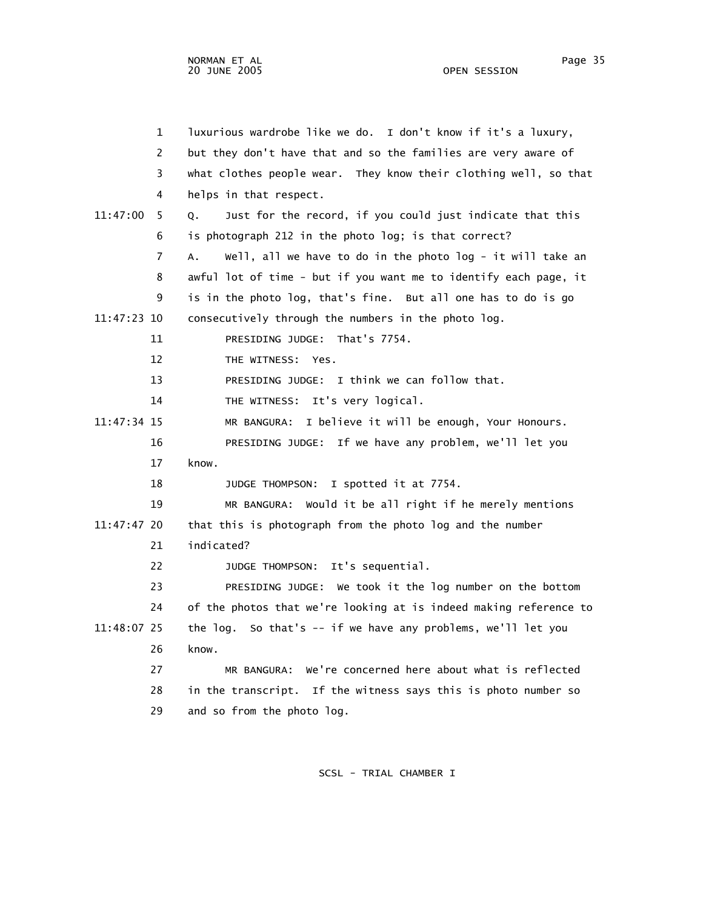| $\mathbf 1$    | luxurious wardrobe like we do. I don't know if it's a luxury,     |
|----------------|-------------------------------------------------------------------|
| 2              | but they don't have that and so the families are very aware of    |
| 3              | what clothes people wear. They know their clothing well, so that  |
| 4              | helps in that respect.                                            |
| 11:47:00<br>5. | Just for the record, if you could just indicate that this<br>Q.   |
| 6              | is photograph 212 in the photo log; is that correct?              |
| 7              | well, all we have to do in the photo log - it will take an<br>Α.  |
| 8              | awful lot of time - but if you want me to identify each page, it  |
| 9              | is in the photo log, that's fine. But all one has to do is go     |
| 11:47:23 10    | consecutively through the numbers in the photo log.               |
| 11             | PRESIDING JUDGE: That's 7754.                                     |
| 12             | THE WITNESS: Yes.                                                 |
| 13             | PRESIDING JUDGE: I think we can follow that.                      |
| 14             | THE WITNESS: It's very logical.                                   |
| 11:47:34 15    | MR BANGURA: I believe it will be enough, Your Honours.            |
| 16             | PRESIDING JUDGE: If we have any problem, we'll let you            |
| 17             | know.                                                             |
| 18             | I spotted it at 7754.<br>JUDGE THOMPSON:                          |
| 19             | Would it be all right if he merely mentions<br>MR BANGURA:        |
| 11:47:47 20    | that this is photograph from the photo log and the number         |
| 21             | indicated?                                                        |
| 22             | JUDGE THOMPSON: It's sequential.                                  |
| 23             | PRESIDING JUDGE: We took it the log number on the bottom          |
| 24             | of the photos that we're looking at is indeed making reference to |
| 11:48:07 25    | the log. So that's -- if we have any problems, we'll let you      |
| 26             | know.                                                             |
| 27             | MR BANGURA: We're concerned here about what is reflected          |
| 28             | in the transcript. If the witness says this is photo number so    |
| 29             | and so from the photo log.                                        |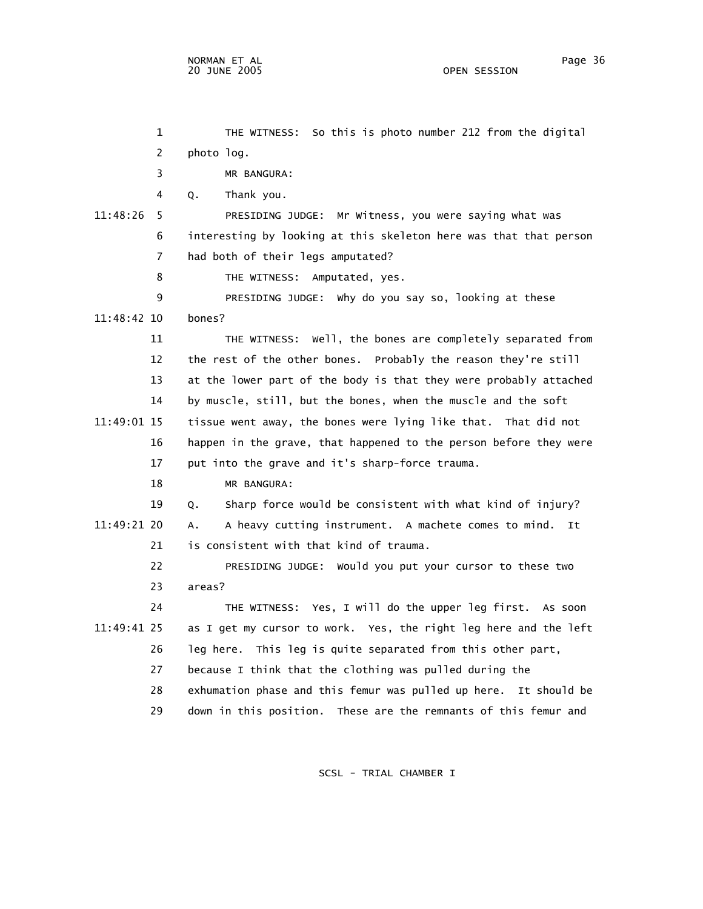1 THE WITNESS: So this is photo number 212 from the digital 2 photo log. 3 MR BANGURA: 4 Q. Thank you. 11:48:26 5 PRESIDING JUDGE: Mr Witness, you were saying what was 6 interesting by looking at this skeleton here was that that person 7 had both of their legs amputated? 8 THE WITNESS: Amputated, yes. 9 PRESIDING JUDGE: Why do you say so, looking at these 11:48:42 10 bones? 11 THE WITNESS: Well, the bones are completely separated from 12 the rest of the other bones. Probably the reason they're still 13 at the lower part of the body is that they were probably attached 14 by muscle, still, but the bones, when the muscle and the soft 11:49:01 15 tissue went away, the bones were lying like that. That did not 16 happen in the grave, that happened to the person before they were 17 put into the grave and it's sharp-force trauma. 18 MR BANGURA: 19 Q. Sharp force would be consistent with what kind of injury? 11:49:21 20 A. A heavy cutting instrument. A machete comes to mind. It 21 is consistent with that kind of trauma. 22 PRESIDING JUDGE: Would you put your cursor to these two 23 areas? 24 THE WITNESS: Yes, I will do the upper leg first. As soon 11:49:41 25 as I get my cursor to work. Yes, the right leg here and the left 26 leg here. This leg is quite separated from this other part, 27 because I think that the clothing was pulled during the 28 exhumation phase and this femur was pulled up here. It should be 29 down in this position. These are the remnants of this femur and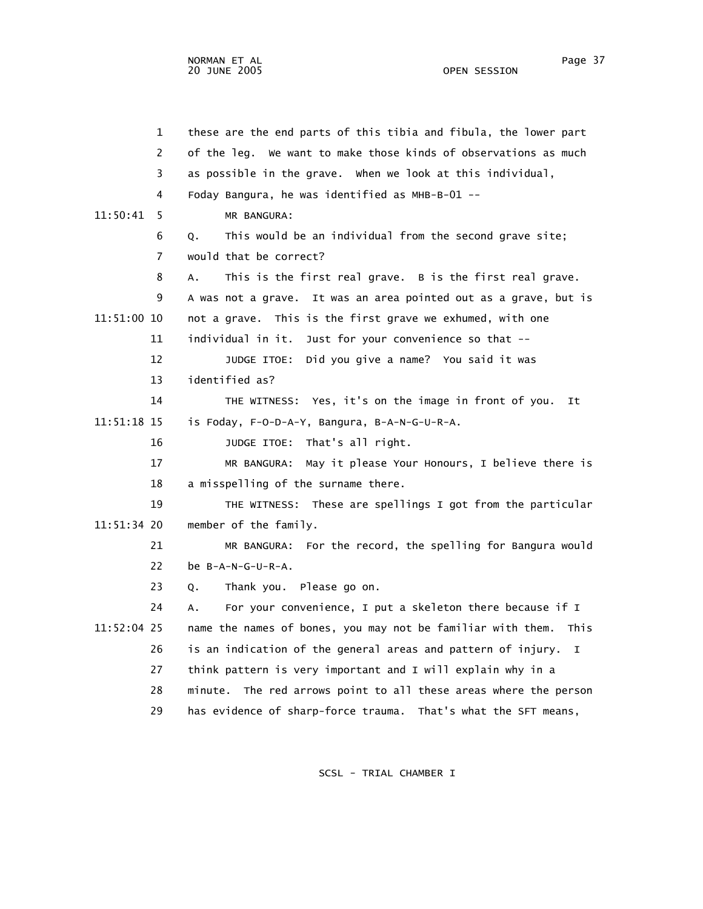| $\mathbf 1$   | these are the end parts of this tibia and fibula, the lower part  |
|---------------|-------------------------------------------------------------------|
| 2             | of the leg. We want to make those kinds of observations as much   |
| 3             | as possible in the grave. When we look at this individual,        |
| 4             | Foday Bangura, he was identified as MHB-B-01 --                   |
| 11:50:41<br>5 | MR BANGURA:                                                       |
| 6             | This would be an individual from the second grave site;<br>Q.     |
| 7             | would that be correct?                                            |
| 8             | This is the first real grave. B is the first real grave.<br>Α.    |
| 9             | A was not a grave. It was an area pointed out as a grave, but is  |
| 11:51:00 10   | not a grave. This is the first grave we exhumed, with one         |
| 11            | individual in it. Just for your convenience so that --            |
| 12            | Did you give a name? You said it was<br>JUDGE ITOE:               |
| 13            | identified as?                                                    |
| 14            | THE WITNESS: Yes, it's on the image in front of you.<br>It        |
| 11:51:18 15   | is Foday, F-O-D-A-Y, Bangura, B-A-N-G-U-R-A.                      |
| 16            | JUDGE ITOE: That's all right.                                     |
| 17            | MR BANGURA: May it please Your Honours, I believe there is        |
| 18            | a misspelling of the surname there.                               |
| 19            | THE WITNESS: These are spellings I got from the particular        |
| 11:51:34 20   | member of the family.                                             |
| 21            | MR BANGURA: For the record, the spelling for Bangura would        |
| 22            | be B-A-N-G-U-R-A.                                                 |
| 23            | Thank you. Please go on.<br>Q.                                    |
| 24            | For your convenience, I put a skeleton there because if I<br>А.   |
| 11:52:04 25   | name the names of bones, you may not be familiar with them. This  |
| 26            | is an indication of the general areas and pattern of injury.<br>I |
| 27            | think pattern is very important and I will explain why in a       |
| 28            | minute. The red arrows point to all these areas where the person  |
| 29            | has evidence of sharp-force trauma. That's what the SFT means,    |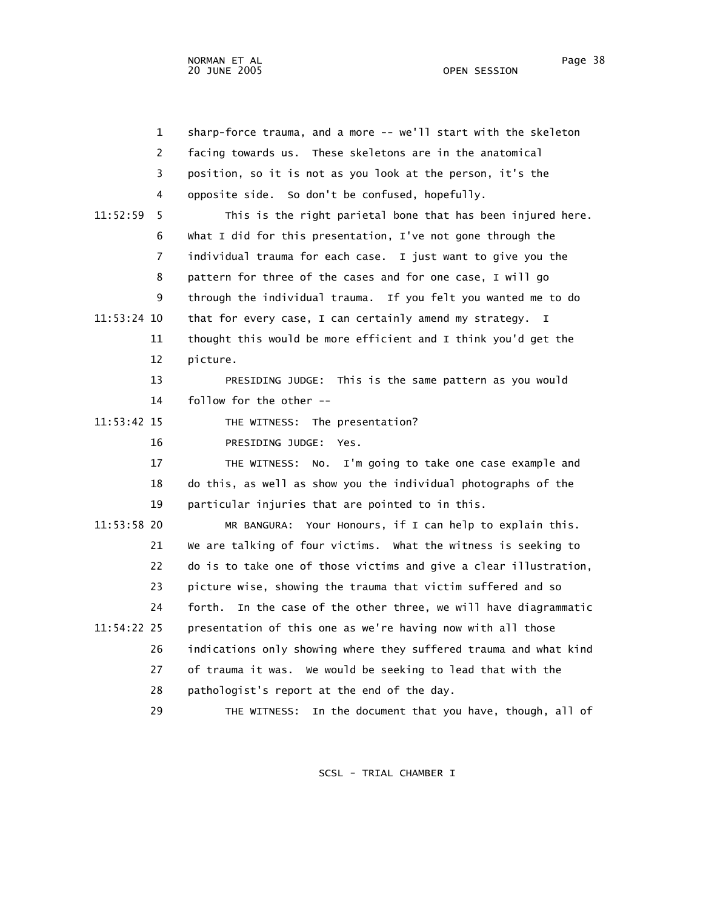1 sharp-force trauma, and a more -- we'll start with the skeleton 2 facing towards us. These skeletons are in the anatomical 3 position, so it is not as you look at the person, it's the 4 opposite side. So don't be confused, hopefully. 11:52:59 5 This is the right parietal bone that has been injured here. 6 What I did for this presentation, I've not gone through the 7 individual trauma for each case. I just want to give you the 8 pattern for three of the cases and for one case, I will go 9 through the individual trauma. If you felt you wanted me to do 11:53:24 10 that for every case, I can certainly amend my strategy. I 11 thought this would be more efficient and I think you'd get the 12 picture. 13 PRESIDING JUDGE: This is the same pattern as you would 14 follow for the other -- 11:53:42 15 THE WITNESS: The presentation? 16 PRESIDING JUDGE: Yes. 17 THE WITNESS: No. I'm going to take one case example and 18 do this, as well as show you the individual photographs of the 19 particular injuries that are pointed to in this. 11:53:58 20 MR BANGURA: Your Honours, if I can help to explain this. 21 We are talking of four victims. What the witness is seeking to 22 do is to take one of those victims and give a clear illustration, 23 picture wise, showing the trauma that victim suffered and so 24 forth. In the case of the other three, we will have diagrammatic 11:54:22 25 presentation of this one as we're having now with all those 26 indications only showing where they suffered trauma and what kind 27 of trauma it was. We would be seeking to lead that with the 28 pathologist's report at the end of the day. 29 THE WITNESS: In the document that you have, though, all of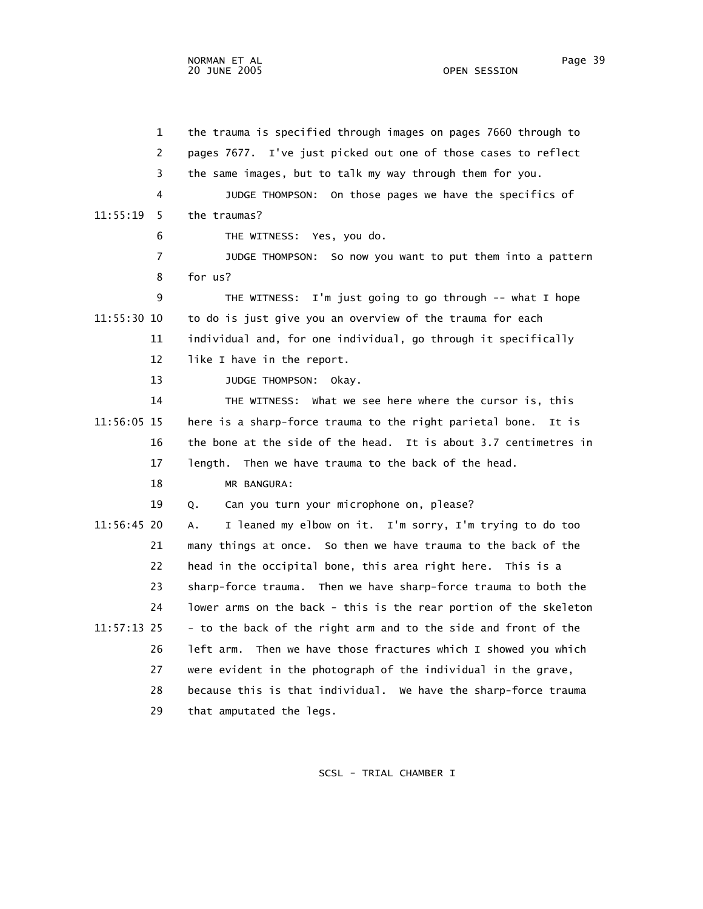1 the trauma is specified through images on pages 7660 through to 2 pages 7677. I've just picked out one of those cases to reflect 3 the same images, but to talk my way through them for you. 4 JUDGE THOMPSON: On those pages we have the specifics of 11:55:19 5 the traumas? 6 THE WITNESS: Yes, you do. 7 JUDGE THOMPSON: So now you want to put them into a pattern 8 for us? 9 THE WITNESS: I'm just going to go through -- what I hope 11:55:30 10 to do is just give you an overview of the trauma for each 11 individual and, for one individual, go through it specifically 12 like I have in the report. 13 JUDGE THOMPSON: Okay. 14 THE WITNESS: What we see here where the cursor is, this 11:56:05 15 here is a sharp-force trauma to the right parietal bone. It is 16 the bone at the side of the head. It is about 3.7 centimetres in 17 length. Then we have trauma to the back of the head. 18 MR BANGURA: 19 Q. Can you turn your microphone on, please? 11:56:45 20 A. I leaned my elbow on it. I'm sorry, I'm trying to do too 21 many things at once. So then we have trauma to the back of the 22 head in the occipital bone, this area right here. This is a 23 sharp-force trauma. Then we have sharp-force trauma to both the 24 lower arms on the back - this is the rear portion of the skeleton 11:57:13 25 - to the back of the right arm and to the side and front of the 26 left arm. Then we have those fractures which I showed you which 27 were evident in the photograph of the individual in the grave, 28 because this is that individual. We have the sharp-force trauma 29 that amputated the legs.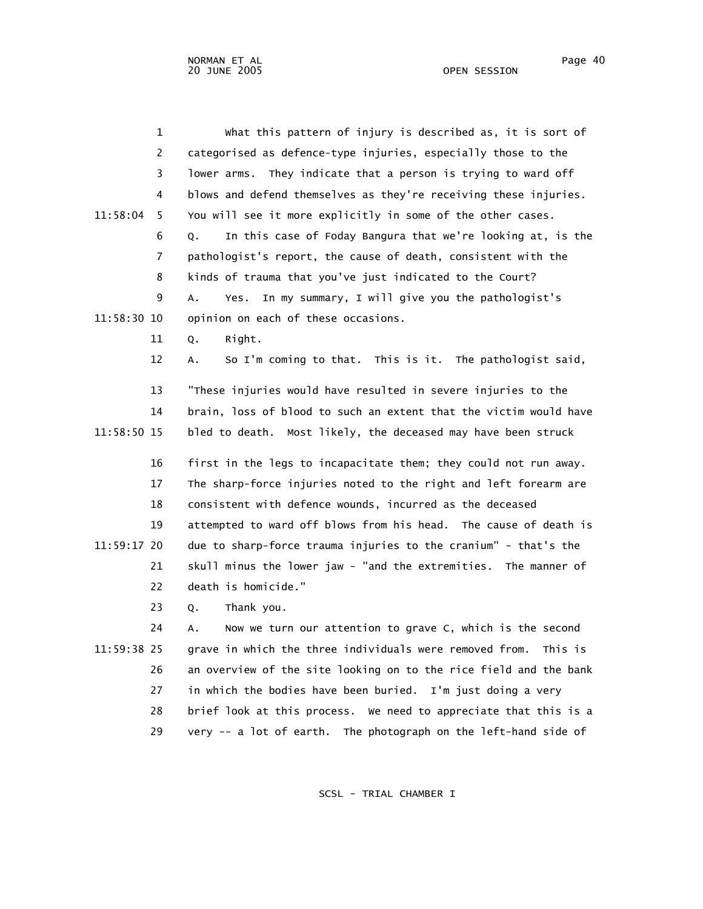| $\mathbf{1}$   | what this pattern of injury is described as, it is sort of         |
|----------------|--------------------------------------------------------------------|
| $\overline{2}$ | categorised as defence-type injuries, especially those to the      |
| 3              | lower arms. They indicate that a person is trying to ward off      |
| 4              | blows and defend themselves as they're receiving these injuries.   |
| 11:58:04<br>5. | You will see it more explicitly in some of the other cases.        |
| 6              | In this case of Foday Bangura that we're looking at, is the<br>Q.  |
| 7              | pathologist's report, the cause of death, consistent with the      |
| 8              | kinds of trauma that you've just indicated to the Court?           |
| 9              | In my summary, I will give you the pathologist's<br>Α.<br>Yes.     |
| 11:58:30 10    | opinion on each of these occasions.                                |
| 11             | Right.<br>Q.                                                       |
| 12             | So I'm coming to that. This is it. The pathologist said,<br>А.     |
|                |                                                                    |
| 13             | "These injuries would have resulted in severe injuries to the      |
| 14             | brain, loss of blood to such an extent that the victim would have  |
| 11:58:50 15    | bled to death. Most likely, the deceased may have been struck      |
| 16             | first in the legs to incapacitate them; they could not run away.   |
| 17             | The sharp-force injuries noted to the right and left forearm are   |
| 18             | consistent with defence wounds, incurred as the deceased           |
| 19             | attempted to ward off blows from his head. The cause of death is   |
| 11:59:17 20    | due to sharp-force trauma injuries to the cranium" - that's the    |
| 21             | skull minus the lower jaw - "and the extremities. The manner of    |
| 22             | death is homicide."                                                |
| 23             | Thank you.<br>Q.                                                   |
| 24             | Now we turn our attention to grave C, which is the second<br>А.    |
| 11:59:38 25    | grave in which the three individuals were removed from.<br>This is |
| 26             | an overview of the site looking on to the rice field and the bank  |
| 27             | in which the bodies have been buried. I'm just doing a very        |
| 28             | brief look at this process. We need to appreciate that this is a   |
| 29             | very -- a lot of earth. The photograph on the left-hand side of    |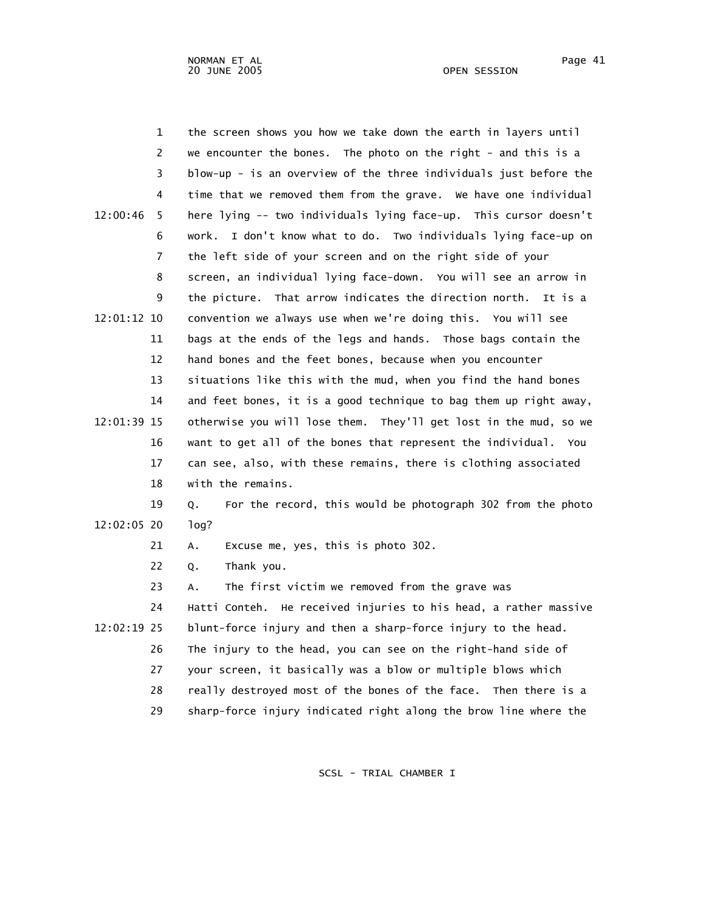1 the screen shows you how we take down the earth in layers until 2 we encounter the bones. The photo on the right - and this is a 3 blow-up - is an overview of the three individuals just before the 4 time that we removed them from the grave. We have one individual 12:00:46 5 here lying -- two individuals lying face-up. This cursor doesn't 6 work. I don't know what to do. Two individuals lying face-up on 7 the left side of your screen and on the right side of your 8 screen, an individual lying face-down. You will see an arrow in 9 the picture. That arrow indicates the direction north. It is a 12:01:12 10 convention we always use when we're doing this. You will see 11 bags at the ends of the legs and hands. Those bags contain the 12 hand bones and the feet bones, because when you encounter 13 situations like this with the mud, when you find the hand bones 14 and feet bones, it is a good technique to bag them up right away, 12:01:39 15 otherwise you will lose them. They'll get lost in the mud, so we 16 want to get all of the bones that represent the individual. You 17 can see, also, with these remains, there is clothing associated 18 with the remains. 19 Q. For the record, this would be photograph 302 from the photo 12:02:05 20 log? 21 A. Excuse me, yes, this is photo 302. 22 Q. Thank you. 23 A. The first victim we removed from the grave was 24 Hatti Conteh. He received injuries to his head, a rather massive 12:02:19 25 blunt-force injury and then a sharp-force injury to the head. 26 The injury to the head, you can see on the right-hand side of 27 your screen, it basically was a blow or multiple blows which 28 really destroyed most of the bones of the face. Then there is a

SCSL - TRIAL CHAMBER I

29 sharp-force injury indicated right along the brow line where the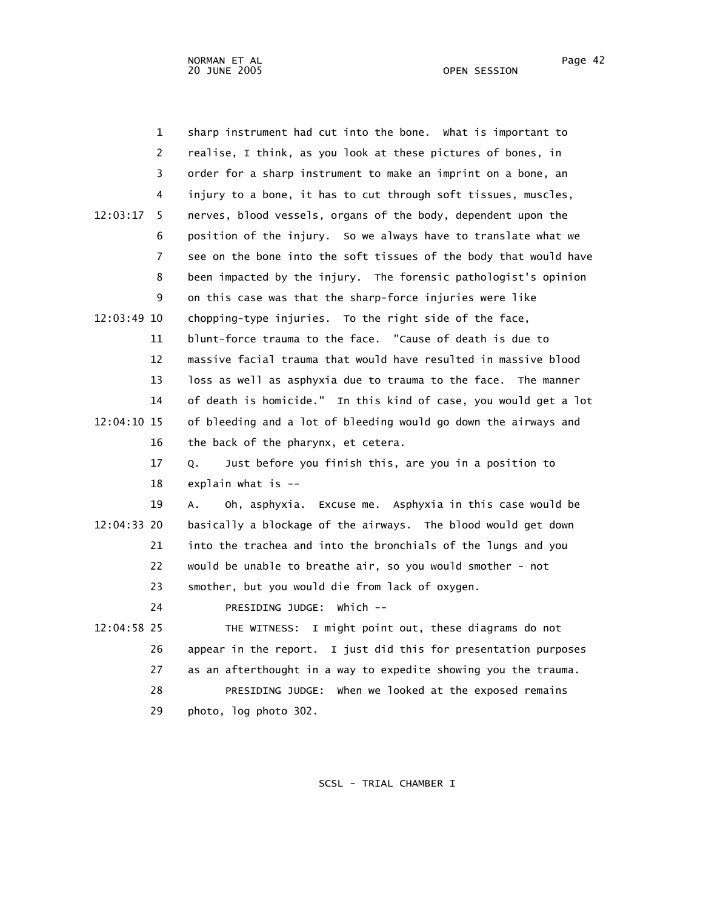| $\mathbf{1}$  | sharp instrument had cut into the bone. What is important to      |
|---------------|-------------------------------------------------------------------|
| 2             | realise, I think, as you look at these pictures of bones, in      |
| 3             | order for a sharp instrument to make an imprint on a bone, an     |
| 4             | injury to a bone, it has to cut through soft tissues, muscles,    |
| 12:03:17<br>5 | nerves, blood vessels, organs of the body, dependent upon the     |
| 6             | position of the injury. So we always have to translate what we    |
| 7             | see on the bone into the soft tissues of the body that would have |
| 8             | been impacted by the injury. The forensic pathologist's opinion   |
| 9             | on this case was that the sharp-force injuries were like          |
| 12:03:49 10   | chopping-type injuries. To the right side of the face,            |
| 11            | blunt-force trauma to the face. "Cause of death is due to         |
| 12            | massive facial trauma that would have resulted in massive blood   |
| 13            | loss as well as asphyxia due to trauma to the face. The manner    |
| 14            | of death is homicide." In this kind of case, you would get a lot  |
| 12:04:10 15   | of bleeding and a lot of bleeding would go down the airways and   |
| 16            | the back of the pharynx, et cetera.                               |
| 17            | Just before you finish this, are you in a position to<br>Q.       |
| 18            | explain what is $-$                                               |
| 19            | Oh, asphyxia. Excuse me. Asphyxia in this case would be<br>А.     |
| 12:04:33 20   | basically a blockage of the airways. The blood would get down     |
| 21            | into the trachea and into the bronchials of the lungs and you     |
| 22            | would be unable to breathe air, so you would smother - not        |
| 23            | smother, but you would die from lack of oxygen.                   |
| 24            | PRESIDING JUDGE: Which --                                         |
| 12:04:58 25   | THE WITNESS: I might point out, these diagrams do not             |
| 26            | appear in the report. I just did this for presentation purposes   |
| 27            | as an afterthought in a way to expedite showing you the trauma.   |
| 28            | PRESIDING JUDGE: when we looked at the exposed remains            |
| 29            | photo, log photo 302.                                             |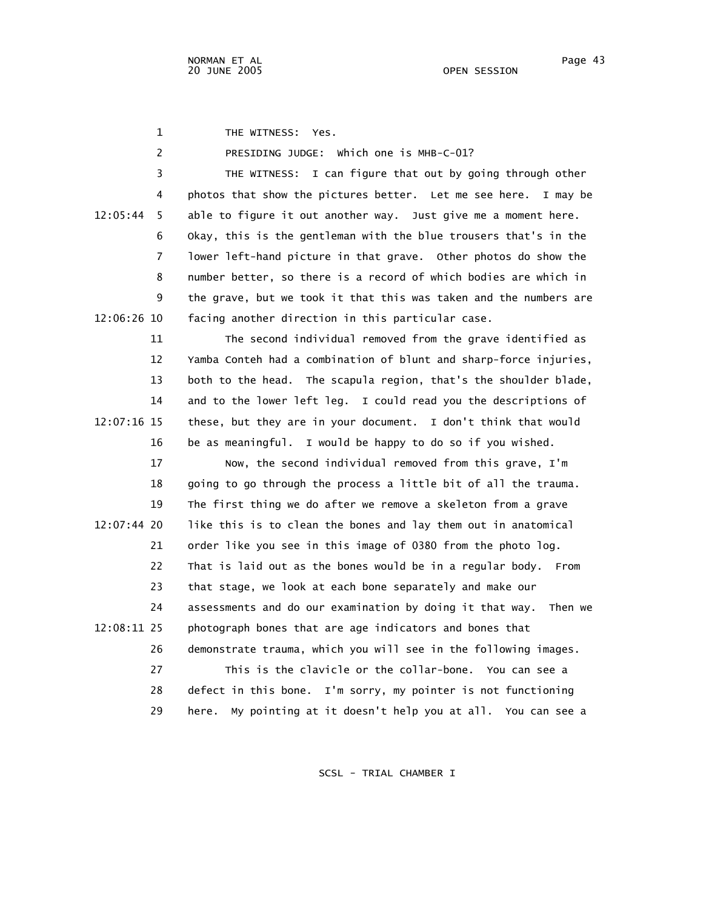1 THE WITNESS: Yes.

2 PRESIDING JUDGE: Which one is MHB-C-01?

 3 THE WITNESS: I can figure that out by going through other 4 photos that show the pictures better. Let me see here. I may be 12:05:44 5 able to figure it out another way. Just give me a moment here. 6 Okay, this is the gentleman with the blue trousers that's in the 7 lower left-hand picture in that grave. Other photos do show the 8 number better, so there is a record of which bodies are which in 9 the grave, but we took it that this was taken and the numbers are 12:06:26 10 facing another direction in this particular case.

 11 The second individual removed from the grave identified as 12 Yamba Conteh had a combination of blunt and sharp-force injuries, 13 both to the head. The scapula region, that's the shoulder blade, 14 and to the lower left leg. I could read you the descriptions of 12:07:16 15 these, but they are in your document. I don't think that would 16 be as meaningful. I would be happy to do so if you wished.

 17 Now, the second individual removed from this grave, I'm 18 going to go through the process a little bit of all the trauma. 19 The first thing we do after we remove a skeleton from a grave 12:07:44 20 like this is to clean the bones and lay them out in anatomical 21 order like you see in this image of 0380 from the photo log. 22 That is laid out as the bones would be in a regular body. From 23 that stage, we look at each bone separately and make our 24 assessments and do our examination by doing it that way. Then we 12:08:11 25 photograph bones that are age indicators and bones that 26 demonstrate trauma, which you will see in the following images. 27 This is the clavicle or the collar-bone. You can see a 28 defect in this bone. I'm sorry, my pointer is not functioning 29 here. My pointing at it doesn't help you at all. You can see a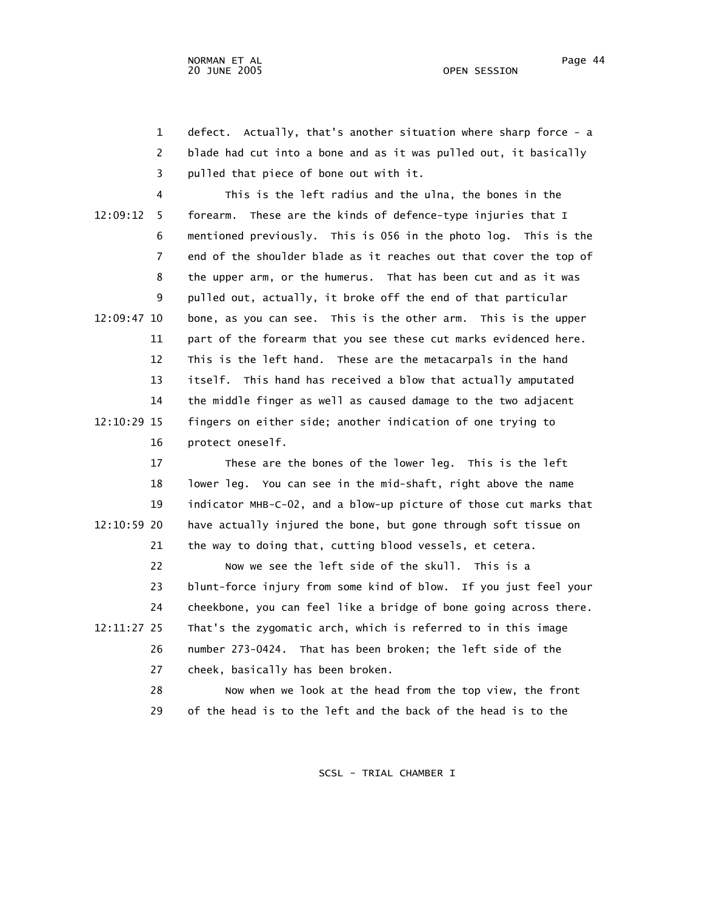1 defect. Actually, that's another situation where sharp force - a 2 blade had cut into a bone and as it was pulled out, it basically 3 pulled that piece of bone out with it.

 4 This is the left radius and the ulna, the bones in the 12:09:12 5 forearm. These are the kinds of defence-type injuries that I 6 mentioned previously. This is 056 in the photo log. This is the 7 end of the shoulder blade as it reaches out that cover the top of 8 the upper arm, or the humerus. That has been cut and as it was 9 pulled out, actually, it broke off the end of that particular 12:09:47 10 bone, as you can see. This is the other arm. This is the upper 11 part of the forearm that you see these cut marks evidenced here. 12 This is the left hand. These are the metacarpals in the hand 13 itself. This hand has received a blow that actually amputated 14 the middle finger as well as caused damage to the two adjacent 12:10:29 15 fingers on either side; another indication of one trying to 16 protect oneself.

 17 These are the bones of the lower leg. This is the left 18 lower leg. You can see in the mid-shaft, right above the name 19 indicator MHB-C-02, and a blow-up picture of those cut marks that 12:10:59 20 have actually injured the bone, but gone through soft tissue on 21 the way to doing that, cutting blood vessels, et cetera.

 22 Now we see the left side of the skull. This is a 23 blunt-force injury from some kind of blow. If you just feel your 24 cheekbone, you can feel like a bridge of bone going across there. 12:11:27 25 That's the zygomatic arch, which is referred to in this image 26 number 273-0424. That has been broken; the left side of the 27 cheek, basically has been broken.

> 28 Now when we look at the head from the top view, the front 29 of the head is to the left and the back of the head is to the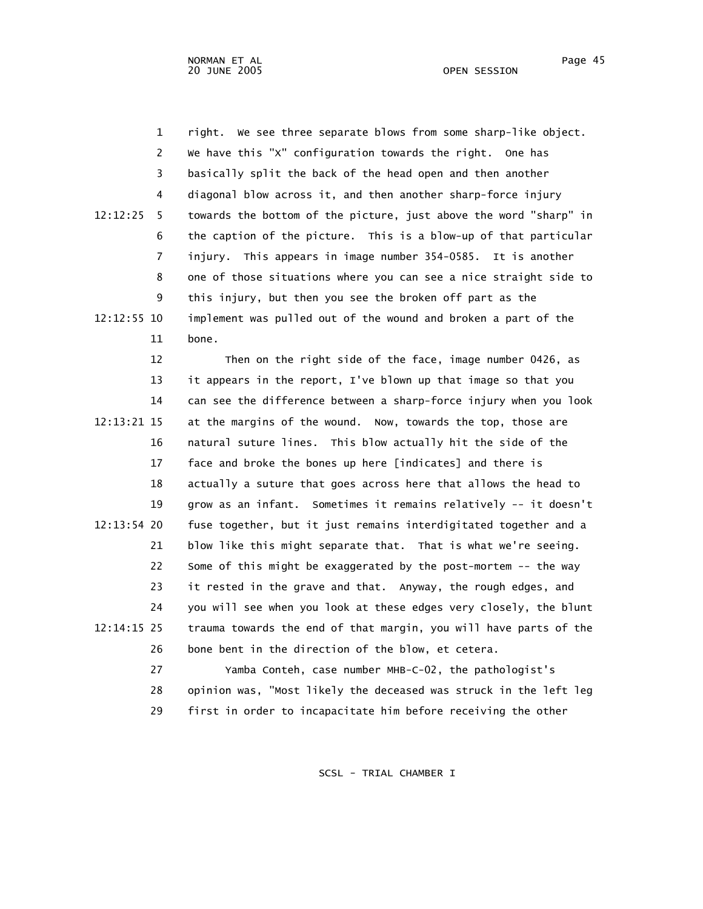1 right. We see three separate blows from some sharp-like object. 2 We have this "X" configuration towards the right. One has 3 basically split the back of the head open and then another 4 diagonal blow across it, and then another sharp-force injury 12:12:25 5 towards the bottom of the picture, just above the word "sharp" in 6 the caption of the picture. This is a blow-up of that particular 7 injury. This appears in image number 354-0585. It is another 8 one of those situations where you can see a nice straight side to 9 this injury, but then you see the broken off part as the 12:12:55 10 implement was pulled out of the wound and broken a part of the 11 bone.

 12 Then on the right side of the face, image number 0426, as 13 it appears in the report, I've blown up that image so that you 14 can see the difference between a sharp-force injury when you look 12:13:21 15 at the margins of the wound. Now, towards the top, those are 16 natural suture lines. This blow actually hit the side of the 17 face and broke the bones up here [indicates] and there is 18 actually a suture that goes across here that allows the head to 19 grow as an infant. Sometimes it remains relatively -- it doesn't 12:13:54 20 fuse together, but it just remains interdigitated together and a 21 blow like this might separate that. That is what we're seeing. 22 Some of this might be exaggerated by the post-mortem -- the way 23 it rested in the grave and that. Anyway, the rough edges, and 24 you will see when you look at these edges very closely, the blunt 12:14:15 25 trauma towards the end of that margin, you will have parts of the 26 bone bent in the direction of the blow, et cetera.

 27 Yamba Conteh, case number MHB-C-02, the pathologist's 28 opinion was, "Most likely the deceased was struck in the left leg 29 first in order to incapacitate him before receiving the other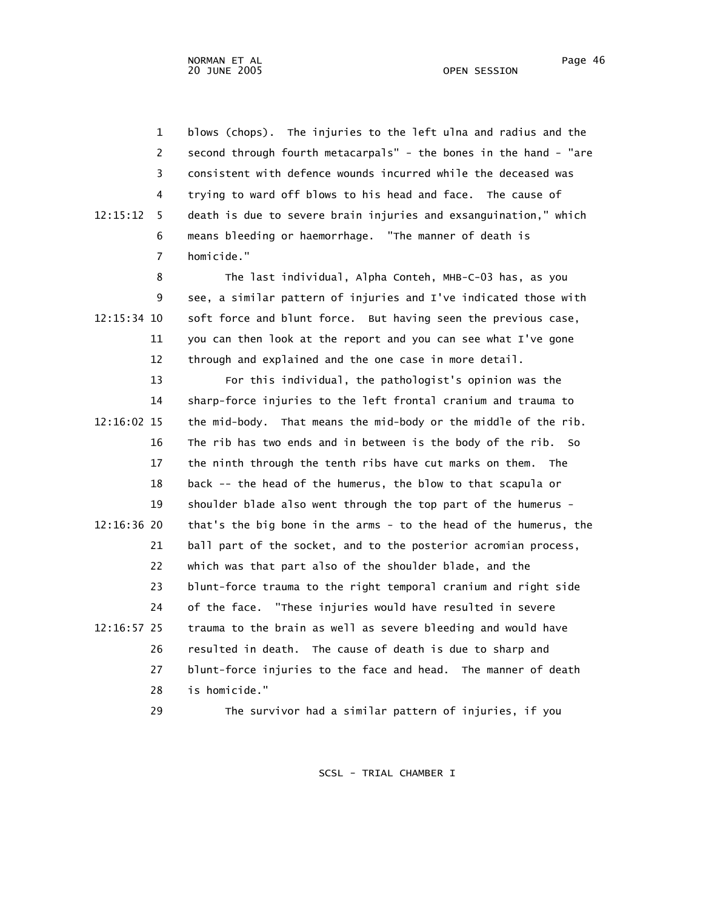1 blows (chops). The injuries to the left ulna and radius and the 2 second through fourth metacarpals" - the bones in the hand - "are 3 consistent with defence wounds incurred while the deceased was 4 trying to ward off blows to his head and face. The cause of 12:15:12 5 death is due to severe brain injuries and exsanguination," which 6 means bleeding or haemorrhage. "The manner of death is 7 homicide."

 8 The last individual, Alpha Conteh, MHB-C-03 has, as you 9 see, a similar pattern of injuries and I've indicated those with 12:15:34 10 soft force and blunt force. But having seen the previous case, 11 you can then look at the report and you can see what I've gone 12 through and explained and the one case in more detail.

 13 For this individual, the pathologist's opinion was the 14 sharp-force injuries to the left frontal cranium and trauma to 12:16:02 15 the mid-body. That means the mid-body or the middle of the rib. 16 The rib has two ends and in between is the body of the rib. So 17 the ninth through the tenth ribs have cut marks on them. The 18 back -- the head of the humerus, the blow to that scapula or 19 shoulder blade also went through the top part of the humerus - 12:16:36 20 that's the big bone in the arms - to the head of the humerus, the 21 ball part of the socket, and to the posterior acromian process, 22 which was that part also of the shoulder blade, and the 23 blunt-force trauma to the right temporal cranium and right side 24 of the face. "These injuries would have resulted in severe 12:16:57 25 trauma to the brain as well as severe bleeding and would have 26 resulted in death. The cause of death is due to sharp and 27 blunt-force injuries to the face and head. The manner of death 28 is homicide."

29 The survivor had a similar pattern of injuries, if you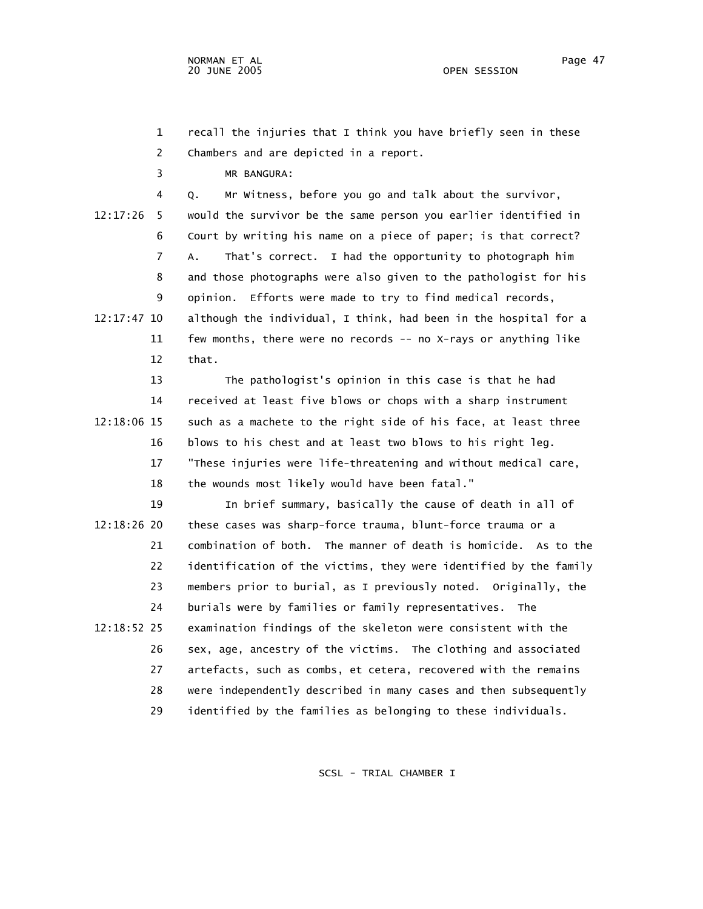1 recall the injuries that I think you have briefly seen in these 2 Chambers and are depicted in a report.

3 MR BANGURA:

 4 Q. Mr Witness, before you go and talk about the survivor, 12:17:26 5 would the survivor be the same person you earlier identified in 6 Court by writing his name on a piece of paper; is that correct? 7 A. That's correct. I had the opportunity to photograph him 8 and those photographs were also given to the pathologist for his 9 opinion. Efforts were made to try to find medical records, 12:17:47 10 although the individual, I think, had been in the hospital for a 11 few months, there were no records -- no X-rays or anything like 12 that.

 13 The pathologist's opinion in this case is that he had 14 received at least five blows or chops with a sharp instrument 12:18:06 15 such as a machete to the right side of his face, at least three 16 blows to his chest and at least two blows to his right leg. 17 "These injuries were life-threatening and without medical care, 18 the wounds most likely would have been fatal."

 19 In brief summary, basically the cause of death in all of 12:18:26 20 these cases was sharp-force trauma, blunt-force trauma or a 21 combination of both. The manner of death is homicide. As to the 22 identification of the victims, they were identified by the family 23 members prior to burial, as I previously noted. Originally, the 24 burials were by families or family representatives. The 12:18:52 25 examination findings of the skeleton were consistent with the 26 sex, age, ancestry of the victims. The clothing and associated 27 artefacts, such as combs, et cetera, recovered with the remains 28 were independently described in many cases and then subsequently 29 identified by the families as belonging to these individuals.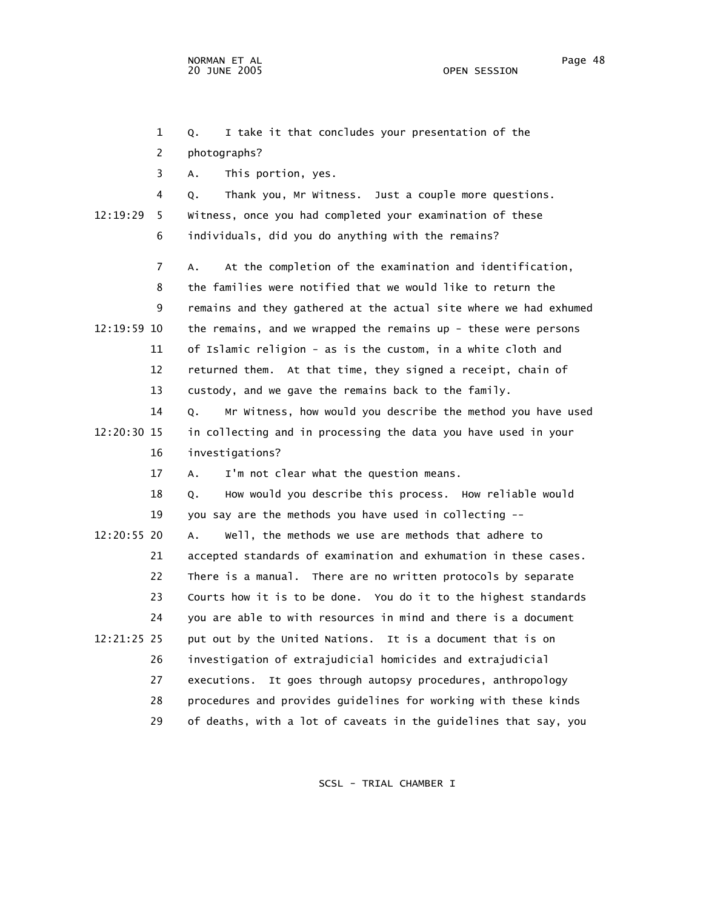2 photographs?

 3 A. This portion, yes. 4 Q. Thank you, Mr Witness. Just a couple more questions. 12:19:29 5 Witness, once you had completed your examination of these 6 individuals, did you do anything with the remains? 7 A. At the completion of the examination and identification, 8 the families were notified that we would like to return the 9 remains and they gathered at the actual site where we had exhumed 12:19:59 10 the remains, and we wrapped the remains up - these were persons 11 of Islamic religion - as is the custom, in a white cloth and 12 returned them. At that time, they signed a receipt, chain of 13 custody, and we gave the remains back to the family. 14 Q. Mr Witness, how would you describe the method you have used 12:20:30 15 in collecting and in processing the data you have used in your 16 investigations? 17 A. I'm not clear what the question means. 18 Q. How would you describe this process. How reliable would 19 you say are the methods you have used in collecting -- 12:20:55 20 A. Well, the methods we use are methods that adhere to 21 accepted standards of examination and exhumation in these cases. 22 There is a manual. There are no written protocols by separate 23 Courts how it is to be done. You do it to the highest standards 24 you are able to with resources in mind and there is a document 12:21:25 25 put out by the United Nations. It is a document that is on 26 investigation of extrajudicial homicides and extrajudicial 27 executions. It goes through autopsy procedures, anthropology 28 procedures and provides guidelines for working with these kinds 29 of deaths, with a lot of caveats in the guidelines that say, you SCSL - TRIAL CHAMBER I

1 Q. I take it that concludes your presentation of the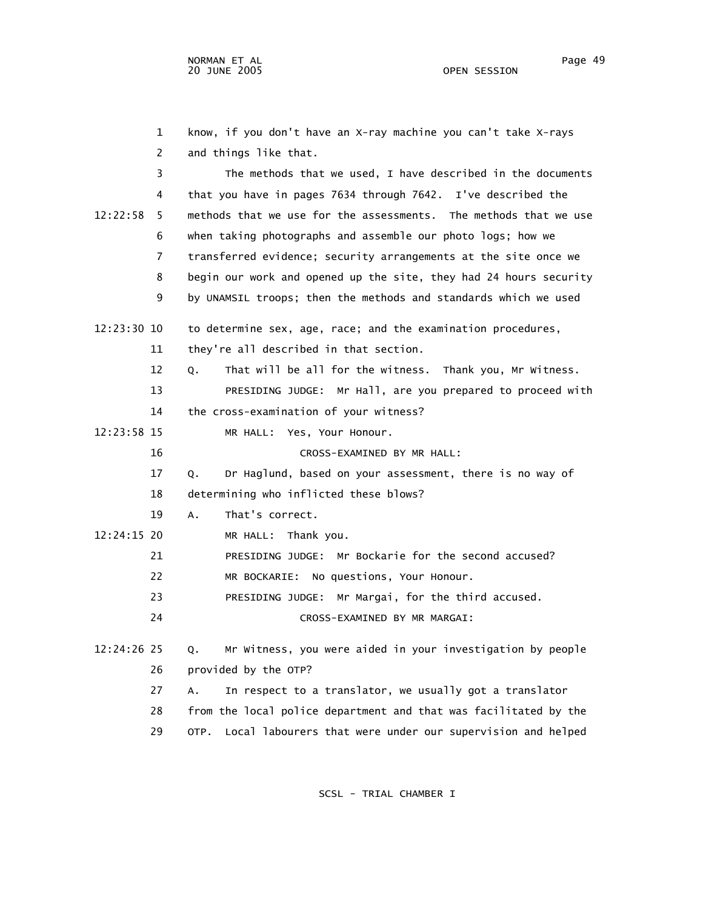1 know, if you don't have an X-ray machine you can't take X-rays 2 and things like that. 3 The methods that we used, I have described in the documents 4 that you have in pages 7634 through 7642. I've described the 12:22:58 5 methods that we use for the assessments. The methods that we use 6 when taking photographs and assemble our photo logs; how we 7 transferred evidence; security arrangements at the site once we 8 begin our work and opened up the site, they had 24 hours security 9 by UNAMSIL troops; then the methods and standards which we used 12:23:30 10 to determine sex, age, race; and the examination procedures, 11 they're all described in that section. 12 Q. That will be all for the witness. Thank you, Mr Witness. 13 PRESIDING JUDGE: Mr Hall, are you prepared to proceed with 14 the cross-examination of your witness? 12:23:58 15 MR HALL: Yes, Your Honour. 16 CROSS-EXAMINED BY MR HALL: 17 Q. Dr Haglund, based on your assessment, there is no way of 18 determining who inflicted these blows? 19 A. That's correct. 12:24:15 20 MR HALL: Thank you. 21 PRESIDING JUDGE: Mr Bockarie for the second accused? 22 MR BOCKARIE: No questions, Your Honour. 23 PRESIDING JUDGE: Mr Margai, for the third accused. 24 CROSS-EXAMINED BY MR MARGAI: 12:24:26 25 Q. Mr Witness, you were aided in your investigation by people 26 provided by the OTP? 27 A. In respect to a translator, we usually got a translator 28 from the local police department and that was facilitated by the

29 OTP. Local labourers that were under our supervision and helped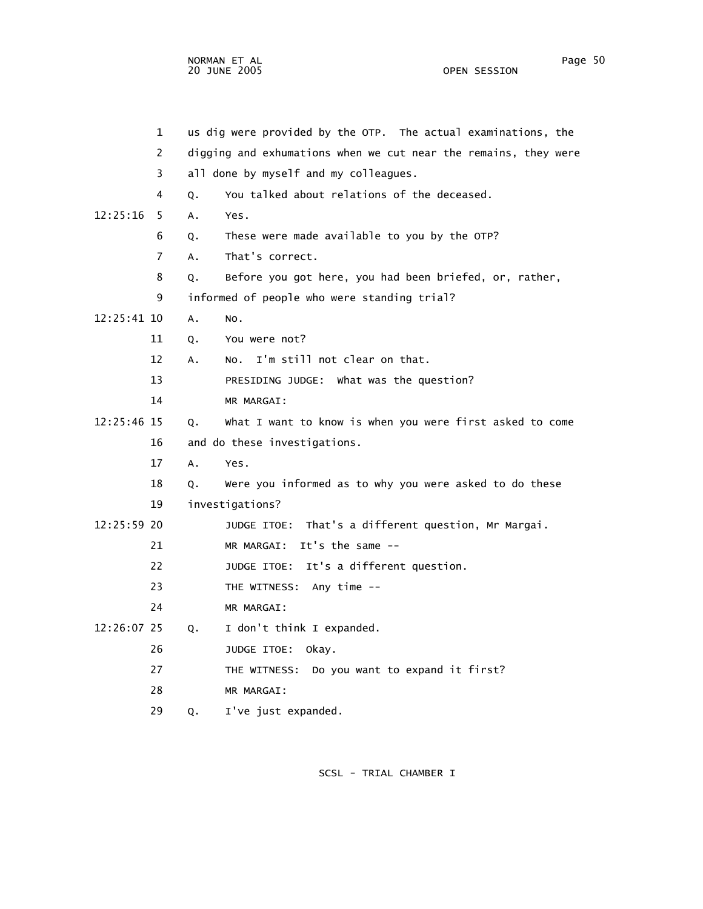NORMAN ET AL Page 50 and the set of the set of the set of the set of the set of the set of the set of the set o 20 JUNE 2005 OPEN SESSION

|             | $\mathbf{1}$   |    | us dig were provided by the OTP. The actual examinations, the   |
|-------------|----------------|----|-----------------------------------------------------------------|
|             | 2              |    | digging and exhumations when we cut near the remains, they were |
|             | 3              |    | all done by myself and my colleagues.                           |
|             | 4              | 0. | You talked about relations of the deceased.                     |
| 12:25:16    | -5             | A. | Yes.                                                            |
|             | 6              | Q. | These were made available to you by the OTP?                    |
|             | $\overline{7}$ | A. | That's correct.                                                 |
|             | 8              | Q. | Before you got here, you had been briefed, or, rather,          |
|             | 9              |    | informed of people who were standing trial?                     |
| 12:25:41 10 |                | A. | NO.                                                             |
|             | 11             | Q. | You were not?                                                   |
|             | 12             | A. | No. I'm still not clear on that.                                |
|             | 13             |    | PRESIDING JUDGE: What was the question?                         |
|             | 14             |    | MR MARGAI:                                                      |
| 12:25:46 15 |                | Q. | What I want to know is when you were first asked to come        |
|             | 16             |    | and do these investigations.                                    |
|             | 17             | A. | Yes.                                                            |
|             | 18             | Q. | Were you informed as to why you were asked to do these          |
|             | 19             |    | investigations?                                                 |
| 12:25:59 20 |                |    | JUDGE ITOE: That's a different question, Mr Margai.             |
|             | 21             |    | MR MARGAI: It's the same $-$                                    |
|             | 22             |    | JUDGE ITOE: It's a different question.                          |
|             | 23             |    | THE WITNESS: Any time --                                        |
|             | 24             |    | MR MARGAI:                                                      |
| 12:26:07 25 |                | Q. | I don't think I expanded.                                       |
|             | 26             |    | JUDGE ITOE: Okay.                                               |
|             | 27             |    | THE WITNESS: Do you want to expand it first?                    |
|             | 28             |    | MR MARGAI:                                                      |

29 Q. I've just expanded.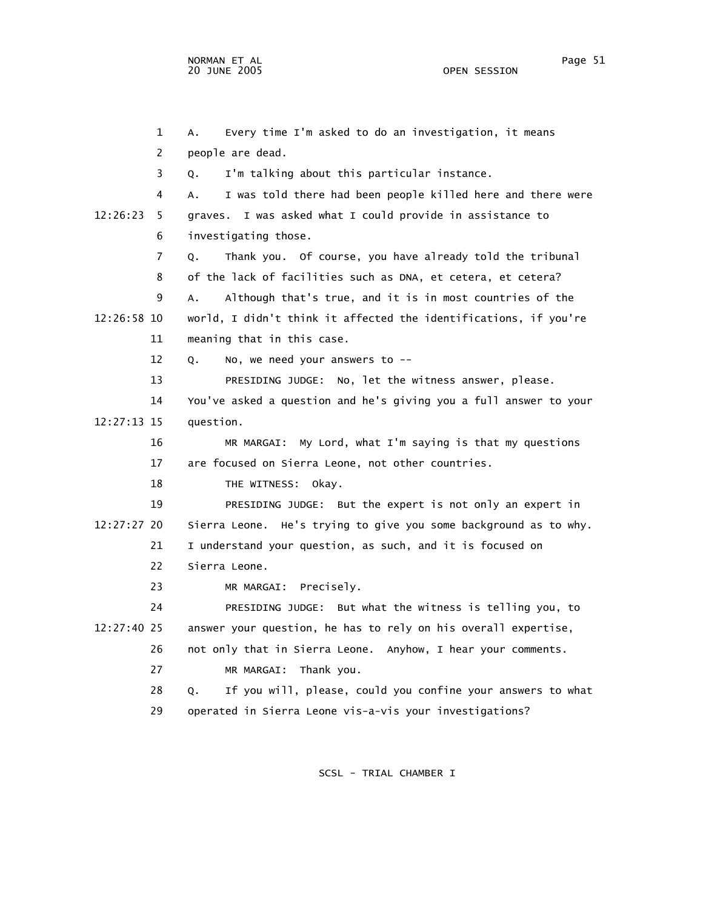1 A. Every time I'm asked to do an investigation, it means 2 people are dead. 3 Q. I'm talking about this particular instance. 4 A. I was told there had been people killed here and there were 12:26:23 5 graves. I was asked what I could provide in assistance to 6 investigating those. 7 Q. Thank you. Of course, you have already told the tribunal 8 of the lack of facilities such as DNA, et cetera, et cetera? 9 A. Although that's true, and it is in most countries of the 12:26:58 10 world, I didn't think it affected the identifications, if you're 11 meaning that in this case. 12 Q. No, we need your answers to -- 13 PRESIDING JUDGE: No, let the witness answer, please. 14 You've asked a question and he's giving you a full answer to your 12:27:13 15 question. 16 MR MARGAI: My Lord, what I'm saying is that my questions 17 are focused on Sierra Leone, not other countries. 18 THE WITNESS: Okay. 19 PRESIDING JUDGE: But the expert is not only an expert in 12:27:27 20 Sierra Leone. He's trying to give you some background as to why. 21 I understand your question, as such, and it is focused on 22 Sierra Leone. 23 MR MARGAI: Precisely. 24 PRESIDING JUDGE: But what the witness is telling you, to 12:27:40 25 answer your question, he has to rely on his overall expertise, 26 not only that in Sierra Leone. Anyhow, I hear your comments. 27 MR MARGAI: Thank you. 28 Q. If you will, please, could you confine your answers to what 29 operated in Sierra Leone vis-a-vis your investigations?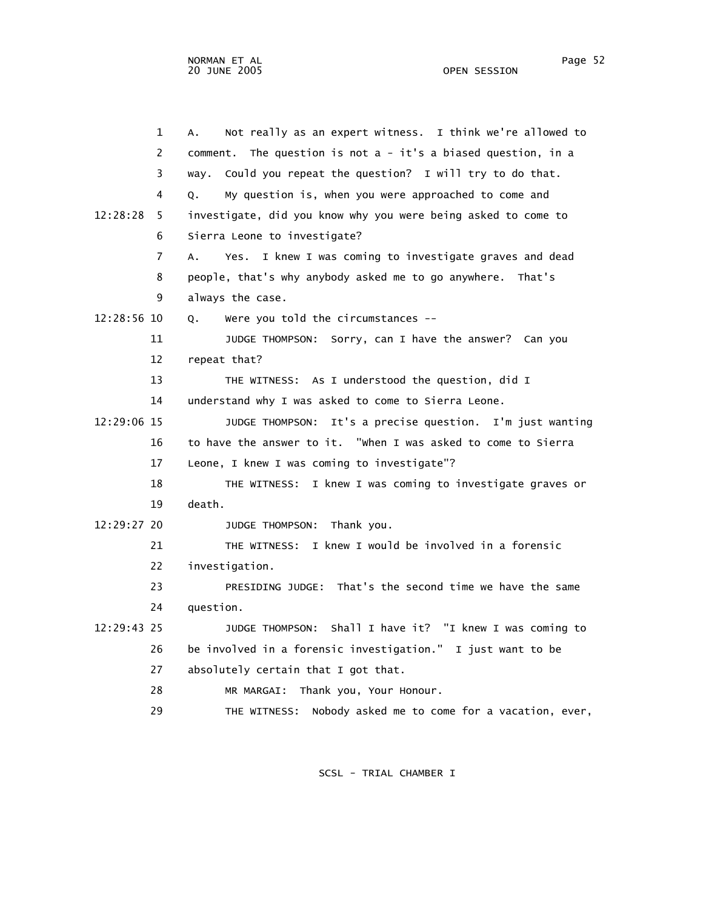1 A. Not really as an expert witness. I think we're allowed to 2 comment. The question is not a - it's a biased question, in a 3 way. Could you repeat the question? I will try to do that. 4 Q. My question is, when you were approached to come and 12:28:28 5 investigate, did you know why you were being asked to come to 6 Sierra Leone to investigate? 7 A. Yes. I knew I was coming to investigate graves and dead 8 people, that's why anybody asked me to go anywhere. That's 9 always the case. 12:28:56 10 Q. Were you told the circumstances -- 11 JUDGE THOMPSON: Sorry, can I have the answer? Can you 12 repeat that? 13 THE WITNESS: As I understood the question, did I 14 understand why I was asked to come to Sierra Leone. 12:29:06 15 JUDGE THOMPSON: It's a precise question. I'm just wanting 16 to have the answer to it. "When I was asked to come to Sierra 17 Leone, I knew I was coming to investigate"? 18 THE WITNESS: I knew I was coming to investigate graves or 19 death. 12:29:27 20 JUDGE THOMPSON: Thank you. 21 THE WITNESS: I knew I would be involved in a forensic 22 investigation. 23 PRESIDING JUDGE: That's the second time we have the same 24 question. 12:29:43 25 JUDGE THOMPSON: Shall I have it? "I knew I was coming to 26 be involved in a forensic investigation." I just want to be 27 absolutely certain that I got that. 28 MR MARGAI: Thank you, Your Honour. 29 THE WITNESS: Nobody asked me to come for a vacation, ever,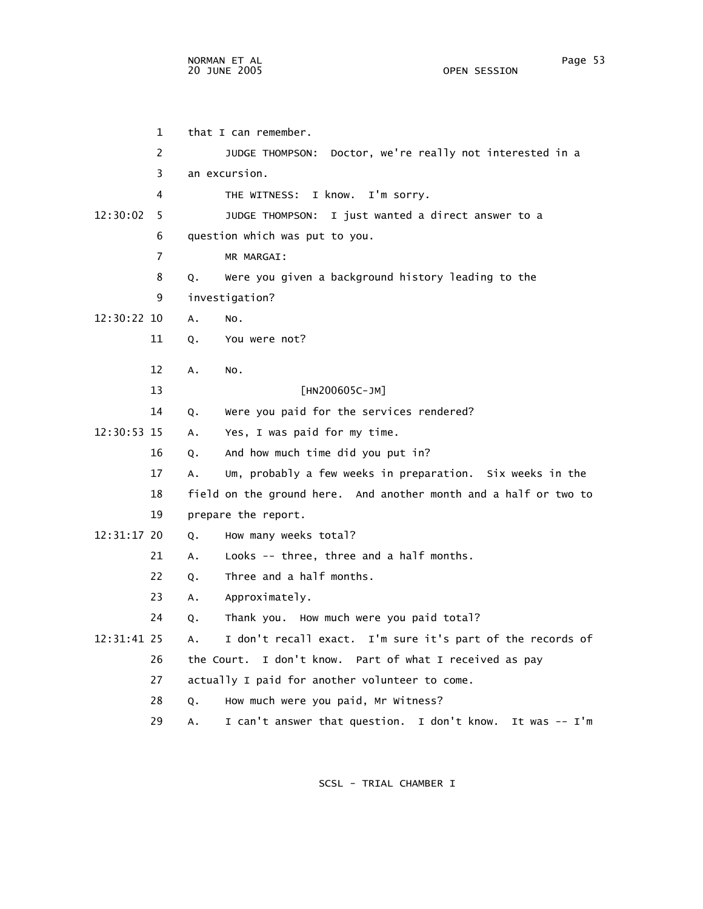1 that I can remember. 2 JUDGE THOMPSON: Doctor, we're really not interested in a 3 an excursion. 4 THE WITNESS: I know. I'm sorry. 12:30:02 5 JUDGE THOMPSON: I just wanted a direct answer to a 6 question which was put to you. 7 MR MARGAI: 8 Q. Were you given a background history leading to the 9 investigation? 12:30:22 10 A. No. 11 Q. You were not? 12 A. No. 13 [HN200605C-JM] 14 Q. Were you paid for the services rendered? 12:30:53 15 A. Yes, I was paid for my time. 16 Q. And how much time did you put in? 17 A. Um, probably a few weeks in preparation. Six weeks in the 18 field on the ground here. And another month and a half or two to 19 prepare the report. 12:31:17 20 Q. How many weeks total? 21 A. Looks -- three, three and a half months. 22 O. Three and a half months. 23 A. Approximately. 24 Q. Thank you. How much were you paid total? 12:31:41 25 A. I don't recall exact. I'm sure it's part of the records of 26 the Court. I don't know. Part of what I received as pay 27 actually I paid for another volunteer to come. 28 Q. How much were you paid, Mr Witness? 29 A. I can't answer that question. I don't know. It was -- I'm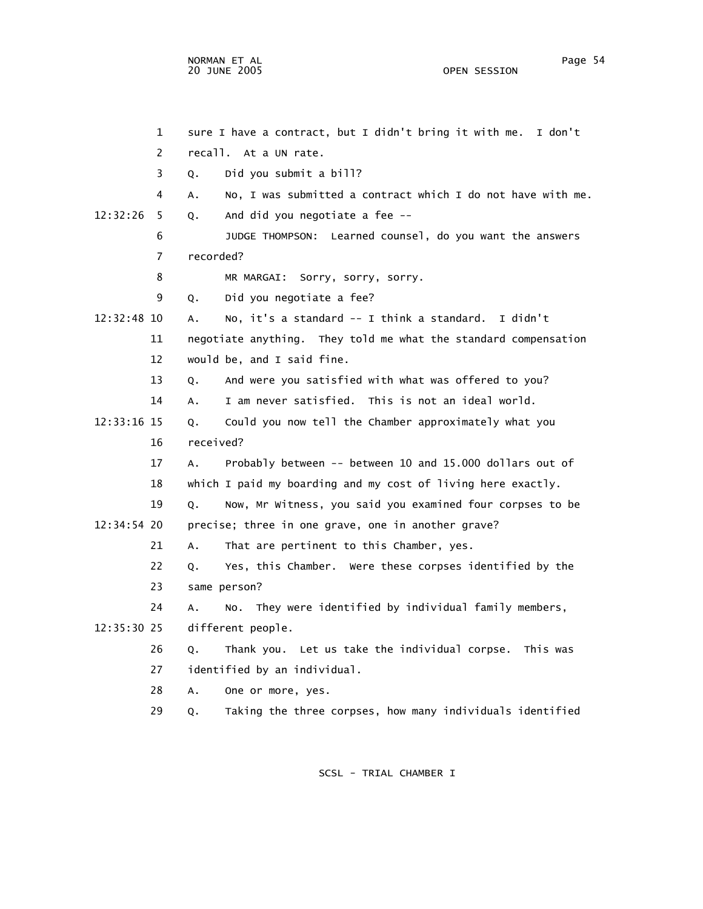NORMAN ET AL Page 54

OPEN SESSION

 1 sure I have a contract, but I didn't bring it with me. I don't 2 recall. At a UN rate. 3 Q. Did you submit a bill? 4 A. No, I was submitted a contract which I do not have with me. 12:32:26 5 Q. And did you negotiate a fee -- 6 JUDGE THOMPSON: Learned counsel, do you want the answers 7 recorded? 8 MR MARGAI: Sorry, sorry, sorry. 9 Q. Did you negotiate a fee? 12:32:48 10 A. No, it's a standard -- I think a standard. I didn't 11 negotiate anything. They told me what the standard compensation 12 would be, and I said fine. 13 Q. And were you satisfied with what was offered to you? 14 A. I am never satisfied. This is not an ideal world. 12:33:16 15 Q. Could you now tell the Chamber approximately what you 16 received? 17 A. Probably between -- between 10 and 15.000 dollars out of 18 which I paid my boarding and my cost of living here exactly. 19 Q. Now, Mr Witness, you said you examined four corpses to be 12:34:54 20 precise; three in one grave, one in another grave? 21 A. That are pertinent to this Chamber, yes. 22 Q. Yes, this Chamber. Were these corpses identified by the 23 same person? 24 A. No. They were identified by individual family members, 12:35:30 25 different people. 26 Q. Thank you. Let us take the individual corpse. This was 27 identified by an individual. 28 A. One or more, yes. 29 Q. Taking the three corpses, how many individuals identified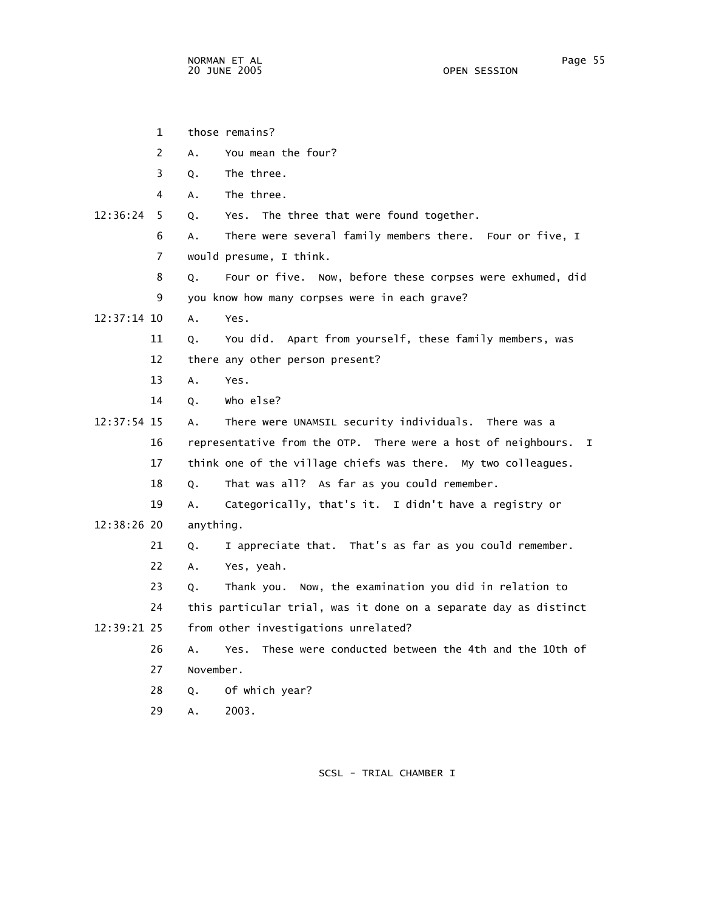|               | $\mathbf{1}$   |           | those remains?                                                                |
|---------------|----------------|-----------|-------------------------------------------------------------------------------|
|               | 2              | Α.        | You mean the four?                                                            |
|               | 3              | Q.        | The three.                                                                    |
|               | 4              | А.        | The three.                                                                    |
| 12:36:24      | 5              | Q.        | The three that were found together.<br>Yes.                                   |
|               | 6              | A.        | There were several family members there. Four or five, I                      |
|               | $\overline{7}$ |           | would presume, I think.                                                       |
|               | 8              | Q.        | Four or five. Now, before these corpses were exhumed, did                     |
|               | 9              |           | you know how many corpses were in each grave?                                 |
| 12:37:14 10   |                | A.        | Yes.                                                                          |
|               | 11             | Q.        | You did. Apart from yourself, these family members, was                       |
|               | 12             |           | there any other person present?                                               |
|               | 13             | Α.        | Yes.                                                                          |
|               | 14             | Q.        | who else?                                                                     |
| 12:37:54 15   |                | A.        | There were UNAMSIL security individuals. There was a                          |
|               | 16             |           | representative from the OTP. There were a host of neighbours.<br>$\mathbf{I}$ |
|               | 17             |           | think one of the village chiefs was there. My two colleagues.                 |
|               | 18             | Q.        | That was all? As far as you could remember.                                   |
|               | 19             | A.        | Categorically, that's it. I didn't have a registry or                         |
| $12:38:26$ 20 |                | anything. |                                                                               |
|               | 21             | Q.        | I appreciate that. That's as far as you could remember.                       |
|               | 22             | А.        | Yes, yeah.                                                                    |
|               | 23             | Q.        | Now, the examination you did in relation to<br>Thank you.                     |
|               | 24             |           | this particular trial, was it done on a separate day as distinct              |
| 12:39:21 25   |                |           | from other investigations unrelated?                                          |
|               | 26             | Α.        | These were conducted between the 4th and the 10th of<br>Yes.                  |
|               | 27             | November. |                                                                               |
|               | 28             | Q.        | Of which year?                                                                |
|               | 29             | А.        | 2003.                                                                         |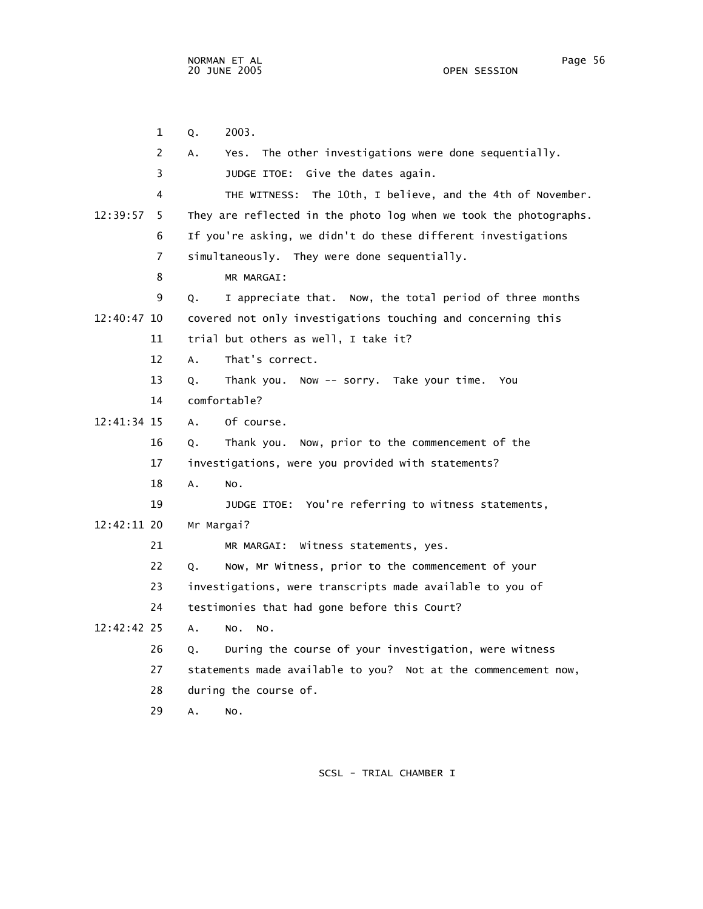1 Q. 2003. 2 A. Yes. The other investigations were done sequentially. 3 JUDGE ITOE: Give the dates again. 4 THE WITNESS: The 10th, I believe, and the 4th of November. 12:39:57 5 They are reflected in the photo log when we took the photographs. 6 If you're asking, we didn't do these different investigations 7 simultaneously. They were done sequentially. 8 MR MARGAI: 9 Q. I appreciate that. Now, the total period of three months 12:40:47 10 covered not only investigations touching and concerning this 11 trial but others as well, I take it? 12 A. That's correct. 13 Q. Thank you. Now -- sorry. Take your time. You 14 comfortable? 12:41:34 15 A. Of course. 16 Q. Thank you. Now, prior to the commencement of the 17 investigations, were you provided with statements? 18 A. No. 19 JUDGE ITOE: You're referring to witness statements, 12:42:11 20 Mr Margai? 21 MR MARGAI: Witness statements, yes. 22 Q. Now, Mr Witness, prior to the commencement of your 23 investigations, were transcripts made available to you of 24 testimonies that had gone before this Court? 12:42:42 25 A. No. No. 26 Q. During the course of your investigation, were witness 27 statements made available to you? Not at the commencement now, 28 during the course of. 29 A. No.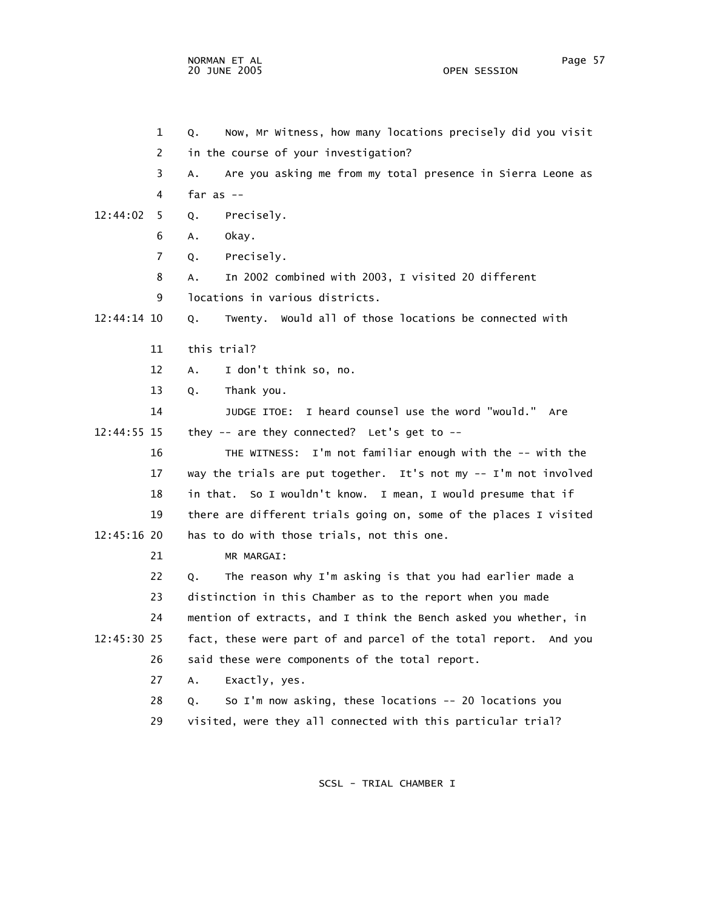1 Q. Now, Mr Witness, how many locations precisely did you visit 2 in the course of your investigation? 3 A. Are you asking me from my total presence in Sierra Leone as 4 far as -- 12:44:02 5 Q. Precisely. 6 A. Okay. 7 Q. Precisely. 8 A. In 2002 combined with 2003, I visited 20 different 9 locations in various districts. 12:44:14 10 Q. Twenty. Would all of those locations be connected with 11 this trial? 12 A. I don't think so, no. 13 Q. Thank you. 14 JUDGE ITOE: I heard counsel use the word "would." Are 12:44:55 15 they -- are they connected? Let's get to -- 16 THE WITNESS: I'm not familiar enough with the -- with the 17 way the trials are put together. It's not my -- I'm not involved 18 in that. So I wouldn't know. I mean, I would presume that if 19 there are different trials going on, some of the places I visited 12:45:16 20 has to do with those trials, not this one. 21 MR MARGAI: 22 Q. The reason why I'm asking is that you had earlier made a 23 distinction in this Chamber as to the report when you made 24 mention of extracts, and I think the Bench asked you whether, in 12:45:30 25 fact, these were part of and parcel of the total report. And you 26 said these were components of the total report. 27 A. Exactly, yes. 28 Q. So I'm now asking, these locations -- 20 locations you 29 visited, were they all connected with this particular trial?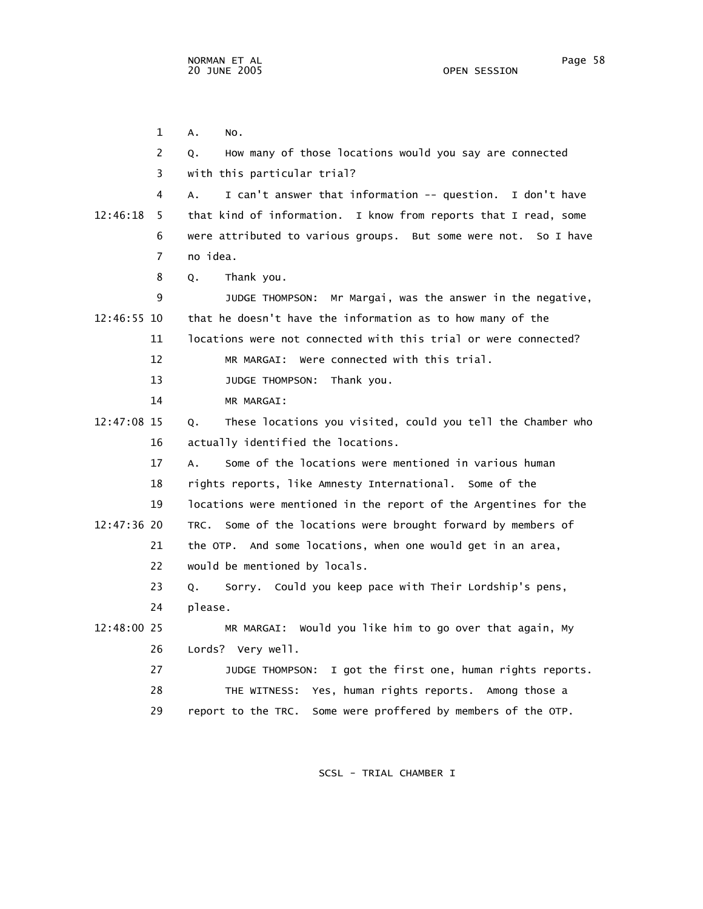1 A. No. 2 Q. How many of those locations would you say are connected 3 with this particular trial? 4 A. I can't answer that information -- question. I don't have 12:46:18 5 that kind of information. I know from reports that I read, some 6 were attributed to various groups. But some were not. So I have 7 no idea. 8 Q. Thank you. 9 JUDGE THOMPSON: Mr Margai, was the answer in the negative, 12:46:55 10 that he doesn't have the information as to how many of the 11 locations were not connected with this trial or were connected? 12 MR MARGAI: Were connected with this trial. 13 JUDGE THOMPSON: Thank you. 14 MR MARGAI: 12:47:08 15 Q. These locations you visited, could you tell the Chamber who 16 actually identified the locations. 17 A. Some of the locations were mentioned in various human 18 rights reports, like Amnesty International. Some of the 19 locations were mentioned in the report of the Argentines for the 12:47:36 20 TRC. Some of the locations were brought forward by members of 21 the OTP. And some locations, when one would get in an area, 22 would be mentioned by locals. 23 Q. Sorry. Could you keep pace with Their Lordship's pens, 24 please. 12:48:00 25 MR MARGAI: Would you like him to go over that again, My 26 Lords? Very well. 27 JUDGE THOMPSON: I got the first one, human rights reports. 28 THE WITNESS: Yes, human rights reports. Among those a 29 report to the TRC. Some were proffered by members of the OTP.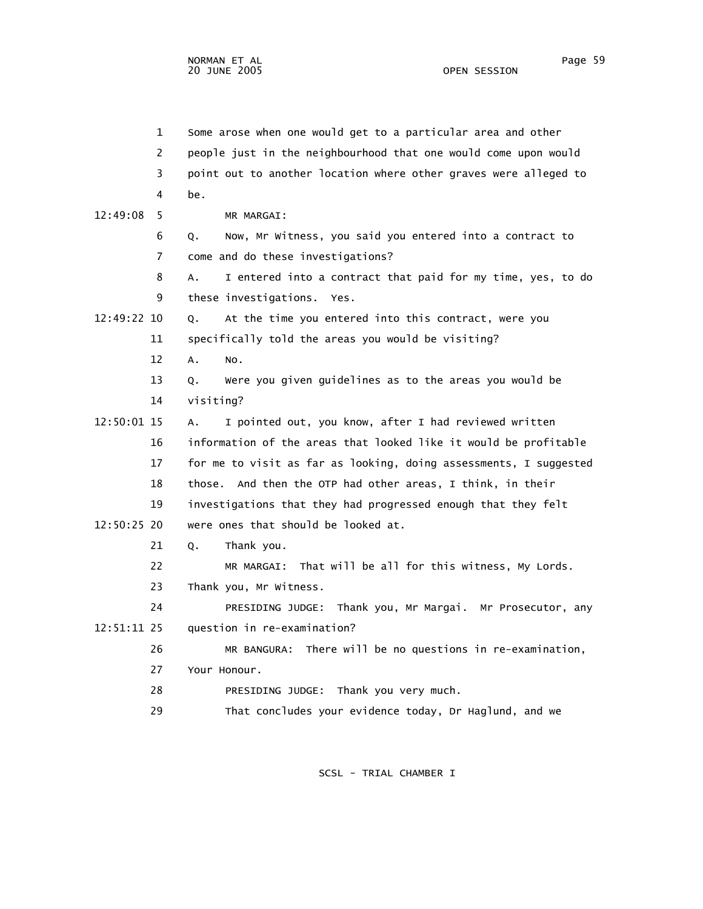1 Some arose when one would get to a particular area and other 2 people just in the neighbourhood that one would come upon would 3 point out to another location where other graves were alleged to 4 be. 12:49:08 5 MR MARGAI: 6 Q. Now, Mr Witness, you said you entered into a contract to 7 come and do these investigations? 8 A. I entered into a contract that paid for my time, yes, to do 9 these investigations. Yes. 12:49:22 10 Q. At the time you entered into this contract, were you 11 specifically told the areas you would be visiting? 12 A. No. 13 Q. Were you given guidelines as to the areas you would be 14 visiting? 12:50:01 15 A. I pointed out, you know, after I had reviewed written 16 information of the areas that looked like it would be profitable 17 for me to visit as far as looking, doing assessments, I suggested 18 those. And then the OTP had other areas, I think, in their 19 investigations that they had progressed enough that they felt 12:50:25 20 were ones that should be looked at. 21 O. Thank you. 22 MR MARGAI: That will be all for this witness, My Lords. 23 Thank you, Mr Witness. 24 PRESIDING JUDGE: Thank you, Mr Margai. Mr Prosecutor, any 12:51:11 25 question in re-examination? 26 MR BANGURA: There will be no questions in re-examination, 27 Your Honour. 28 PRESIDING JUDGE: Thank you very much. 29 That concludes your evidence today, Dr Haglund, and we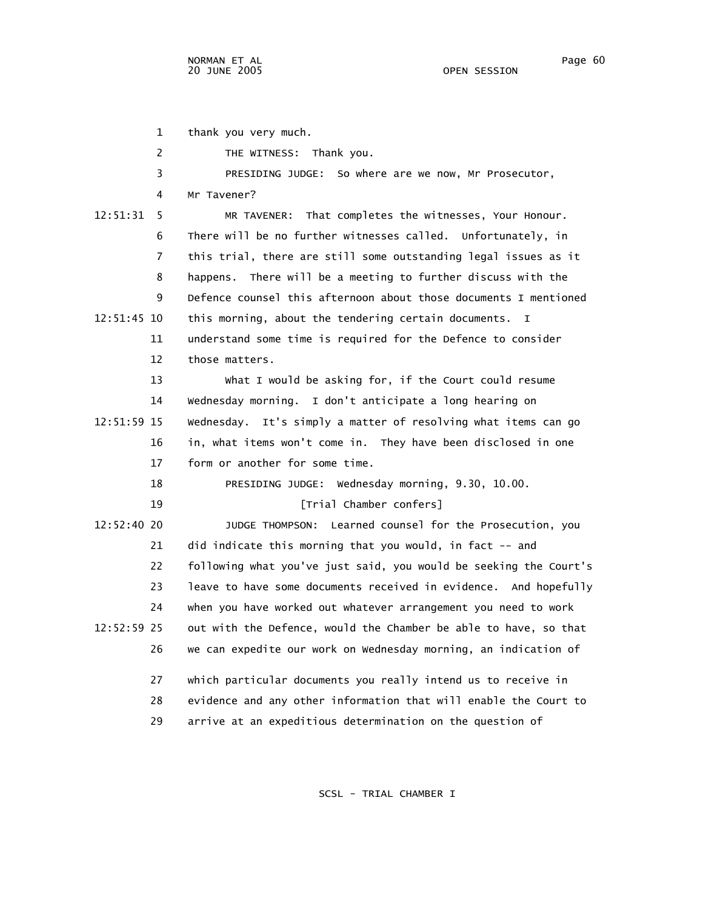1 thank you very much. 2 THE WITNESS: Thank you. 3 PRESIDING JUDGE: So where are we now, Mr Prosecutor, 4 Mr Tavener? 12:51:31 5 MR TAVENER: That completes the witnesses, Your Honour. 6 There will be no further witnesses called. Unfortunately, in 7 this trial, there are still some outstanding legal issues as it 8 happens. There will be a meeting to further discuss with the 9 Defence counsel this afternoon about those documents I mentioned 12:51:45 10 this morning, about the tendering certain documents. I 11 understand some time is required for the Defence to consider 12 those matters. 13 What I would be asking for, if the Court could resume 14 Wednesday morning. I don't anticipate a long hearing on 12:51:59 15 Wednesday. It's simply a matter of resolving what items can go 16 in, what items won't come in. They have been disclosed in one 17 form or another for some time. 18 PRESIDING JUDGE: Wednesday morning, 9.30, 10.00. 19 [Trial Chamber confers] 12:52:40 20 JUDGE THOMPSON: Learned counsel for the Prosecution, you 21 did indicate this morning that you would, in fact -- and 22 following what you've just said, you would be seeking the Court's 23 leave to have some documents received in evidence. And hopefully 24 when you have worked out whatever arrangement you need to work 12:52:59 25 out with the Defence, would the Chamber be able to have, so that 26 we can expedite our work on Wednesday morning, an indication of 27 which particular documents you really intend us to receive in 28 evidence and any other information that will enable the Court to 29 arrive at an expeditious determination on the question of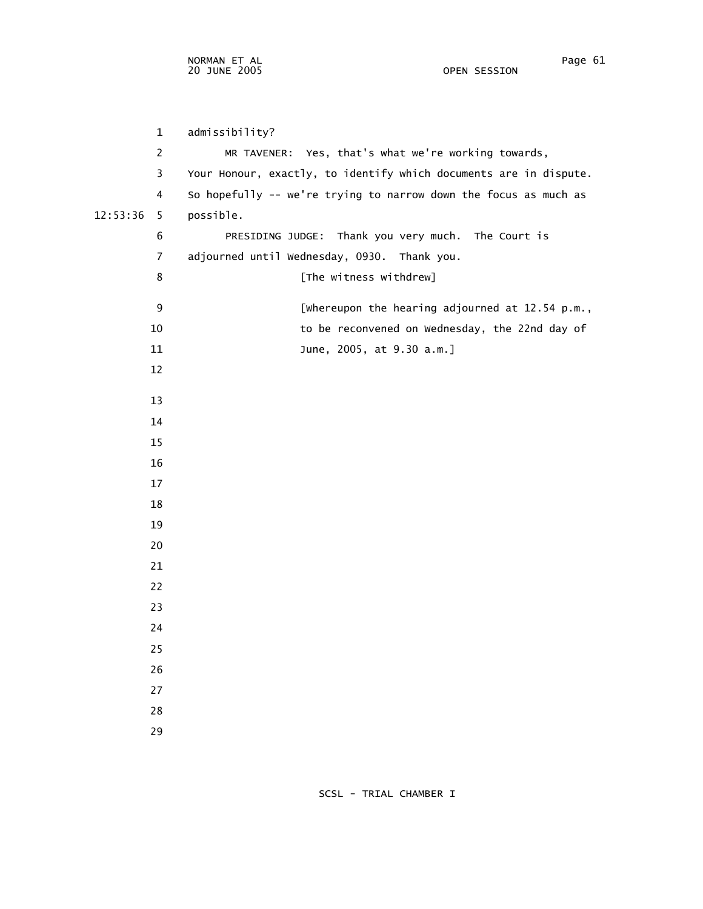1 admissibility? 2 MR TAVENER: Yes, that's what we're working towards, 3 Your Honour, exactly, to identify which documents are in dispute. 4 So hopefully -- we're trying to narrow down the focus as much as 12:53:36 5 possible. 6 PRESIDING JUDGE: Thank you very much. The Court is 7 adjourned until Wednesday, 0930. Thank you. 8 [The witness withdrew] 9 **Exteries External External External and SI** extending adjourned at 12.54 p.m., 10 to be reconvened on Wednesday, the 22nd day of 11 June, 2005, at 9.30 a.m.] 12 13 14 15 16 17 18 19 20 21 22 23 24 25 26 27 28

29